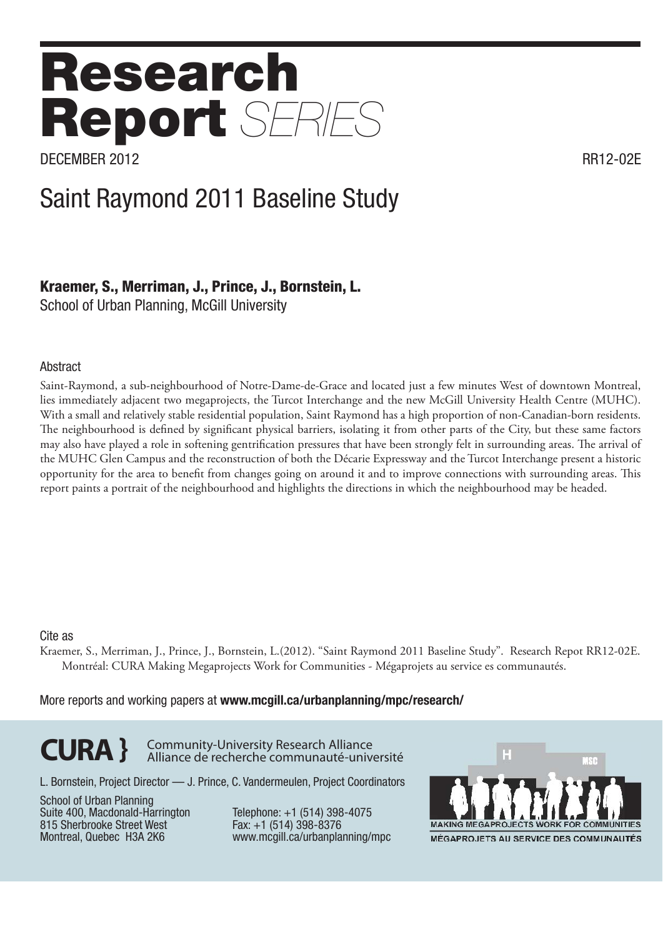# Research Report *SERIES*

DECEMBER 2012 RR12-02E

## Saint Raymond 2011 Baseline Study

### Kraemer, S., Merriman, J., Prince, J., Bornstein, L.

School of Urban Planning, McGill University

#### **Abstract**

Saint-Raymond, a sub-neighbourhood of Notre-Dame-de-Grace and located just a few minutes West of downtown Montreal, lies immediately adjacent two megaprojects, the Turcot Interchange and the new McGill University Health Centre (MUHC). With a small and relatively stable residential population, Saint Raymond has a high proportion of non-Canadian-born residents. The neighbourhood is defined by significant physical barriers, isolating it from other parts of the City, but these same factors may also have played a role in softening gentrification pressures that have been strongly felt in surrounding areas. The arrival of the MUHC Glen Campus and the reconstruction of both the Décarie Expressway and the Turcot Interchange present a historic opportunity for the area to benefit from changes going on around it and to improve connections with surrounding areas. This report paints a portrait of the neighbourhood and highlights the directions in which the neighbourhood may be headed.

#### Cite as

Kraemer, S., Merriman, J., Prince, J., Bornstein, L.(2012). "Saint Raymond 2011 Baseline Study". Research Repot RR12-02E. Montréal: CURA Making Megaprojects Work for Communities - Mégaprojets au service es communautés.

More reports and working papers at www.mcgill.ca/urbanplanning/mpc/research/

**CURA }** Community-University Research Alliance Alliance de recherche communauté-université

L. Bornstein, Project Director — J. Prince, C. Vandermeulen, Project Coordinators

School of Urban Planning Suite 400, Macdonald-Harrington 815 Sherbrooke Street West Montreal, Quebec H3A 2K6

Telephone: +1 (514) 398-4075 Fax: +1 (514) 398-8376 www.mcgill.ca/urbanplanning/mpc

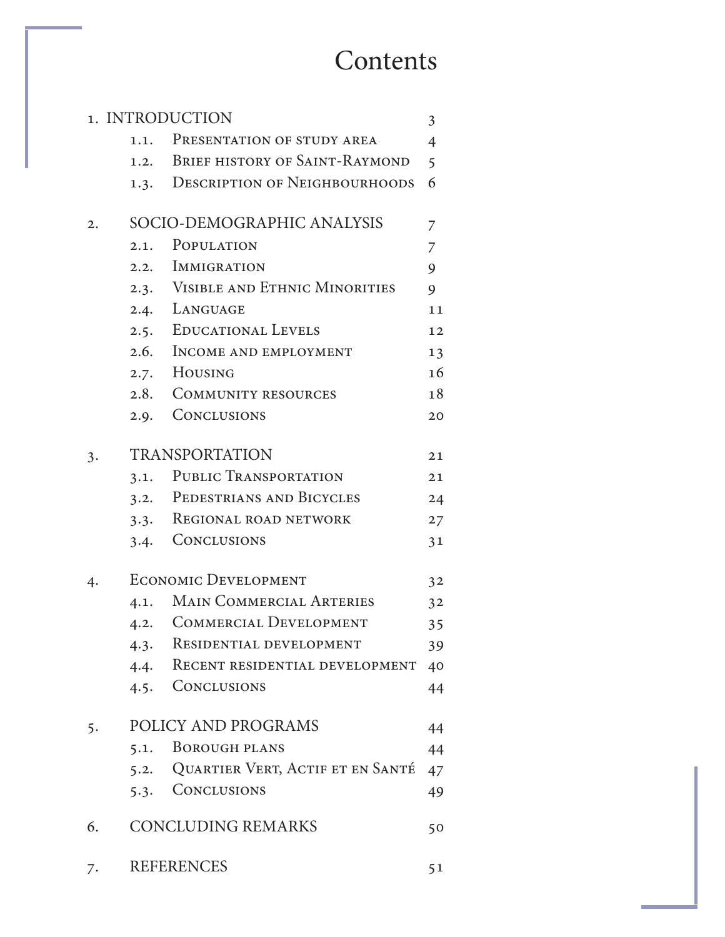## **Contents**

|    |      | 1. INTRODUCTION                       | 3              |
|----|------|---------------------------------------|----------------|
|    |      | 1.1. PRESENTATION OF STUDY AREA       | $\overline{4}$ |
|    |      | 1.2. BRIEF HISTORY OF SAINT-RAYMOND   | 5              |
|    |      | 1.3. DESCRIPTION OF NEIGHBOURHOODS    | 6              |
| 2. |      | SOCIO-DEMOGRAPHIC ANALYSIS            | 7              |
|    | 2.1. | POPULATION                            | 7              |
|    |      | 2.2. IMMIGRATION                      | 9              |
|    |      | 2.3. VISIBLE AND ETHNIC MINORITIES    | 9              |
|    |      | 2.4. LANGUAGE                         | 11             |
|    |      | 2.5. EDUCATIONAL LEVELS               | 12             |
|    |      | 2.6. INCOME AND EMPLOYMENT            | 13             |
|    |      | 2.7. HOUSING                          | 16             |
|    |      | 2.8. COMMUNITY RESOURCES              | 18             |
|    | 2.9. | <b>CONCLUSIONS</b>                    | 20             |
| 3. |      | <b>TRANSPORTATION</b>                 | 21             |
|    | 3.1. | PUBLIC TRANSPORTATION                 | 21             |
|    |      | 3.2. PEDESTRIANS AND BICYCLES         | 24             |
|    | 3.3. | REGIONAL ROAD NETWORK                 | 27             |
|    | 3.4. | <b>CONCLUSIONS</b>                    | 31             |
| 4. |      | <b>ECONOMIC DEVELOPMENT</b>           | 3 <sup>2</sup> |
|    | 4.1. | <b>MAIN COMMERCIAL ARTERIES</b>       | 3 <sup>2</sup> |
|    |      | 4.2. COMMERCIAL DEVELOPMENT           | 35             |
|    | 4.3. | <b>RESIDENTIAL DEVELOPMENT</b>        | 39             |
|    | 4.4. | RECENT RESIDENTIAL DEVELOPMENT        | 40             |
|    |      | 4.5. CONCLUSIONS                      | 44             |
| 5. |      | POLICY AND PROGRAMS                   | 44             |
|    | 5.1. | <b>BOROUGH PLANS</b>                  | 44             |
|    |      | 5.2. QUARTIER VERT, ACTIF ET EN SANTÉ | 47             |
|    |      | 5.3. CONCLUSIONS                      | 49             |
| 6. |      | <b>CONCLUDING REMARKS</b>             | 50             |
| 7. |      | <b>REFERENCES</b>                     | 51             |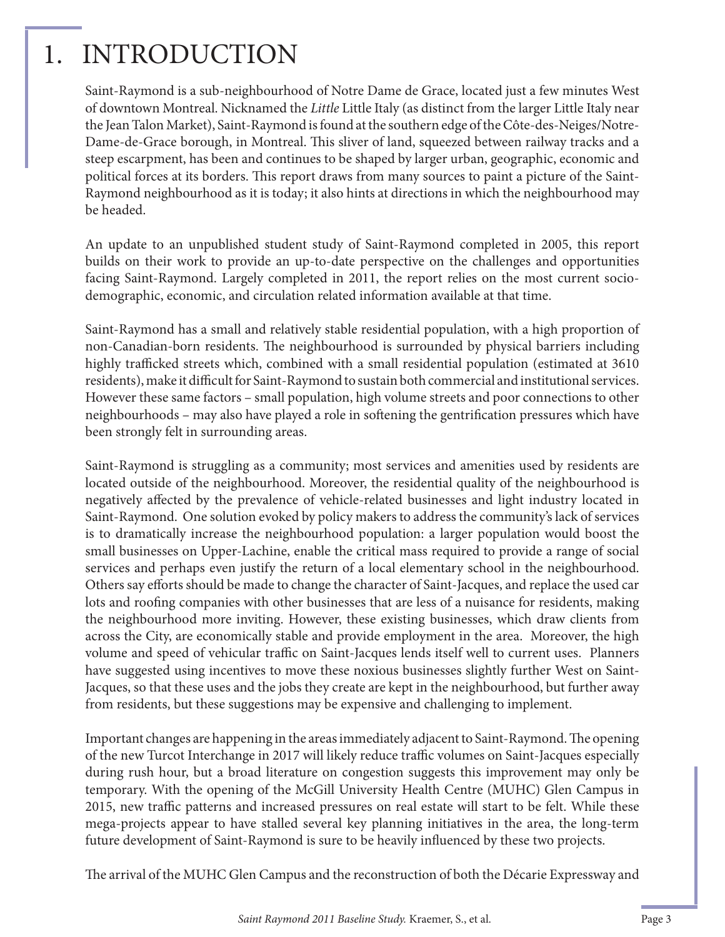## 1. INTRODUCTION

Saint-Raymond is a sub-neighbourhood of Notre Dame de Grace, located just a few minutes West of downtown Montreal. Nicknamed the *Little* Little Italy (as distinct from the larger Little Italy near the Jean Talon Market), Saint-Raymond is found at the southern edge of the Côte-des-Neiges/Notre-Dame-de-Grace borough, in Montreal. This sliver of land, squeezed between railway tracks and a steep escarpment, has been and continues to be shaped by larger urban, geographic, economic and political forces at its borders. This report draws from many sources to paint a picture of the Saint-Raymond neighbourhood as it is today; it also hints at directions in which the neighbourhood may be headed.

An update to an unpublished student study of Saint-Raymond completed in 2005, this report builds on their work to provide an up-to-date perspective on the challenges and opportunities facing Saint-Raymond. Largely completed in 2011, the report relies on the most current sociodemographic, economic, and circulation related information available at that time.

Saint-Raymond has a small and relatively stable residential population, with a high proportion of non-Canadian-born residents. The neighbourhood is surrounded by physical barriers including highly trafficked streets which, combined with a small residential population (estimated at 3610 residents), make it difficult for Saint-Raymond to sustain both commercial and institutional services. However these same factors – small population, high volume streets and poor connections to other neighbourhoods – may also have played a role in softening the gentrification pressures which have been strongly felt in surrounding areas.

Saint-Raymond is struggling as a community; most services and amenities used by residents are located outside of the neighbourhood. Moreover, the residential quality of the neighbourhood is negatively affected by the prevalence of vehicle-related businesses and light industry located in Saint-Raymond. One solution evoked by policy makers to address the community's lack of services is to dramatically increase the neighbourhood population: a larger population would boost the small businesses on Upper-Lachine, enable the critical mass required to provide a range of social services and perhaps even justify the return of a local elementary school in the neighbourhood. Others say efforts should be made to change the character of Saint-Jacques, and replace the used car lots and roofing companies with other businesses that are less of a nuisance for residents, making the neighbourhood more inviting. However, these existing businesses, which draw clients from across the City, are economically stable and provide employment in the area. Moreover, the high volume and speed of vehicular traffic on Saint-Jacques lends itself well to current uses. Planners have suggested using incentives to move these noxious businesses slightly further West on Saint-Jacques, so that these uses and the jobs they create are kept in the neighbourhood, but further away from residents, but these suggestions may be expensive and challenging to implement.

Important changes are happening in the areas immediately adjacent to Saint-Raymond. The opening of the new Turcot Interchange in 2017 will likely reduce traffic volumes on Saint-Jacques especially during rush hour, but a broad literature on congestion suggests this improvement may only be temporary. With the opening of the McGill University Health Centre (MUHC) Glen Campus in 2015, new traffic patterns and increased pressures on real estate will start to be felt. While these mega-projects appear to have stalled several key planning initiatives in the area, the long-term future development of Saint-Raymond is sure to be heavily influenced by these two projects.

The arrival of the MUHC Glen Campus and the reconstruction of both the Décarie Expressway and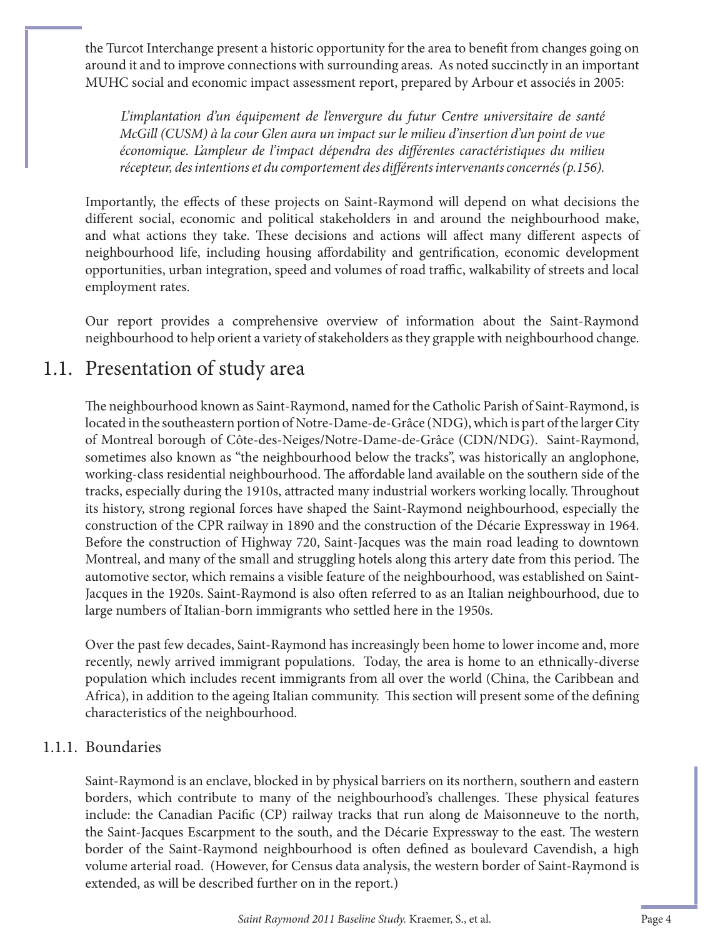the Turcot Interchange present a historic opportunity for the area to benefit from changes going on around it and to improve connections with surrounding areas. As noted succinctly in an important MUHC social and economic impact assessment report, prepared by Arbour et associés in 2005:

*L'implantation d'un équipement de l'envergure du futur Centre universitaire de santé McGill (CUSM) à la cour Glen aura un impact sur le milieu d'insertion d'un point de vue*  économique. L'ampleur de l'impact dépendra des différentes caractéristiques du milieu récepteur, des intentions et du comportement des différents intervenants concernés (p.156).

Importantly, the effects of these projects on Saint-Raymond will depend on what decisions the different social, economic and political stakeholders in and around the neighbourhood make, and what actions they take. These decisions and actions will affect many different aspects of neighbourhood life, including housing affordability and gentrification, economic development opportunities, urban integration, speed and volumes of road traffic, walkability of streets and local employment rates.

Our report provides a comprehensive overview of information about the Saint-Raymond neighbourhood to help orient a variety of stakeholders as they grapple with neighbourhood change.

## 1.1. Presentation of study area

The neighbourhood known as Saint-Raymond, named for the Catholic Parish of Saint-Raymond, is located in the southeastern portion of Notre-Dame-de-Grâce (NDG), which is part of the larger City of Montreal borough of Côte-des-Neiges/Notre-Dame-de-Grâce (CDN/NDG). Saint-Raymond, sometimes also known as "the neighbourhood below the tracks", was historically an anglophone, working-class residential neighbourhood. The affordable land available on the southern side of the tracks, especially during the 1910s, attracted many industrial workers working locally. Throughout its history, strong regional forces have shaped the Saint-Raymond neighbourhood, especially the construction of the CPR railway in 1890 and the construction of the Décarie Expressway in 1964. Before the construction of Highway 720, Saint-Jacques was the main road leading to downtown Montreal, and many of the small and struggling hotels along this artery date from this period. The automotive sector, which remains a visible feature of the neighbourhood, was established on Saint-Jacques in the 1920s. Saint-Raymond is also often referred to as an Italian neighbourhood, due to large numbers of Italian-born immigrants who settled here in the 1950s.

Over the past few decades, Saint-Raymond has increasingly been home to lower income and, more recently, newly arrived immigrant populations. Today, the area is home to an ethnically-diverse population which includes recent immigrants from all over the world (China, the Caribbean and Africa), in addition to the ageing Italian community. This section will present some of the defining characteristics of the neighbourhood.

#### 1.1.1. Boundaries

Saint-Raymond is an enclave, blocked in by physical barriers on its northern, southern and eastern borders, which contribute to many of the neighbourhood's challenges. These physical features include: the Canadian Pacific (CP) railway tracks that run along de Maisonneuve to the north, the Saint-Jacques Escarpment to the south, and the Décarie Expressway to the east. The western border of the Saint-Raymond neighbourhood is often defined as boulevard Cavendish, a high volume arterial road. (However, for Census data analysis, the western border of Saint-Raymond is extended, as will be described further on in the report.)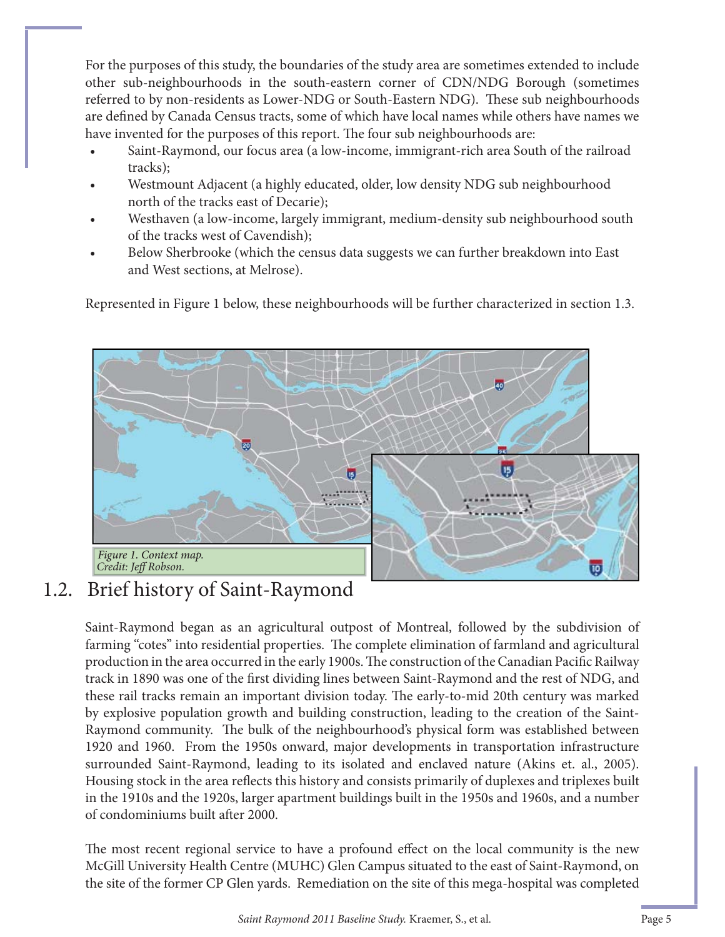For the purposes of this study, the boundaries of the study area are sometimes extended to include other sub-neighbourhoods in the south-eastern corner of CDN/NDG Borough (sometimes referred to by non-residents as Lower-NDG or South-Eastern NDG). These sub neighbourhoods are defined by Canada Census tracts, some of which have local names while others have names we have invented for the purposes of this report. The four sub neighbourhoods are:

- Saint-Raymond, our focus area (a low-income, immigrant-rich area South of the railroad tracks);
- Westmount Adjacent (a highly educated, older, low density NDG sub neighbourhood north of the tracks east of Decarie);
- Westhaven (a low-income, largely immigrant, medium-density sub neighbourhood south of the tracks west of Cavendish);
- Below Sherbrooke (which the census data suggests we can further breakdown into East and West sections, at Melrose).

Represented in Figure 1 below, these neighbourhoods will be further characterized in section 1.3.



## 1.2. Brief history of Saint-Raymond

Saint-Raymond began as an agricultural outpost of Montreal, followed by the subdivision of farming "cotes" into residential properties. The complete elimination of farmland and agricultural production in the area occurred in the early 1900s. The construction of the Canadian Pacific Railway track in 1890 was one of the first dividing lines between Saint-Raymond and the rest of NDG, and these rail tracks remain an important division today. The early-to-mid 20th century was marked by explosive population growth and building construction, leading to the creation of the Saint-Raymond community. The bulk of the neighbourhood's physical form was established between 1920 and 1960. From the 1950s onward, major developments in transportation infrastructure surrounded Saint-Raymond, leading to its isolated and enclaved nature (Akins et. al., 2005). Housing stock in the area reflects this history and consists primarily of duplexes and triplexes built in the 1910s and the 1920s, larger apartment buildings built in the 1950s and 1960s, and a number of condominiums built after 2000.

The most recent regional service to have a profound effect on the local community is the new McGill University Health Centre (MUHC) Glen Campus situated to the east of Saint-Raymond, on the site of the former CP Glen yards. Remediation on the site of this mega-hospital was completed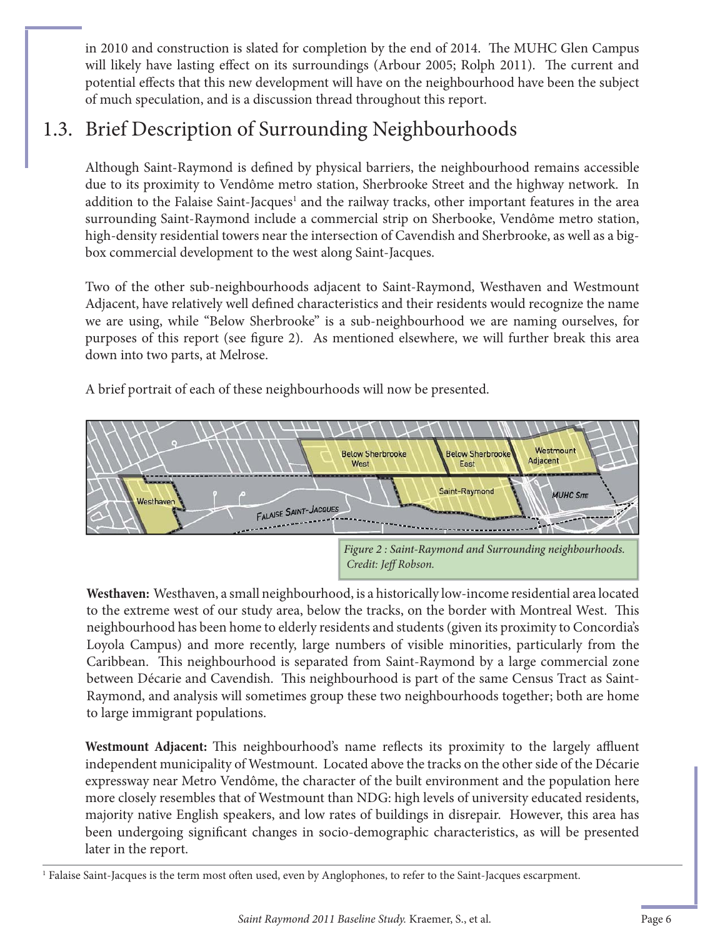in 2010 and construction is slated for completion by the end of 2014. The MUHC Glen Campus will likely have lasting effect on its surroundings (Arbour 2005; Rolph 2011). The current and potential effects that this new development will have on the neighbourhood have been the subject of much speculation, and is a discussion thread throughout this report.

## 1.3. Brief Description of Surrounding Neighbourhoods

Although Saint-Raymond is defined by physical barriers, the neighbourhood remains accessible due to its proximity to Vendôme metro station, Sherbrooke Street and the highway network. In addition to the Falaise Saint-Jacques<sup>1</sup> and the railway tracks, other important features in the area surrounding Saint-Raymond include a commercial strip on Sherbooke, Vendôme metro station, high-density residential towers near the intersection of Cavendish and Sherbrooke, as well as a bigbox commercial development to the west along Saint-Jacques.

Two of the other sub-neighbourhoods adjacent to Saint-Raymond, Westhaven and Westmount Adjacent, have relatively well defined characteristics and their residents would recognize the name we are using, while "Below Sherbrooke" is a sub-neighbourhood we are naming ourselves, for purposes of this report (see figure 2). As mentioned elsewhere, we will further break this area down into two parts, at Melrose.

A brief portrait of each of these neighbourhoods will now be presented.



**Westhaven:** Westhaven, a small neighbourhood, is a historically low-income residential area located to the extreme west of our study area, below the tracks, on the border with Montreal West. This neighbourhood has been home to elderly residents and students (given its proximity to Concordia's Loyola Campus) and more recently, large numbers of visible minorities, particularly from the Caribbean. This neighbourhood is separated from Saint-Raymond by a large commercial zone between Décarie and Cavendish. This neighbourhood is part of the same Census Tract as Saint-Raymond, and analysis will sometimes group these two neighbourhoods together; both are home to large immigrant populations.

**Westmount Adjacent:** This neighbourhood's name reflects its proximity to the largely affluent independent municipality of Westmount. Located above the tracks on the other side of the Décarie expressway near Metro Vendôme, the character of the built environment and the population here more closely resembles that of Westmount than NDG: high levels of university educated residents, majority native English speakers, and low rates of buildings in disrepair. However, this area has been undergoing significant changes in socio-demographic characteristics, as will be presented later in the report.

<sup>&</sup>lt;sup>1</sup> Falaise Saint-Jacques is the term most often used, even by Anglophones, to refer to the Saint-Jacques escarpment.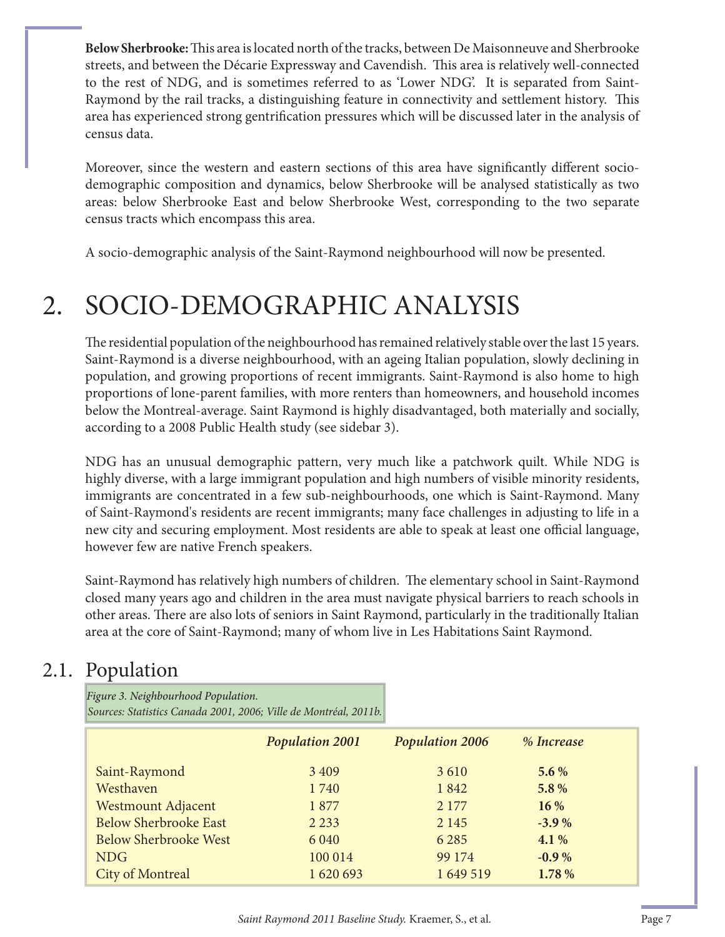**Below Sherbrooke:** This area is located north of the tracks, between De Maisonneuve and Sherbrooke streets, and between the Décarie Expressway and Cavendish. This area is relatively well-connected to the rest of NDG, and is sometimes referred to as 'Lower NDG'. It is separated from Saint-Raymond by the rail tracks, a distinguishing feature in connectivity and settlement history. This area has experienced strong gentrification pressures which will be discussed later in the analysis of census data.

Moreover, since the western and eastern sections of this area have significantly different sociodemographic composition and dynamics, below Sherbrooke will be analysed statistically as two areas: below Sherbrooke East and below Sherbrooke West, corresponding to the two separate census tracts which encompass this area.

A socio-demographic analysis of the Saint-Raymond neighbourhood will now be presented.

## 2. SOCIO-DEMOGRAPHIC ANALYSIS

The residential population of the neighbourhood has remained relatively stable over the last 15 years. Saint-Raymond is a diverse neighbourhood, with an ageing Italian population, slowly declining in population, and growing proportions of recent immigrants. Saint-Raymond is also home to high proportions of lone-parent families, with more renters than homeowners, and household incomes below the Montreal-average. Saint Raymond is highly disadvantaged, both materially and socially, according to a 2008 Public Health study (see sidebar 3).

NDG has an unusual demographic pattern, very much like a patchwork quilt. While NDG is highly diverse, with a large immigrant population and high numbers of visible minority residents, immigrants are concentrated in a few sub-neighbourhoods, one which is Saint-Raymond. Many of Saint-Raymond's residents are recent immigrants; many face challenges in adjusting to life in a new city and securing employment. Most residents are able to speak at least one official language, however few are native French speakers.

Saint-Raymond has relatively high numbers of children. The elementary school in Saint-Raymond closed many years ago and children in the area must navigate physical barriers to reach schools in other areas. There are also lots of seniors in Saint Raymond, particularly in the traditionally Italian area at the core of Saint-Raymond; many of whom live in Les Habitations Saint Raymond.

## 2.1. Population

*Sources: Statistics Canada 2001, 2006; Ville de Montréal, 2011b.* Figure 3. Neighbourhood Population.

|                              | <b>Population 2001</b> | <b>Population 2006</b> | % Increase |  |
|------------------------------|------------------------|------------------------|------------|--|
| Saint-Raymond                | 3 4 0 9                | 3610                   | $5.6\%$    |  |
| Westhaven                    | 1740                   | 1842                   | 5.8%       |  |
| <b>Westmount Adjacent</b>    | 1877                   | 2 1 7 7                | 16 %       |  |
| <b>Below Sherbrooke East</b> | 2 2 3 3                | 2 1 4 5                | $-3.9%$    |  |
| <b>Below Sherbrooke West</b> | 6 0 4 0                | 6 2 8 5                | 4.1%       |  |
| <b>NDG</b>                   | 100 014                | 99 174                 | $-0.9%$    |  |
| <b>City of Montreal</b>      | 1620693                | 1 649 519              | 1.78%      |  |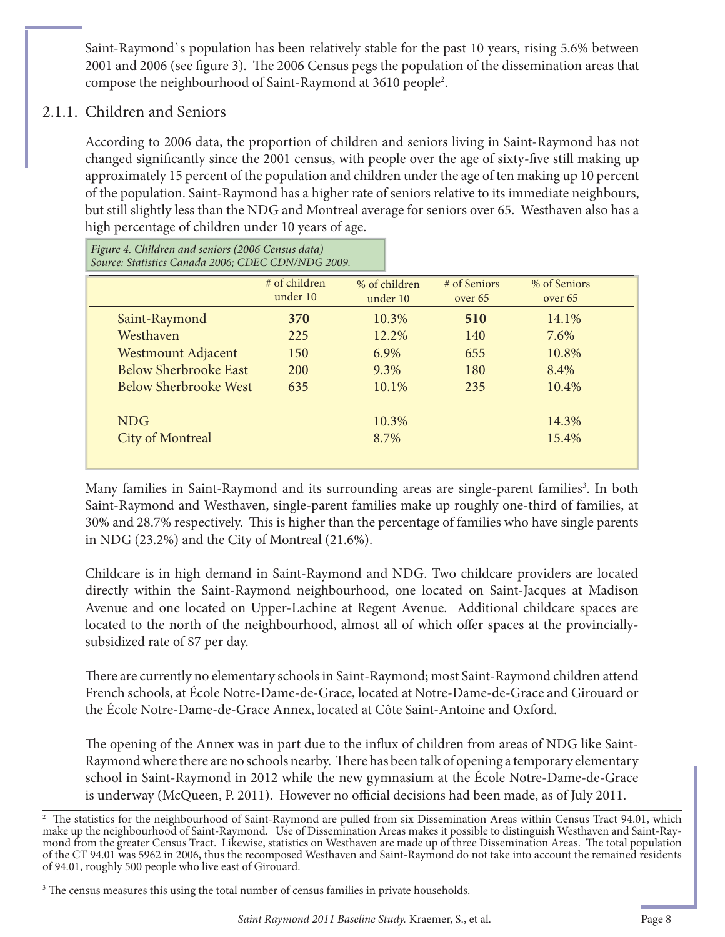Saint-Raymond`s population has been relatively stable for the past 10 years, rising 5.6% between 2001 and 2006 (see figure 3). The 2006 Census pegs the population of the dissemination areas that compose the neighbourhood of Saint-Raymond at 3610 people2 .

#### 2.1.1. Children and Seniors

According to 2006 data, the proportion of children and seniors living in Saint-Raymond has not changed significantly since the 2001 census, with people over the age of sixty-five still making up approximately 15 percent of the population and children under the age of ten making up 10 percent of the population. Saint-Raymond has a higher rate of seniors relative to its immediate neighbours, but still slightly less than the NDG and Montreal average for seniors over 65. Westhaven also has a high percentage of children under 10 years of age.

֦ Saint-Raymond **370** 10.3% **510** 14.1% Westhaven 225 12.2% 140 7.6% Westmount Adjacent 150 6.9% 655 10.8% Below Sherbrooke East 200 9.3% 180 8.4% Below Sherbrooke West 635 10.1% 235 10.4%  $NDG$  and  $10.3\%$  10.3% 14.3% City of Montreal and 8.7% 15.4% # of children under 10 % of Seniors over 65 % of children under 10 # of Seniors over 65 Figure 4. Children and seniors (2006 Census data) *Source: Statistics Canada 2006; CDEC CDN/NDG 2009.*

Many families in Saint-Raymond and its surrounding areas are single-parent families<sup>3</sup>. In both Saint-Raymond and Westhaven, single-parent families make up roughly one-third of families, at 30% and 28.7% respectively. This is higher than the percentage of families who have single parents in NDG (23.2%) and the City of Montreal (21.6%).

Childcare is in high demand in Saint-Raymond and NDG. Two childcare providers are located directly within the Saint-Raymond neighbourhood, one located on Saint-Jacques at Madison Avenue and one located on Upper-Lachine at Regent Avenue. Additional childcare spaces are located to the north of the neighbourhood, almost all of which offer spaces at the provinciallysubsidized rate of \$7 per day.

There are currently no elementary schools in Saint-Raymond; most Saint-Raymond children attend French schools, at École Notre-Dame-de-Grace, located at Notre-Dame-de-Grace and Girouard or the École Notre-Dame-de-Grace Annex, located at Côte Saint-Antoine and Oxford.

The opening of the Annex was in part due to the influx of children from areas of NDG like Saint-Raymond where there are no schools nearby. There has been talk of opening a temporary elementary school in Saint-Raymond in 2012 while the new gymnasium at the École Notre-Dame-de-Grace is underway (McQueen, P. 2011). However no official decisions had been made, as of July 2011.

 $^2$  The statistics for the neighbourhood of Saint-Raymond are pulled from six Dissemination Areas within Census Tract 94.01, which make up the neighbourhood of Saint-Raymond. Use of Dissemination Areas makes it possible to distinguish Westhaven and Saint-Raymond from the greater Census Tract. Likewise, statistics on Westhaven are made up of three Dissemination Areas. The total population of the CT 94.01 was 5962 in 2006, thus the recomposed Westhaven and Saint-Raymond do not take into account the remained residents of 94.01, roughly 500 people who live east of Girouard.

 $3$  The census measures this using the total number of census families in private households.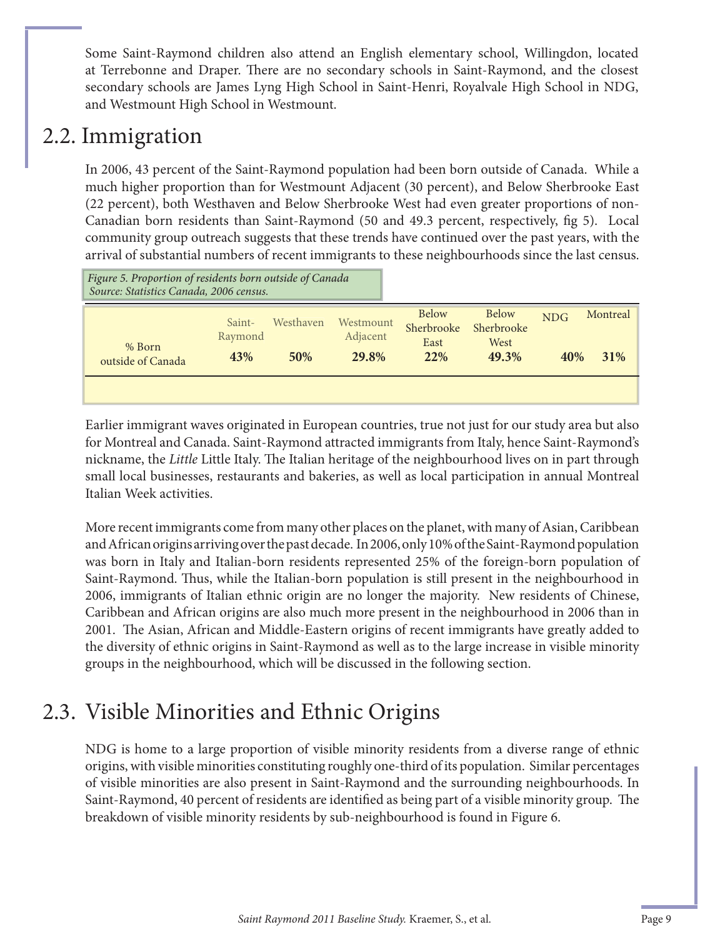Some Saint-Raymond children also attend an English elementary school, Willingdon, located at Terrebonne and Draper. There are no secondary schools in Saint-Raymond, and the closest secondary schools are James Lyng High School in Saint-Henri, Royalvale High School in NDG, and Westmount High School in Westmount.

## 2.2. Immigration

In 2006, 43 percent of the Saint-Raymond population had been born outside of Canada. While a much higher proportion than for Westmount Adjacent (30 percent), and Below Sherbrooke East (22 percent), both Westhaven and Below Sherbrooke West had even greater proportions of non-Canadian born residents than Saint-Raymond (50 and 49.3 percent, respectively, fig 5). Local community group outreach suggests that these trends have continued over the past years, with the arrival of substantial numbers of recent immigrants to these neighbourhoods since the last census.

| Figure 5. Proportion of residents born outside of Canada<br>Source: Statistics Canada, 2006 census. |                   |           |                       |                                    |                                    |            |          |
|-----------------------------------------------------------------------------------------------------|-------------------|-----------|-----------------------|------------------------------------|------------------------------------|------------|----------|
| % Born                                                                                              | Saint-<br>Raymond | Westhaven | Westmount<br>Adjacent | <b>Below</b><br>Sherbrooke<br>East | <b>Below</b><br>Sherbrooke<br>West | <b>NDG</b> | Montreal |
| outside of Canada                                                                                   | 43%               | 50%       | 29.8%                 | <b>22%</b>                         | 49.3%                              | 40%        | 31%      |
|                                                                                                     |                   |           |                       |                                    |                                    |            |          |

Earlier immigrant waves originated in European countries, true not just for our study area but also for Montreal and Canada. Saint-Raymond attracted immigrants from Italy, hence Saint-Raymond's nickname, the *Little* Little Italy. The Italian heritage of the neighbourhood lives on in part through small local businesses, restaurants and bakeries, as well as local participation in annual Montreal Italian Week activities.

More recent immigrants come from many other places on the planet, with many of Asian, Caribbean and African origins arriving over the past decade. In 2006, only 10% of the Saint-Raymond population was born in Italy and Italian-born residents represented 25% of the foreign-born population of Saint-Raymond. Thus, while the Italian-born population is still present in the neighbourhood in 2006, immigrants of Italian ethnic origin are no longer the majority. New residents of Chinese, Caribbean and African origins are also much more present in the neighbourhood in 2006 than in 2001. The Asian, African and Middle-Eastern origins of recent immigrants have greatly added to the diversity of ethnic origins in Saint-Raymond as well as to the large increase in visible minority groups in the neighbourhood, which will be discussed in the following section.

## 2.3. Visible Minorities and Ethnic Origins

NDG is home to a large proportion of visible minority residents from a diverse range of ethnic origins, with visible minorities constituting roughly one-third of its population. Similar percentages of visible minorities are also present in Saint-Raymond and the surrounding neighbourhoods. In Saint-Raymond, 40 percent of residents are identified as being part of a visible minority group. The breakdown of visible minority residents by sub-neighbourhood is found in Figure 6.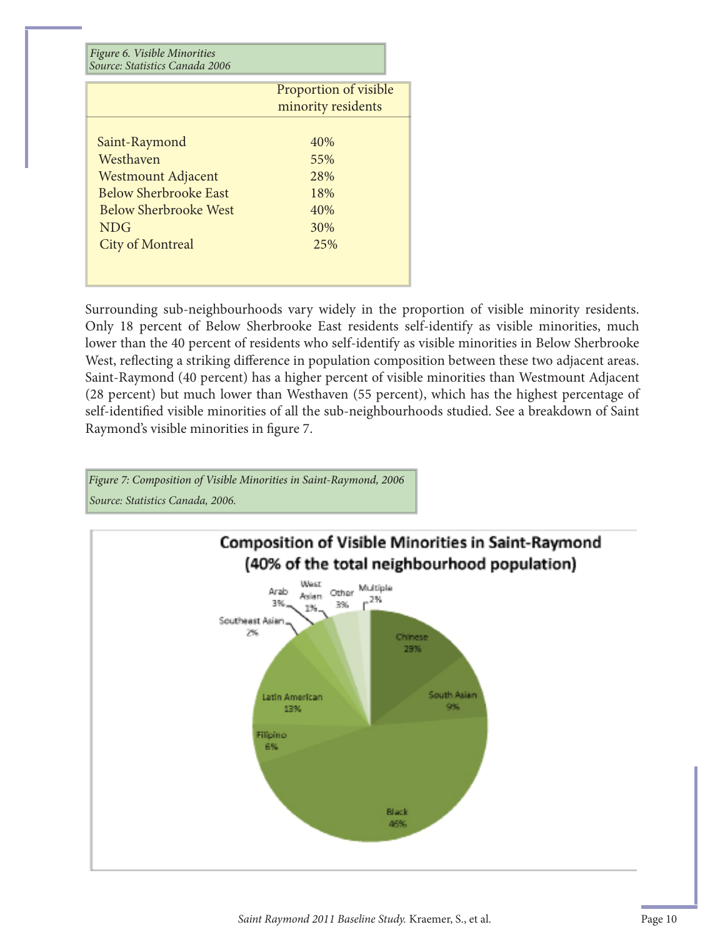| Figure 6. Visible Minorities<br>Source: Statistics Canada 2006 |                                             |
|----------------------------------------------------------------|---------------------------------------------|
|                                                                | Proportion of visible<br>minority residents |
|                                                                |                                             |
| Saint-Raymond                                                  | 40%                                         |
| Westhaven                                                      | 55%                                         |
| <b>Westmount Adjacent</b>                                      | 28%                                         |
| <b>Below Sherbrooke East</b>                                   | 18%                                         |
| <b>Below Sherbrooke West</b>                                   | 40%                                         |
| <b>NDG</b>                                                     | 30%                                         |
| <b>City of Montreal</b>                                        | 25%                                         |

Surrounding sub-neighbourhoods vary widely in the proportion of visible minority residents. Only 18 percent of Below Sherbrooke East residents self-identify as visible minorities, much lower than the 40 percent of residents who self-identify as visible minorities in Below Sherbrooke West, reflecting a striking difference in population composition between these two adjacent areas. Saint-Raymond (40 percent) has a higher percent of visible minorities than Westmount Adjacent (28 percent) but much lower than Westhaven (55 percent), which has the highest percentage of self-identified visible minorities of all the sub-neighbourhoods studied. See a breakdown of Saint Raymond's visible minorities in figure 7.



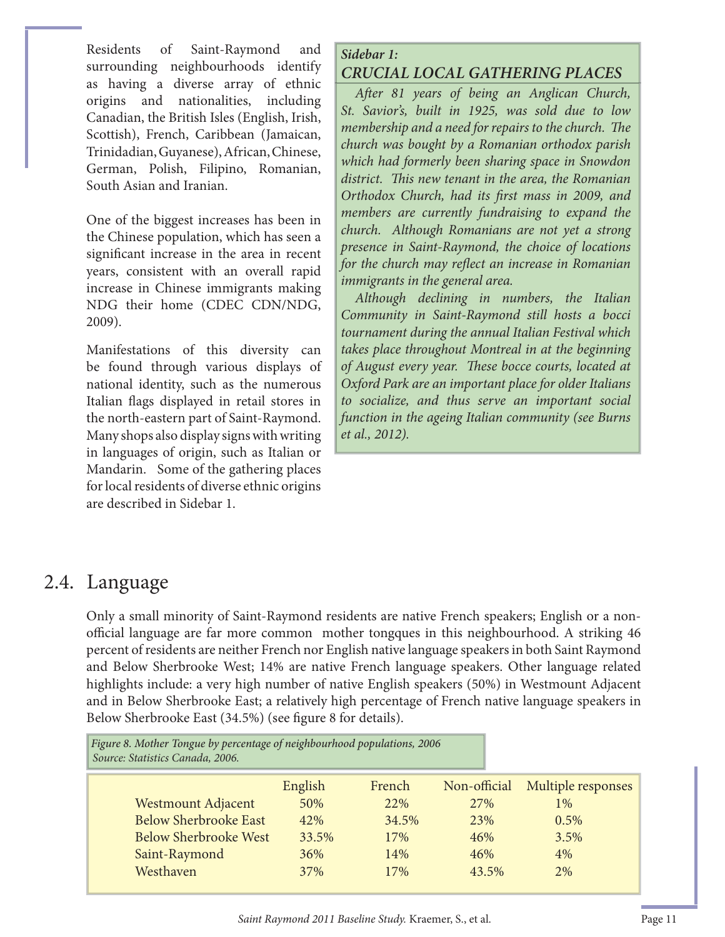Residents of Saint-Raymond and surrounding neighbourhoods identify as having a diverse array of ethnic origins and nationalities, including Canadian, the British Isles (English, Irish, Scottish), French, Caribbean (Jamaican, Trinidadian, Guyanese), African, Chinese, German, Polish, Filipino, Romanian, South Asian and Iranian.

One of the biggest increases has been in the Chinese population, which has seen a significant increase in the area in recent years, consistent with an overall rapid increase in Chinese immigrants making NDG their home (CDEC CDN/NDG, 2009).

Manifestations of this diversity can be found through various displays of national identity, such as the numerous Italian flags displayed in retail stores in the north-eastern part of Saint-Raymond. Many shops also display signs with writing in languages of origin, such as Italian or Mandarin. Some of the gathering places for local residents of diverse ethnic origins are described in Sidebar 1.

#### *Sidebar 1: CRUCIAL LOCAL GATHERING PLACES*

*Aft er 81 years of being an Anglican Church, St. Savior's, built in 1925, was sold due to low membership and a need for repairs to the church. The church was bought by a Romanian orthodox parish which had formerly been sharing space in Snowdon*  district. This new tenant in the area, the Romanian *Orthodox Church, had its first mass in 2009, and members are currently fundraising to expand the church. Although Romanians are not yet a strong presence in Saint-Raymond, the choice of locations for the church may reflect an increase in Romanian immigrants in the general area.* 

*Although declining in numbers, the Italian Community in Saint-Raymond still hosts a bocci tournament during the annual Italian Festival which takes place throughout Montreal in at the beginning of August every year. Th ese bocce courts, located at Oxford Park are an important place for older Italians to socialize, and thus serve an important social function in the ageing Italian community (see Burns et al., 2012).*

### 2.4. Language

Only a small minority of Saint-Raymond residents are native French speakers; English or a nonofficial language are far more common mother tongques in this neighbourhood. A striking 46 percent of residents are neither French nor English native language speakers in both Saint Raymond and Below Sherbrooke West; 14% are native French language speakers. Other language related highlights include: a very high number of native English speakers (50%) in Westmount Adjacent and in Below Sherbrooke East; a relatively high percentage of French native language speakers in Below Sherbrooke East (34.5%) (see figure 8 for details).

Figure 8. Mother Tongue by percentage of neighbourhood populations, 2006 *Source: Statistics Canada, 2006.*

|                              | English | French | Non-official | Multiple responses |
|------------------------------|---------|--------|--------------|--------------------|
| <b>Westmount Adjacent</b>    | 50%     | 22%    | 27%          | $1\%$              |
| <b>Below Sherbrooke East</b> | 42%     | 34.5%  | 23%          | 0.5%               |
| <b>Below Sherbrooke West</b> | 33.5%   | 17%    | 46%          | 3.5%               |
| Saint-Raymond                | 36%     | 14%    | 46%          | 4%                 |
| Westhaven                    | 37%     | 17%    | 43.5%        | 2%                 |
|                              |         |        |              |                    |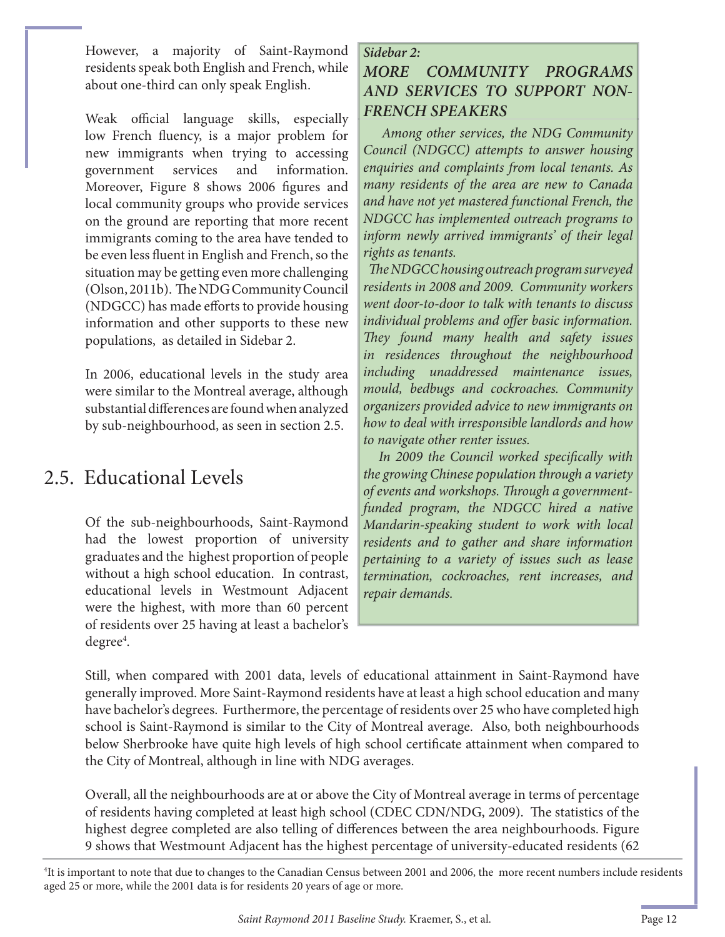However, a majority of Saint-Raymond residents speak both English and French, while about one-third can only speak English.

Weak official language skills, especially low French fluency, is a major problem for new immigrants when trying to accessing government services and information. Moreover, Figure 8 shows 2006 figures and local community groups who provide services on the ground are reporting that more recent immigrants coming to the area have tended to be even less fluent in English and French, so the situation may be getting even more challenging (Olson, 2011b). The NDG Community Council (NDGCC) has made efforts to provide housing information and other supports to these new populations, as detailed in Sidebar 2.

In 2006, educational levels in the study area were similar to the Montreal average, although substantial differences are found when analyzed by sub-neighbourhood, as seen in section 2.5.

## 2.5. Educational Levels

Of the sub-neighbourhoods, Saint-Raymond had the lowest proportion of university graduates and the highest proportion of people without a high school education. In contrast, educational levels in Westmount Adjacent were the highest, with more than 60 percent of residents over 25 having at least a bachelor's degree<sup>4</sup>.

#### *Sidebar 2: MORE COMMUNITY PROGRAMS AND SERVICES TO SUPPORT NON-FRENCH SPEAKERS*

 *Among other services, the NDG Community Council (NDGCC) attempts to answer housing enquiries and complaints from local tenants. As many residents of the area are new to Canada and have not yet mastered functional French, the NDGCC has implemented outreach programs to inform newly arrived immigrants' of their legal rights as tenants.* 

 *Th e NDGCC housing outreach program surveyed residents in 2008 and 2009. Community workers went door-to-door to talk with tenants to discuss individual problems and offer basic information. Th ey found many health and safety issues in residences throughout the neighbourhood including unaddressed maintenance issues, mould, bedbugs and cockroaches. Community organizers provided advice to new immigrants on how to deal with irresponsible landlords and how to navigate other renter issues.*

In 2009 the Council worked specifically with *the growing Chinese population through a variety*  of events and workshops. Through a government*funded program, the NDGCC hired a native Mandarin-speaking student to work with local residents and to gather and share information pertaining to a variety of issues such as lease termination, cockroaches, rent increases, and repair demands.* 

Still, when compared with 2001 data, levels of educational attainment in Saint-Raymond have generally improved. More Saint-Raymond residents have at least a high school education and many have bachelor's degrees. Furthermore, the percentage of residents over 25 who have completed high school is Saint-Raymond is similar to the City of Montreal average. Also, both neighbourhoods below Sherbrooke have quite high levels of high school certificate attainment when compared to the City of Montreal, although in line with NDG averages.

Overall, all the neighbourhoods are at or above the City of Montreal average in terms of percentage of residents having completed at least high school (CDEC CDN/NDG, 2009). The statistics of the highest degree completed are also telling of differences between the area neighbourhoods. Figure 9 shows that Westmount Adjacent has the highest percentage of university-educated residents (62

4 It is important to note that due to changes to the Canadian Census between 2001 and 2006, the more recent numbers include residents aged 25 or more, while the 2001 data is for residents 20 years of age or more.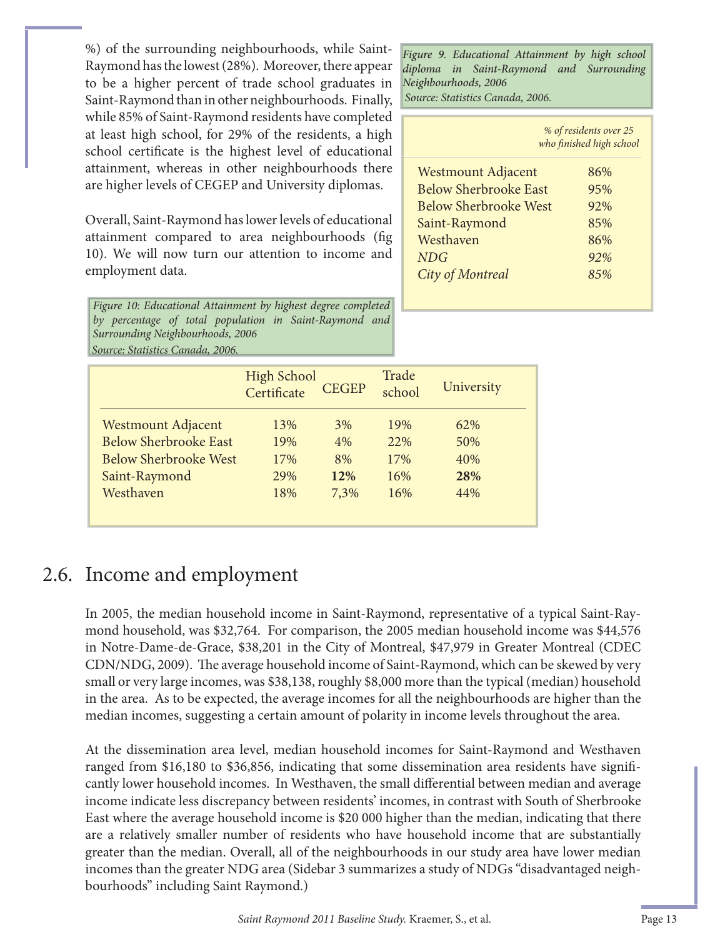%) of the surrounding neighbourhoods, while Saint-Raymond has the lowest (28%). Moreover, there appear to be a higher percent of trade school graduates in Saint-Raymond than in other neighbourhoods. Finally, while 85% of Saint-Raymond residents have completed at least high school, for 29% of the residents, a high school certificate is the highest level of educational attainment, whereas in other neighbourhoods there are higher levels of CEGEP and University diplomas.

Overall, Saint-Raymond has lower levels of educational attainment compared to area neighbourhoods (fig. 10). We will now turn our attention to income and employment data.

*Figure 10: Educational Attainment by highest degree completed by percentage of total population in Saint-Raymond and Surrounding Neighbourhoods, 2006 Source: Statistics Canada, 2006.* 

*Source: Statistics Canada, 2006.*  Figure 9. Educational Attainment by high school diploma in Saint-Raymond and Surrounding Neighbourhoods, 2006

|                              | % of residents over 25<br>who finished high school |
|------------------------------|----------------------------------------------------|
| <b>Westmount Adjacent</b>    | 86%                                                |
| <b>Below Sherbrooke East</b> | 95%                                                |
| <b>Below Sherbrooke West</b> | 92%                                                |
| Saint-Raymond                | 85%                                                |
| Westhaven                    | 86%                                                |
| NDG                          | 92%                                                |
| City of Montreal             | 8.5%                                               |

|                              | <b>High School</b><br>Certificate | <b>CEGEP</b> | Trade<br>school | University |
|------------------------------|-----------------------------------|--------------|-----------------|------------|
| <b>Westmount Adjacent</b>    | 13%                               | 3%           | 19%             | 62%        |
| <b>Below Sherbrooke East</b> | 19%                               | 4%           | 22%             | 50%        |
| <b>Below Sherbrooke West</b> | 17%                               | 8%           | 17%             | 40%        |
| Saint-Raymond                | 29%                               | 12%          | 16%             | 28%        |
| Westhaven                    | 18%                               | 7,3%         | 16%             | 44%        |
|                              |                                   |              |                 |            |

### 2.6. Income and employment

In 2005, the median household income in Saint-Raymond, representative of a typical Saint-Raymond household, was \$32,764. For comparison, the 2005 median household income was \$44,576 in Notre-Dame-de-Grace, \$38,201 in the City of Montreal, \$47,979 in Greater Montreal (CDEC CDN/NDG, 2009). The average household income of Saint-Raymond, which can be skewed by very small or very large incomes, was \$38,138, roughly \$8,000 more than the typical (median) household in the area. As to be expected, the average incomes for all the neighbourhoods are higher than the median incomes, suggesting a certain amount of polarity in income levels throughout the area.

At the dissemination area level, median household incomes for Saint-Raymond and Westhaven ranged from \$16,180 to \$36,856, indicating that some dissemination area residents have significantly lower household incomes. In Westhaven, the small differential between median and average income indicate less discrepancy between residents' incomes, in contrast with South of Sherbrooke East where the average household income is \$20 000 higher than the median, indicating that there are a relatively smaller number of residents who have household income that are substantially greater than the median. Overall, all of the neighbourhoods in our study area have lower median incomes than the greater NDG area (Sidebar 3 summarizes a study of NDGs "disadvantaged neighbourhoods" including Saint Raymond.)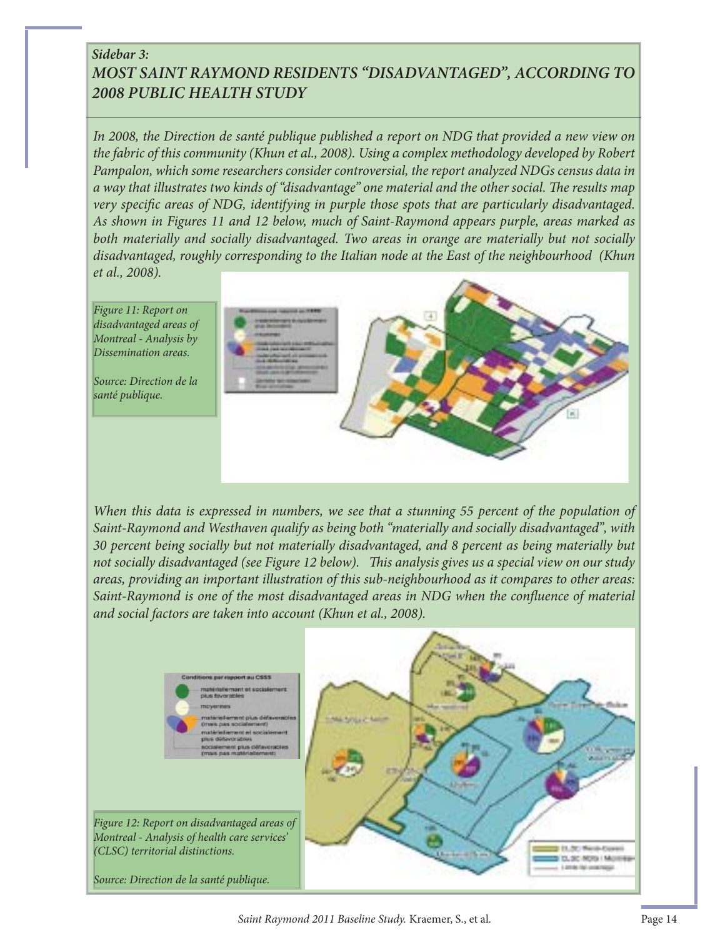#### *Sidebar 3: MOST SAINT RAYMOND RESIDENTS "DISADVANTAGED", ACCORDING TO 2008 PUBLIC HEALTH STUDY*

*In 2008, the Direction de santé publique published a report on NDG that provided a new view on the fabric of this community (Khun et al., 2008). Using a complex methodology developed by Robert Pampalon, which some researchers consider controversial, the report analyzed NDGs census data in*  a way that illustrates two kinds of "disadvantage" one material and the other social. The results map *very specific areas of NDG, identifying in purple those spots that are particularly disadvantaged. As shown in Figures 11 and 12 below, much of Saint-Raymond appears purple, areas marked as both materially and socially disadvantaged. Two areas in orange are materially but not socially disadvantaged, roughly corresponding to the Italian node at the East of the neighbourhood (Khun et al., 2008).*



When this data is expressed in numbers, we see that a stunning 55 percent of the population of *Saint-Raymond and Westhaven qualify as being both "materially and socially disadvantaged", with 30 percent being socially but not materially disadvantaged, and 8 percent as being materially but*  not socially disadvantaged (see Figure 12 below). This analysis gives us a special view on our study *areas, providing an important illustration of this sub-neighbourhood as it compares to other areas: Saint-Raymond is one of the most disadvantaged areas in NDG when the confluence of material and social factors are taken into account (Khun et al., 2008).*

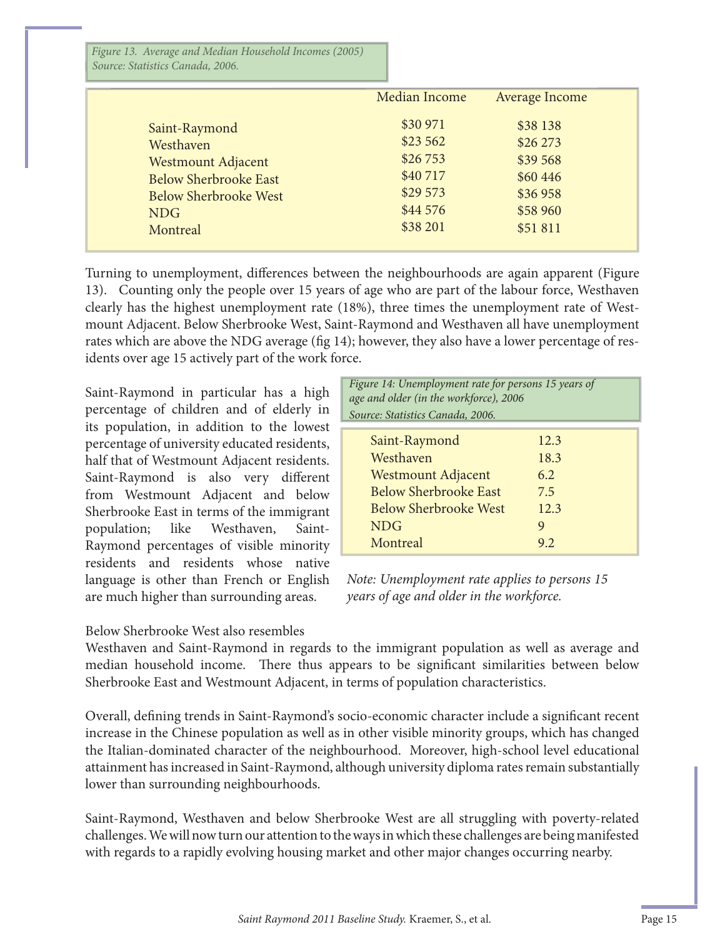*Figure 13. Average and Median Household Incomes (2005) Source: Statistics Canada, 2006.* 

|                              | Median Income | Average Income |
|------------------------------|---------------|----------------|
| Saint-Raymond                | \$30 971      | \$38 138       |
| Westhaven                    | \$23 562      | \$26 273       |
| <b>Westmount Adjacent</b>    | \$26753       | \$39 568       |
| <b>Below Sherbrooke East</b> | \$40717       | \$60 446       |
| <b>Below Sherbrooke West</b> | \$29 573      | \$36 958       |
| <b>NDG</b>                   | \$44 576      | \$58 960       |
| Montreal                     | \$38 201      | \$51 811       |

Turning to unemployment, differences between the neighbourhoods are again apparent (Figure 13). Counting only the people over 15 years of age who are part of the labour force, Westhaven clearly has the highest unemployment rate (18%), three times the unemployment rate of Westmount Adjacent. Below Sherbrooke West, Saint-Raymond and Westhaven all have unemployment rates which are above the NDG average (fig 14); however, they also have a lower percentage of residents over age 15 actively part of the work force.

Saint-Raymond in particular has a high percentage of children and of elderly in its population, in addition to the lowest percentage of university educated residents, half that of Westmount Adjacent residents. Saint-Raymond is also very different from Westmount Adjacent and below Sherbrooke East in terms of the immigrant population; like Westhaven, Saint-Raymond percentages of visible minority residents and residents whose native language is other than French or English are much higher than surrounding areas.

| Figure 14: Unemployment rate for persons 15 years of<br>age and older (in the workforce), 2006<br>Source: Statistics Canada, 2006. |  |  |  |  |
|------------------------------------------------------------------------------------------------------------------------------------|--|--|--|--|
| 12.3                                                                                                                               |  |  |  |  |
| 18.3                                                                                                                               |  |  |  |  |
| 6.2                                                                                                                                |  |  |  |  |
| 7.5                                                                                                                                |  |  |  |  |
| 12.3                                                                                                                               |  |  |  |  |
| 9                                                                                                                                  |  |  |  |  |
| 9.2                                                                                                                                |  |  |  |  |
|                                                                                                                                    |  |  |  |  |

*Note: Unemployment rate applies to persons 15 years of age and older in the workforce.*

#### Below Sherbrooke West also resembles

Westhaven and Saint-Raymond in regards to the immigrant population as well as average and median household income. There thus appears to be significant similarities between below Sherbrooke East and Westmount Adjacent, in terms of population characteristics.

Overall, defining trends in Saint-Raymond's socio-economic character include a significant recent increase in the Chinese population as well as in other visible minority groups, which has changed the Italian-dominated character of the neighbourhood. Moreover, high-school level educational attainment has increased in Saint-Raymond, although university diploma rates remain substantially lower than surrounding neighbourhoods.

Saint-Raymond, Westhaven and below Sherbrooke West are all struggling with poverty-related challenges. We will now turn our attention to the ways in which these challenges are being manifested with regards to a rapidly evolving housing market and other major changes occurring nearby.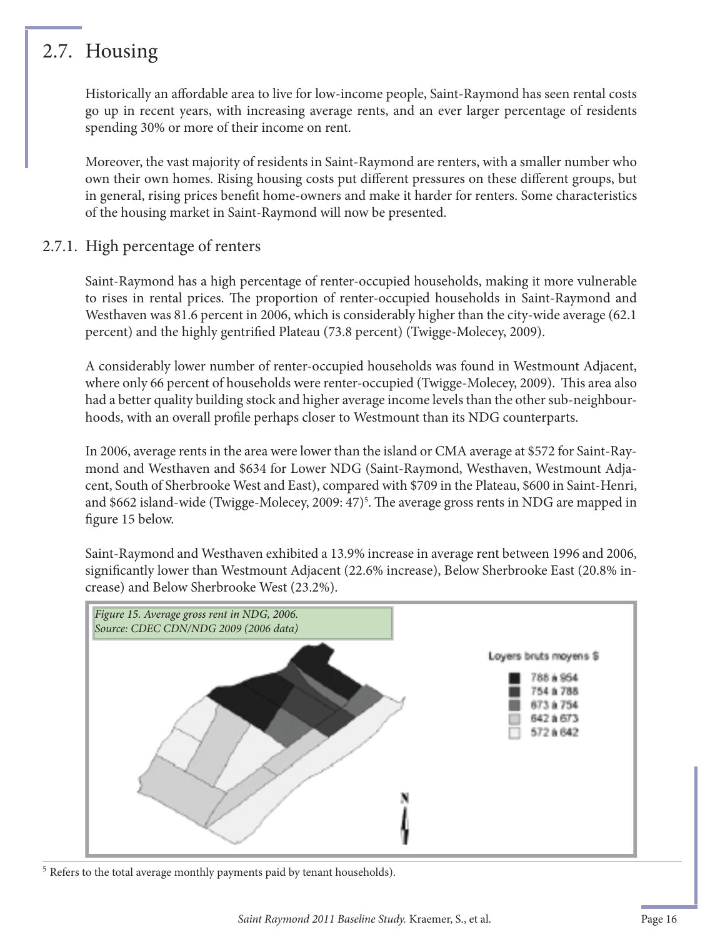## 2.7. Housing

Historically an affordable area to live for low-income people, Saint-Raymond has seen rental costs go up in recent years, with increasing average rents, and an ever larger percentage of residents spending 30% or more of their income on rent.

Moreover, the vast majority of residents in Saint-Raymond are renters, with a smaller number who own their own homes. Rising housing costs put different pressures on these different groups, but in general, rising prices benefit home-owners and make it harder for renters. Some characteristics of the housing market in Saint-Raymond will now be presented.

#### 2.7.1. High percentage of renters

Saint-Raymond has a high percentage of renter-occupied households, making it more vulnerable to rises in rental prices. The proportion of renter-occupied households in Saint-Raymond and Westhaven was 81.6 percent in 2006, which is considerably higher than the city-wide average (62.1 percent) and the highly gentrified Plateau (73.8 percent) (Twigge-Molecey, 2009).

A considerably lower number of renter-occupied households was found in Westmount Adjacent, where only 66 percent of households were renter-occupied (Twigge-Molecey, 2009). This area also had a better quality building stock and higher average income levels than the other sub-neighbourhoods, with an overall profile perhaps closer to Westmount than its NDG counterparts.

In 2006, average rents in the area were lower than the island or CMA average at \$572 for Saint-Raymond and Westhaven and \$634 for Lower NDG (Saint-Raymond, Westhaven, Westmount Adjacent, South of Sherbrooke West and East), compared with \$709 in the Plateau, \$600 in Saint-Henri, and \$662 island-wide (Twigge-Molecey, 2009: 47)<sup>5</sup>. The average gross rents in NDG are mapped in figure 15 below.

Saint-Raymond and Westhaven exhibited a 13.9% increase in average rent between 1996 and 2006, significantly lower than Westmount Adjacent (22.6% increase), Below Sherbrooke East (20.8% increase) and Below Sherbrooke West (23.2%).



<sup>5</sup> Refers to the total average monthly payments paid by tenant households).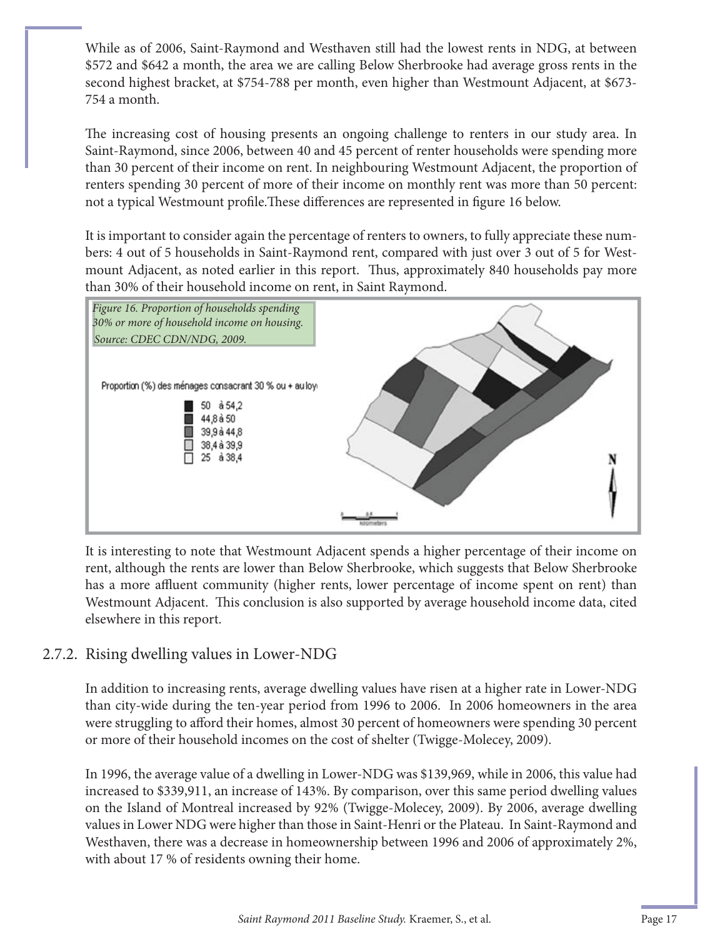While as of 2006, Saint-Raymond and Westhaven still had the lowest rents in NDG, at between \$572 and \$642 a month, the area we are calling Below Sherbrooke had average gross rents in the second highest bracket, at \$754-788 per month, even higher than Westmount Adjacent, at \$673- 754 a month.

The increasing cost of housing presents an ongoing challenge to renters in our study area. In Saint-Raymond, since 2006, between 40 and 45 percent of renter households were spending more than 30 percent of their income on rent. In neighbouring Westmount Adjacent, the proportion of renters spending 30 percent of more of their income on monthly rent was more than 50 percent: not a typical Westmount profile. These differences are represented in figure 16 below.

It is important to consider again the percentage of renters to owners, to fully appreciate these numbers: 4 out of 5 households in Saint-Raymond rent, compared with just over 3 out of 5 for Westmount Adjacent, as noted earlier in this report. Thus, approximately 840 households pay more than 30% of their household income on rent, in Saint Raymond.



It is interesting to note that Westmount Adjacent spends a higher percentage of their income on rent, although the rents are lower than Below Sherbrooke, which suggests that Below Sherbrooke has a more affluent community (higher rents, lower percentage of income spent on rent) than Westmount Adjacent. This conclusion is also supported by average household income data, cited elsewhere in this report.

#### 2.7.2. Rising dwelling values in Lower-NDG

In addition to increasing rents, average dwelling values have risen at a higher rate in Lower-NDG than city-wide during the ten-year period from 1996 to 2006. In 2006 homeowners in the area were struggling to afford their homes, almost 30 percent of homeowners were spending 30 percent or more of their household incomes on the cost of shelter (Twigge-Molecey, 2009).

In 1996, the average value of a dwelling in Lower-NDG was \$139,969, while in 2006, this value had increased to \$339,911, an increase of 143%. By comparison, over this same period dwelling values on the Island of Montreal increased by 92% (Twigge-Molecey, 2009). By 2006, average dwelling values in Lower NDG were higher than those in Saint-Henri or the Plateau. In Saint-Raymond and Westhaven, there was a decrease in homeownership between 1996 and 2006 of approximately 2%, with about 17 % of residents owning their home.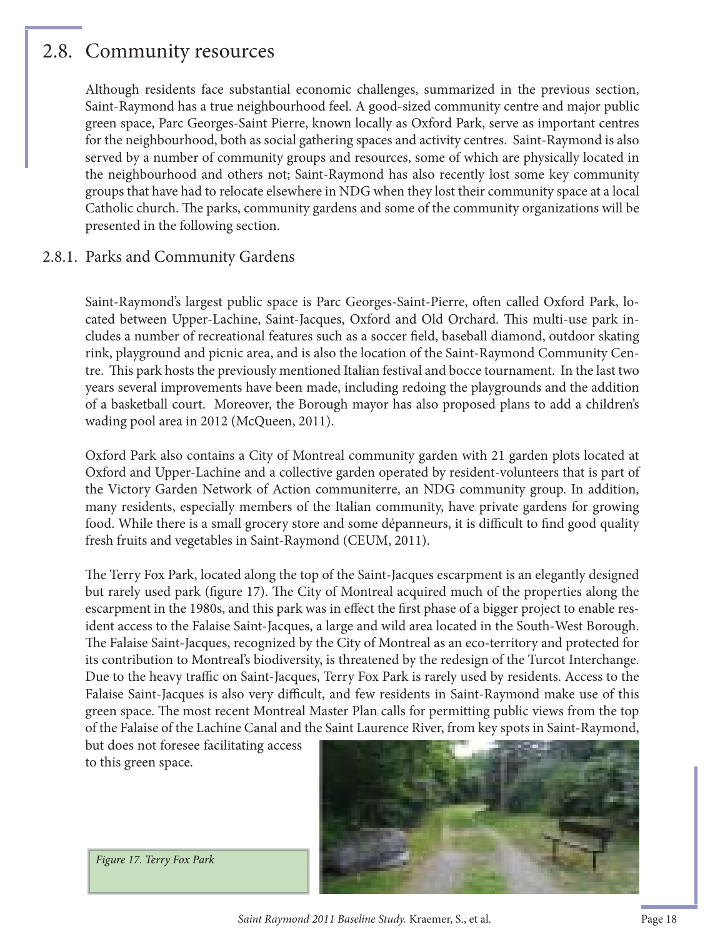### 2.8. Community resources

Although residents face substantial economic challenges, summarized in the previous section, Saint-Raymond has a true neighbourhood feel. A good-sized community centre and major public green space, Parc Georges-Saint Pierre, known locally as Oxford Park, serve as important centres for the neighbourhood, both as social gathering spaces and activity centres. Saint-Raymond is also served by a number of community groups and resources, some of which are physically located in the neighbourhood and others not; Saint-Raymond has also recently lost some key community groups that have had to relocate elsewhere in NDG when they lost their community space at a local Catholic church. The parks, community gardens and some of the community organizations will be presented in the following section.

#### 2.8.1. Parks and Community Gardens

Saint-Raymond's largest public space is Parc Georges-Saint-Pierre, often called Oxford Park, located between Upper-Lachine, Saint-Jacques, Oxford and Old Orchard. This multi-use park includes a number of recreational features such as a soccer field, baseball diamond, outdoor skating rink, playground and picnic area, and is also the location of the Saint-Raymond Community Centre. This park hosts the previously mentioned Italian festival and bocce tournament. In the last two years several improvements have been made, including redoing the playgrounds and the addition of a basketball court. Moreover, the Borough mayor has also proposed plans to add a children's wading pool area in 2012 (McQueen, 2011).

Oxford Park also contains a City of Montreal community garden with 21 garden plots located at Oxford and Upper-Lachine and a collective garden operated by resident-volunteers that is part of the Victory Garden Network of Action communiterre, an NDG community group. In addition, many residents, especially members of the Italian community, have private gardens for growing food. While there is a small grocery store and some dépanneurs, it is difficult to find good quality fresh fruits and vegetables in Saint-Raymond (CEUM, 2011).

The Terry Fox Park, located along the top of the Saint-Jacques escarpment is an elegantly designed but rarely used park (figure 17). The City of Montreal acquired much of the properties along the escarpment in the 1980s, and this park was in effect the first phase of a bigger project to enable resident access to the Falaise Saint-Jacques, a large and wild area located in the South-West Borough. The Falaise Saint-Jacques, recognized by the City of Montreal as an eco-territory and protected for its contribution to Montreal's biodiversity, is threatened by the redesign of the Turcot Interchange. Due to the heavy traffic on Saint-Jacques, Terry Fox Park is rarely used by residents. Access to the Falaise Saint-Jacques is also very difficult, and few residents in Saint-Raymond make use of this green space. The most recent Montreal Master Plan calls for permitting public views from the top of the Falaise of the Lachine Canal and the Saint Laurence River, from key spots in Saint-Raymond,

but does not foresee facilitating access to this green space.



Figure 17. Terry Fox Park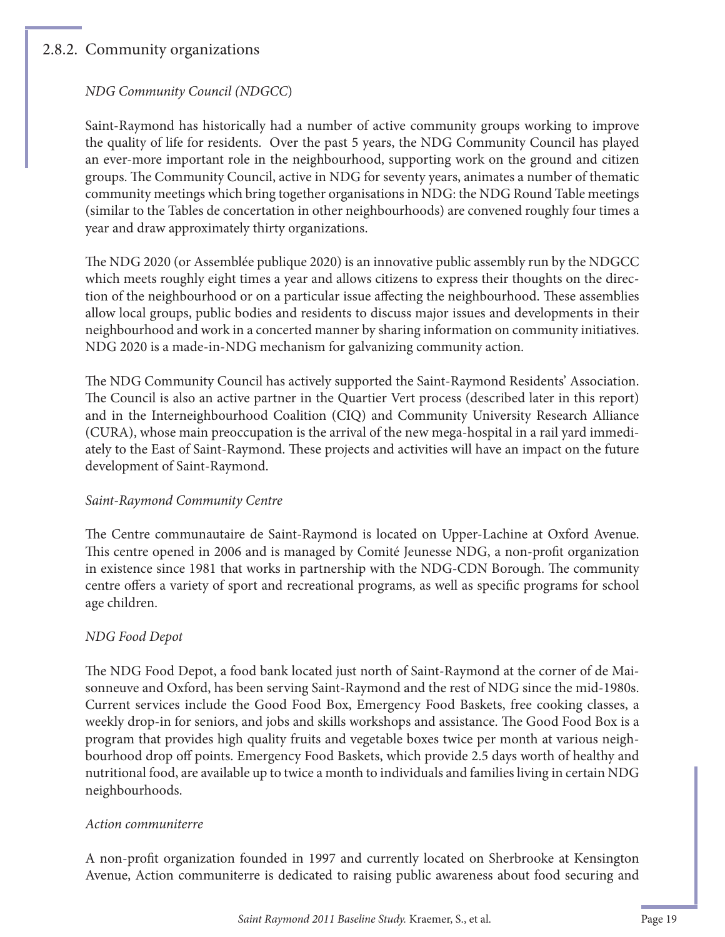#### 2.8.2. Community organizations

#### *NDG Community Council (NDGCC*)

Saint-Raymond has historically had a number of active community groups working to improve the quality of life for residents. Over the past 5 years, the NDG Community Council has played an ever-more important role in the neighbourhood, supporting work on the ground and citizen groups. The Community Council, active in NDG for seventy years, animates a number of thematic community meetings which bring together organisations in NDG: the NDG Round Table meetings (similar to the Tables de concertation in other neighbourhoods) are convened roughly four times a year and draw approximately thirty organizations.

The NDG 2020 (or Assemblée publique 2020) is an innovative public assembly run by the NDGCC which meets roughly eight times a year and allows citizens to express their thoughts on the direction of the neighbourhood or on a particular issue affecting the neighbourhood. These assemblies allow local groups, public bodies and residents to discuss major issues and developments in their neighbourhood and work in a concerted manner by sharing information on community initiatives. NDG 2020 is a made-in-NDG mechanism for galvanizing community action.

The NDG Community Council has actively supported the Saint-Raymond Residents' Association. The Council is also an active partner in the Quartier Vert process (described later in this report) and in the Interneighbourhood Coalition (CIQ) and Community University Research Alliance (CURA), whose main preoccupation is the arrival of the new mega-hospital in a rail yard immediately to the East of Saint-Raymond. These projects and activities will have an impact on the future development of Saint-Raymond.

#### *Saint-Raymond Community Centre*

The Centre communautaire de Saint-Raymond is located on Upper-Lachine at Oxford Avenue. This centre opened in 2006 and is managed by Comité Jeunesse NDG, a non-profit organization in existence since 1981 that works in partnership with the NDG-CDN Borough. The community centre offers a variety of sport and recreational programs, as well as specific programs for school age children.

#### *NDG Food Depot*

The NDG Food Depot, a food bank located just north of Saint-Raymond at the corner of de Maisonneuve and Oxford, has been serving Saint-Raymond and the rest of NDG since the mid-1980s. Current services include the Good Food Box, Emergency Food Baskets, free cooking classes, a weekly drop-in for seniors, and jobs and skills workshops and assistance. The Good Food Box is a program that provides high quality fruits and vegetable boxes twice per month at various neighbourhood drop off points. Emergency Food Baskets, which provide 2.5 days worth of healthy and nutritional food, are available up to twice a month to individuals and families living in certain NDG neighbourhoods.

#### *Action communiterre*

A non-profi t organization founded in 1997 and currently located on Sherbrooke at Kensington Avenue, Action communiterre is dedicated to raising public awareness about food securing and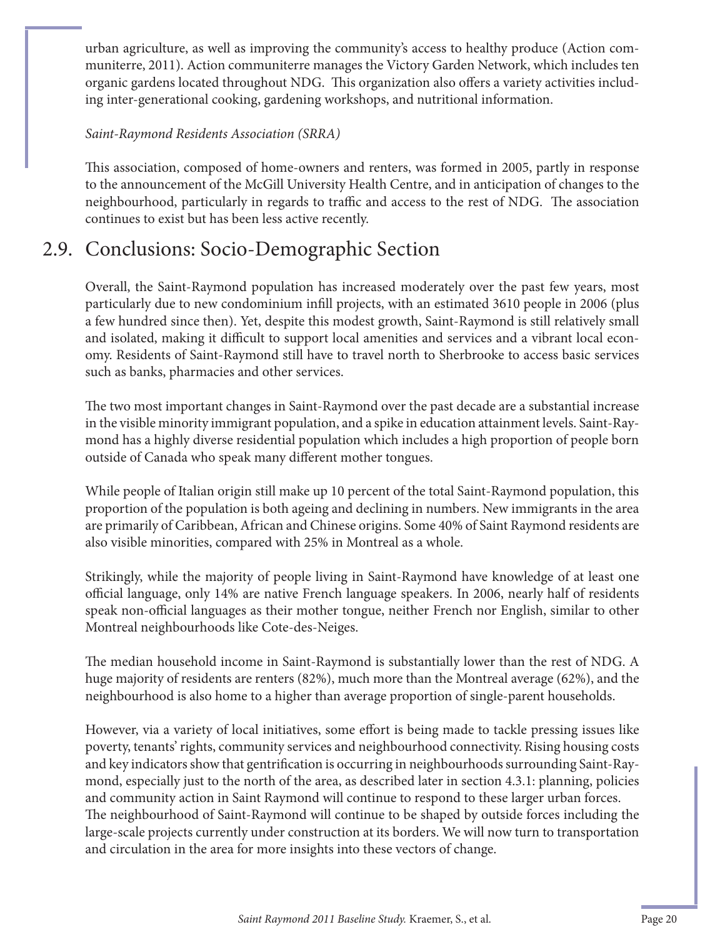urban agriculture, as well as improving the community's access to healthy produce (Action communiterre, 2011). Action communiterre manages the Victory Garden Network, which includes ten organic gardens located throughout NDG. This organization also offers a variety activities including inter-generational cooking, gardening workshops, and nutritional information.

#### *Saint-Raymond Residents Association (SRRA)*

This association, composed of home-owners and renters, was formed in 2005, partly in response to the announcement of the McGill University Health Centre, and in anticipation of changes to the neighbourhood, particularly in regards to traffic and access to the rest of NDG. The association continues to exist but has been less active recently.

## 2.9. Conclusions: Socio-Demographic Section

Overall, the Saint-Raymond population has increased moderately over the past few years, most particularly due to new condominium infill projects, with an estimated 3610 people in 2006 (plus a few hundred since then). Yet, despite this modest growth, Saint-Raymond is still relatively small and isolated, making it difficult to support local amenities and services and a vibrant local economy. Residents of Saint-Raymond still have to travel north to Sherbrooke to access basic services such as banks, pharmacies and other services.

The two most important changes in Saint-Raymond over the past decade are a substantial increase in the visible minority immigrant population, and a spike in education attainment levels. Saint-Raymond has a highly diverse residential population which includes a high proportion of people born outside of Canada who speak many different mother tongues.

While people of Italian origin still make up 10 percent of the total Saint-Raymond population, this proportion of the population is both ageing and declining in numbers. New immigrants in the area are primarily of Caribbean, African and Chinese origins. Some 40% of Saint Raymond residents are also visible minorities, compared with 25% in Montreal as a whole.

Strikingly, while the majority of people living in Saint-Raymond have knowledge of at least one official language, only 14% are native French language speakers. In 2006, nearly half of residents speak non-official languages as their mother tongue, neither French nor English, similar to other Montreal neighbourhoods like Cote-des-Neiges.

The median household income in Saint-Raymond is substantially lower than the rest of NDG. A huge majority of residents are renters (82%), much more than the Montreal average (62%), and the neighbourhood is also home to a higher than average proportion of single-parent households.

However, via a variety of local initiatives, some effort is being made to tackle pressing issues like poverty, tenants' rights, community services and neighbourhood connectivity. Rising housing costs and key indicators show that gentrification is occurring in neighbourhoods surrounding Saint-Raymond, especially just to the north of the area, as described later in section 4.3.1: planning, policies and community action in Saint Raymond will continue to respond to these larger urban forces. The neighbourhood of Saint-Raymond will continue to be shaped by outside forces including the large-scale projects currently under construction at its borders. We will now turn to transportation and circulation in the area for more insights into these vectors of change.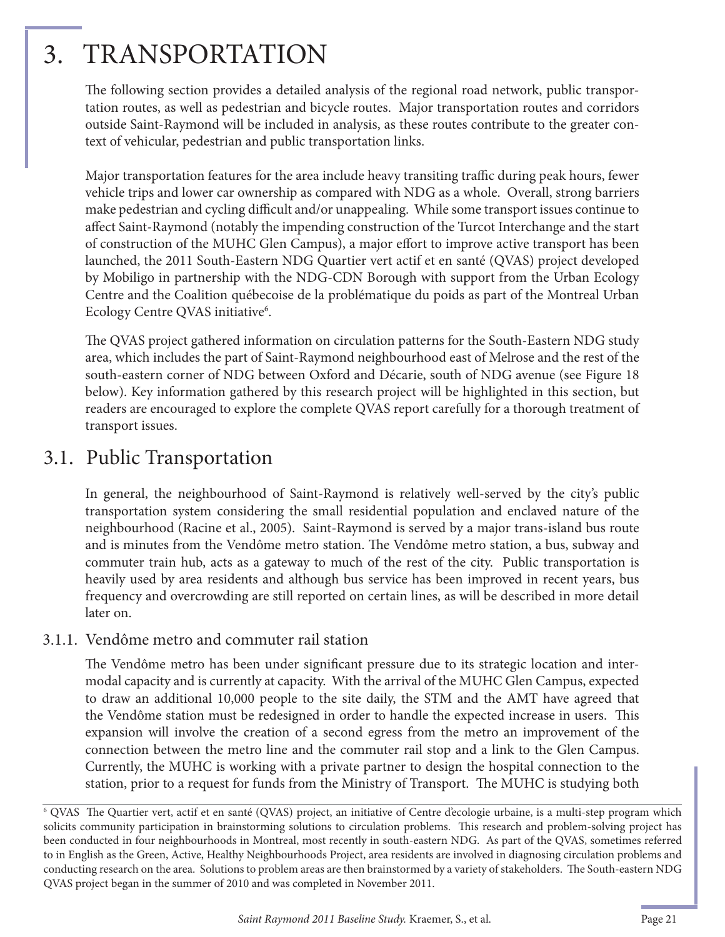## 3. TRANSPORTATION

The following section provides a detailed analysis of the regional road network, public transportation routes, as well as pedestrian and bicycle routes. Major transportation routes and corridors outside Saint-Raymond will be included in analysis, as these routes contribute to the greater context of vehicular, pedestrian and public transportation links.

Major transportation features for the area include heavy transiting traffic during peak hours, fewer vehicle trips and lower car ownership as compared with NDG as a whole. Overall, strong barriers make pedestrian and cycling difficult and/or unappealing. While some transport issues continue to affect Saint-Raymond (notably the impending construction of the Turcot Interchange and the start of construction of the MUHC Glen Campus), a major effort to improve active transport has been launched, the 2011 South-Eastern NDG Quartier vert actif et en santé (QVAS) project developed by Mobiligo in partnership with the NDG-CDN Borough with support from the Urban Ecology Centre and the Coalition québecoise de la problématique du poids as part of the Montreal Urban Ecology Centre QVAS initiative<sup>6</sup>.

The QVAS project gathered information on circulation patterns for the South-Eastern NDG study area, which includes the part of Saint-Raymond neighbourhood east of Melrose and the rest of the south-eastern corner of NDG between Oxford and Décarie, south of NDG avenue (see Figure 18 below). Key information gathered by this research project will be highlighted in this section, but readers are encouraged to explore the complete QVAS report carefully for a thorough treatment of transport issues.

### 3.1. Public Transportation

In general, the neighbourhood of Saint-Raymond is relatively well-served by the city's public transportation system considering the small residential population and enclaved nature of the neighbourhood (Racine et al., 2005). Saint-Raymond is served by a major trans-island bus route and is minutes from the Vendôme metro station. The Vendôme metro station, a bus, subway and commuter train hub, acts as a gateway to much of the rest of the city. Public transportation is heavily used by area residents and although bus service has been improved in recent years, bus frequency and overcrowding are still reported on certain lines, as will be described in more detail later on.

#### 3.1.1. Vendôme metro and commuter rail station

The Vendôme metro has been under significant pressure due to its strategic location and intermodal capacity and is currently at capacity. With the arrival of the MUHC Glen Campus, expected to draw an additional 10,000 people to the site daily, the STM and the AMT have agreed that the Vendôme station must be redesigned in order to handle the expected increase in users. This expansion will involve the creation of a second egress from the metro an improvement of the connection between the metro line and the commuter rail stop and a link to the Glen Campus. Currently, the MUHC is working with a private partner to design the hospital connection to the station, prior to a request for funds from the Ministry of Transport. The MUHC is studying both

<sup>&</sup>lt;sup>6</sup> QVAS The Quartier vert, actif et en santé (QVAS) project, an initiative of Centre d'ecologie urbaine, is a multi-step program which solicits community participation in brainstorming solutions to circulation problems. This research and problem-solving project has been conducted in four neighbourhoods in Montreal, most recently in south-eastern NDG. As part of the QVAS, sometimes referred to in English as the Green, Active, Healthy Neighbourhoods Project, area residents are involved in diagnosing circulation problems and conducting research on the area. Solutions to problem areas are then brainstormed by a variety of stakeholders. The South-eastern NDG QVAS project began in the summer of 2010 and was completed in November 2011.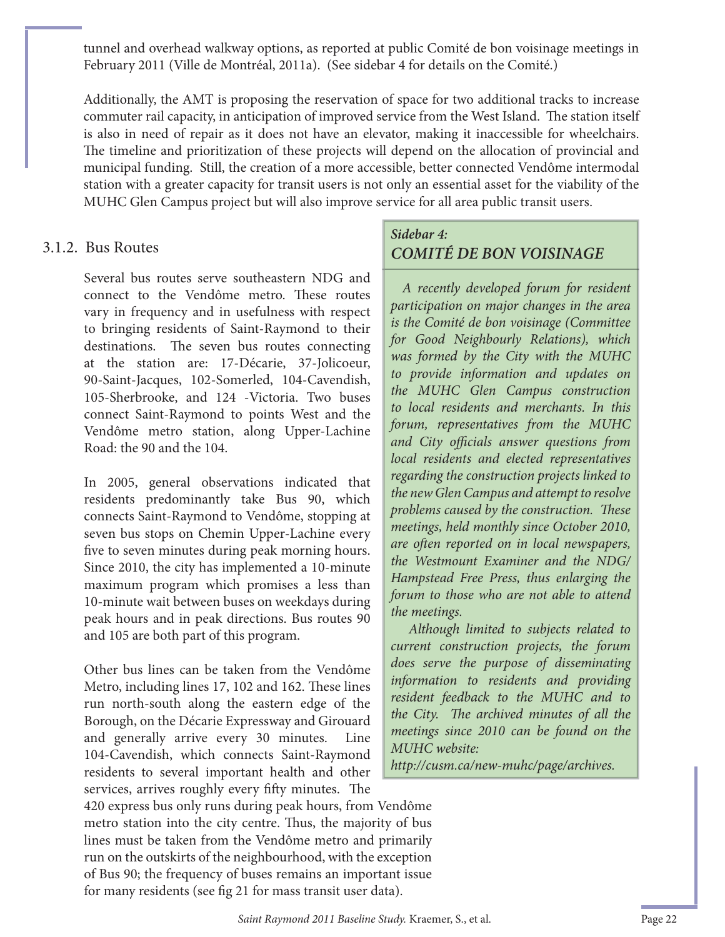tunnel and overhead walkway options, as reported at public Comité de bon voisinage meetings in February 2011 (Ville de Montréal, 2011a). (See sidebar 4 for details on the Comité.)

Additionally, the AMT is proposing the reservation of space for two additional tracks to increase commuter rail capacity, in anticipation of improved service from the West Island. The station itself is also in need of repair as it does not have an elevator, making it inaccessible for wheelchairs. The timeline and prioritization of these projects will depend on the allocation of provincial and municipal funding. Still, the creation of a more accessible, better connected Vendôme intermodal station with a greater capacity for transit users is not only an essential asset for the viability of the MUHC Glen Campus project but will also improve service for all area public transit users.

#### 3.1.2. Bus Routes

Several bus routes serve southeastern NDG and connect to the Vendôme metro. These routes vary in frequency and in usefulness with respect to bringing residents of Saint-Raymond to their destinations. The seven bus routes connecting at the station are: 17-Décarie, 37-Jolicoeur, 90-Saint-Jacques, 102-Somerled, 104-Cavendish, 105-Sherbrooke, and 124 -Victoria. Two buses connect Saint-Raymond to points West and the Vendôme metro station, along Upper-Lachine Road: the 90 and the 104.

In 2005, general observations indicated that residents predominantly take Bus 90, which connects Saint-Raymond to Vendôme, stopping at seven bus stops on Chemin Upper-Lachine every five to seven minutes during peak morning hours. Since 2010, the city has implemented a 10-minute maximum program which promises a less than 10-minute wait between buses on weekdays during peak hours and in peak directions. Bus routes 90 and 105 are both part of this program.

Other bus lines can be taken from the Vendôme Metro, including lines 17, 102 and 162. These lines run north-south along the eastern edge of the Borough, on the Décarie Expressway and Girouard and generally arrive every 30 minutes. Line 104-Cavendish, which connects Saint-Raymond residents to several important health and other services, arrives roughly every fifty minutes. The

420 express bus only runs during peak hours, from Vendôme metro station into the city centre. Thus, the majority of bus lines must be taken from the Vendôme metro and primarily run on the outskirts of the neighbourhood, with the exception of Bus 90; the frequency of buses remains an important issue for many residents (see fig 21 for mass transit user data).

#### *Sidebar 4: COMITÉ DE BON VOISINAGE*

 *A recently developed forum for resident participation on major changes in the area is the Comité de bon voisinage (Committee for Good Neighbourly Relations), which was formed by the City with the MUHC to provide information and updates on the MUHC Glen Campus construction to local residents and merchants. In this forum, representatives from the MUHC*  and City officials answer questions from *local residents and elected representatives regarding the construction projects linked to the new Glen Campus and attempt to resolve problems caused by the construction. These meetings, held monthly since October 2010, are oft en reported on in local newspapers, the Westmount Examiner and the NDG/ Hampstead Free Press, thus enlarging the forum to those who are not able to attend the meetings.* 

 *Although limited to subjects related to current construction projects, the forum does serve the purpose of disseminating information to residents and providing resident feedback to the MUHC and to the City.* The archived minutes of all the *meetings since 2010 can be found on the MUHC website:* 

*http://cusm.ca/new-muhc/page/archives.*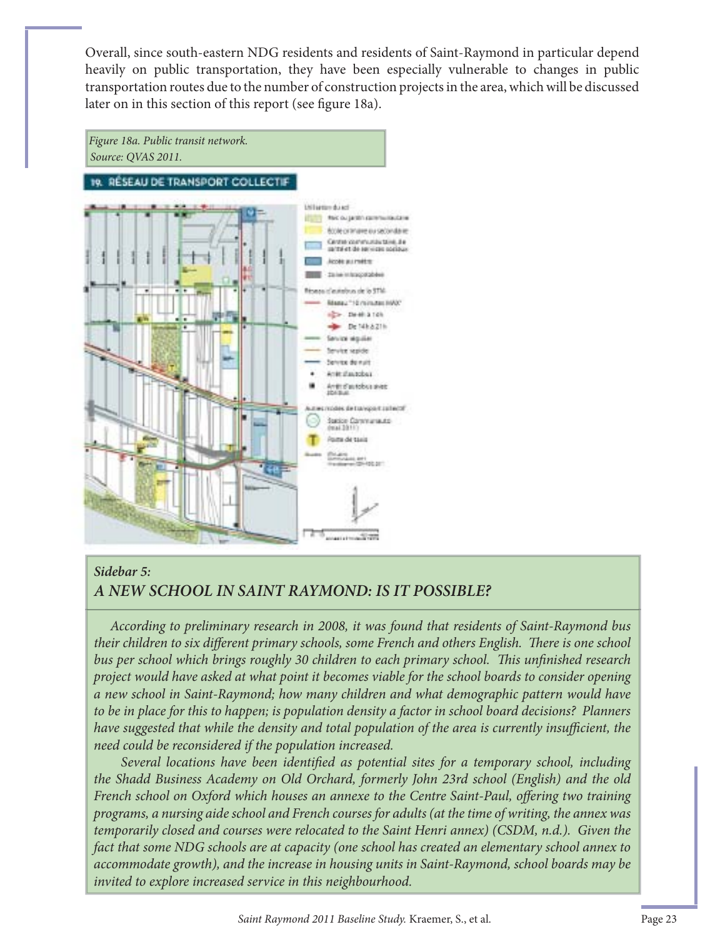Overall, since south-eastern NDG residents and residents of Saint-Raymond in particular depend heavily on public transportation, they have been especially vulnerable to changes in public transportation routes due to the number of construction projects in the area, which will be discussed later on in this section of this report (see figure 18a).



#### *Sidebar 5:*

#### *A NEW SCHOOL IN SAINT RAYMOND: IS IT POSSIBLE?*

 *According to preliminary research in 2008, it was found that residents of Saint-Raymond bus*  their children to six different primary schools, some French and others English. There is one school *bus per school which brings roughly 30 children to each primary school. This unfinished research project would have asked at what point it becomes viable for the school boards to consider opening a new school in Saint-Raymond; how many children and what demographic pattern would have to be in place for this to happen; is population density a factor in school board decisions? Planners have suggested that while the density and total population of the area is currently insufficient, the need could be reconsidered if the population increased.* 

*Several locations have been identified as potential sites for a temporary school, including the Shadd Business Academy on Old Orchard, formerly John 23rd school (English) and the old*  French school on Oxford which houses an annexe to the Centre Saint-Paul, offering two training *programs, a nursing aide school and French courses for adults (at the time of writing, the annex was temporarily closed and courses were relocated to the Saint Henri annex) (CSDM, n.d.). Given the fact that some NDG schools are at capacity (one school has created an elementary school annex to accommodate growth), and the increase in housing units in Saint-Raymond, school boards may be invited to explore increased service in this neighbourhood.*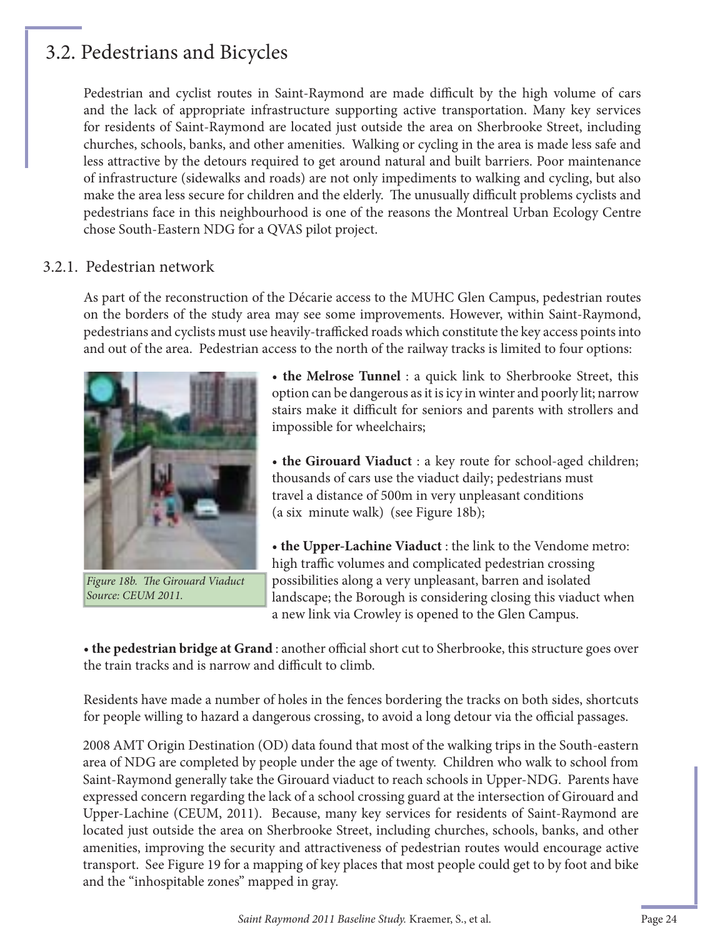## 3.2. Pedestrians and Bicycles

Pedestrian and cyclist routes in Saint-Raymond are made difficult by the high volume of cars and the lack of appropriate infrastructure supporting active transportation. Many key services for residents of Saint-Raymond are located just outside the area on Sherbrooke Street, including churches, schools, banks, and other amenities. Walking or cycling in the area is made less safe and less attractive by the detours required to get around natural and built barriers. Poor maintenance of infrastructure (sidewalks and roads) are not only impediments to walking and cycling, but also make the area less secure for children and the elderly. The unusually difficult problems cyclists and pedestrians face in this neighbourhood is one of the reasons the Montreal Urban Ecology Centre chose South-Eastern NDG for a QVAS pilot project.

#### 3.2.1. Pedestrian network

As part of the reconstruction of the Décarie access to the MUHC Glen Campus, pedestrian routes on the borders of the study area may see some improvements. However, within Saint-Raymond, pedestrians and cyclists must use heavily-trafficked roads which constitute the key access points into and out of the area. Pedestrian access to the north of the railway tracks is limited to four options:



*Figure 18b. The Girouard Viaduct Source: CEUM 2011.*

• **the Melrose Tunnel** : a quick link to Sherbrooke Street, this option can be dangerous as it is icy in winter and poorly lit; narrow stairs make it difficult for seniors and parents with strollers and impossible for wheelchairs;

• **the Girouard Viaduct** : a key route for school-aged children; thousands of cars use the viaduct daily; pedestrians must travel a distance of 500m in very unpleasant conditions (a six minute walk) (see Figure 18b);

• **the Upper-Lachine Viaduct** : the link to the Vendome metro: high traffic volumes and complicated pedestrian crossing possibilities along a very unpleasant, barren and isolated landscape; the Borough is considering closing this viaduct when a new link via Crowley is opened to the Glen Campus.

• the pedestrian bridge at Grand : another official short cut to Sherbrooke, this structure goes over the train tracks and is narrow and difficult to climb.

Residents have made a number of holes in the fences bordering the tracks on both sides, shortcuts for people willing to hazard a dangerous crossing, to avoid a long detour via the official passages.

2008 AMT Origin Destination (OD) data found that most of the walking trips in the South-eastern area of NDG are completed by people under the age of twenty. Children who walk to school from Saint-Raymond generally take the Girouard viaduct to reach schools in Upper-NDG. Parents have expressed concern regarding the lack of a school crossing guard at the intersection of Girouard and Upper-Lachine (CEUM, 2011). Because, many key services for residents of Saint-Raymond are located just outside the area on Sherbrooke Street, including churches, schools, banks, and other amenities, improving the security and attractiveness of pedestrian routes would encourage active transport. See Figure 19 for a mapping of key places that most people could get to by foot and bike and the "inhospitable zones" mapped in gray.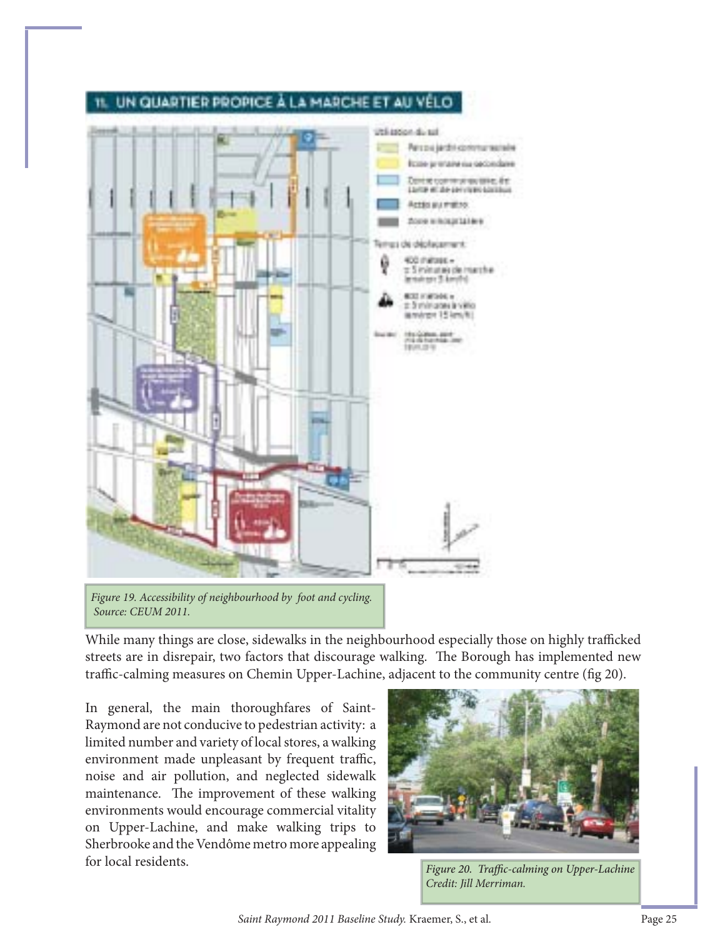

#### UN QUARTIER PROPICE A LA MARCHE ET AU VEL

*Figure 19. Accessibility of neighbourhood by foot and cycling. Source: CEUM 2011.*

While many things are close, sidewalks in the neighbourhood especially those on highly trafficked streets are in disrepair, two factors that discourage walking. The Borough has implemented new traffic-calming measures on Chemin Upper-Lachine, adjacent to the community centre (fig 20).

In general, the main thoroughfares of Saint-Raymond are not conducive to pedestrian activity: a limited number and variety of local stores, a walking environment made unpleasant by frequent traffic, noise and air pollution, and neglected sidewalk maintenance. The improvement of these walking environments would encourage commercial vitality on Upper-Lachine, and make walking trips to Sherbrooke and the Vendôme metro more appealing for local residents.<br>Figure 20. Traffic-calming on Upper-Lachine



*Credit: Jill Merriman.*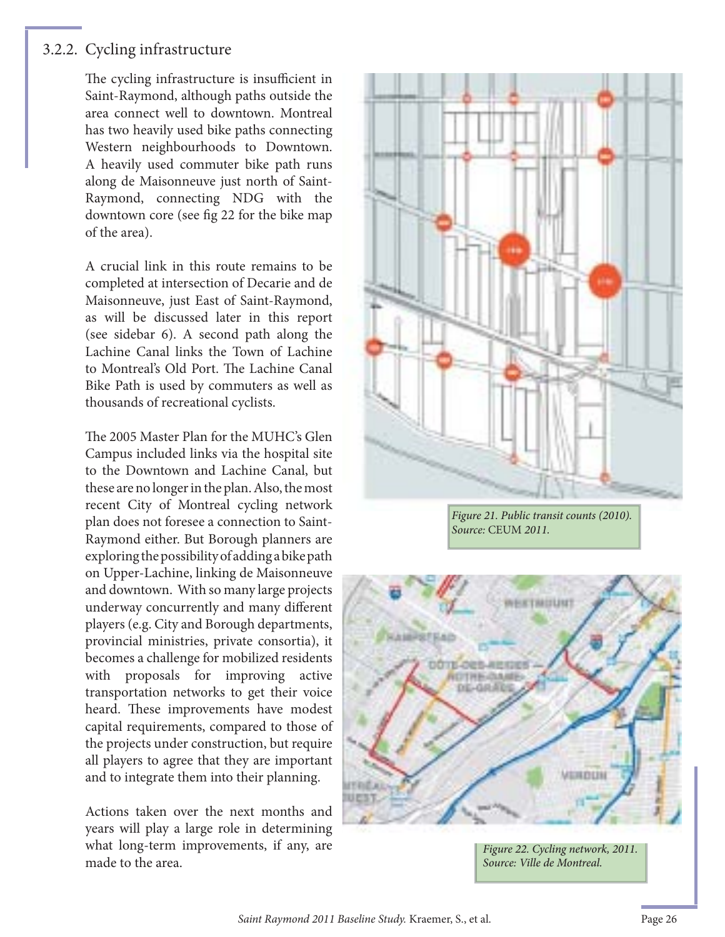#### 3.2.2. Cycling infrastructure

The cycling infrastructure is insufficient in Saint-Raymond, although paths outside the area connect well to downtown. Montreal has two heavily used bike paths connecting Western neighbourhoods to Downtown. A heavily used commuter bike path runs along de Maisonneuve just north of Saint-Raymond, connecting NDG with the downtown core (see fig 22 for the bike map of the area).

A crucial link in this route remains to be completed at intersection of Decarie and de Maisonneuve, just East of Saint-Raymond, as will be discussed later in this report (see sidebar 6). A second path along the Lachine Canal links the Town of Lachine to Montreal's Old Port. The Lachine Canal Bike Path is used by commuters as well as thousands of recreational cyclists.

The 2005 Master Plan for the MUHC's Glen Campus included links via the hospital site to the Downtown and Lachine Canal, but these are no longer in the plan. Also, the most recent City of Montreal cycling network plan does not foresee a connection to Saint-Raymond either. But Borough planners are exploring the possibility of adding a bike path on Upper-Lachine, linking de Maisonneuve and downtown. With so many large projects underway concurrently and many different players (e.g. City and Borough departments, provincial ministries, private consortia), it becomes a challenge for mobilized residents with proposals for improving active transportation networks to get their voice heard. These improvements have modest capital requirements, compared to those of the projects under construction, but require all players to agree that they are important and to integrate them into their planning.

Actions taken over the next months and years will play a large role in determining what long-term improvements, if any, are made to the area.



Figure 21. Public transit counts (2010). Source: CEUM 2011.



Figure 22. Cycling network, 2011. Source: Ville de Montreal.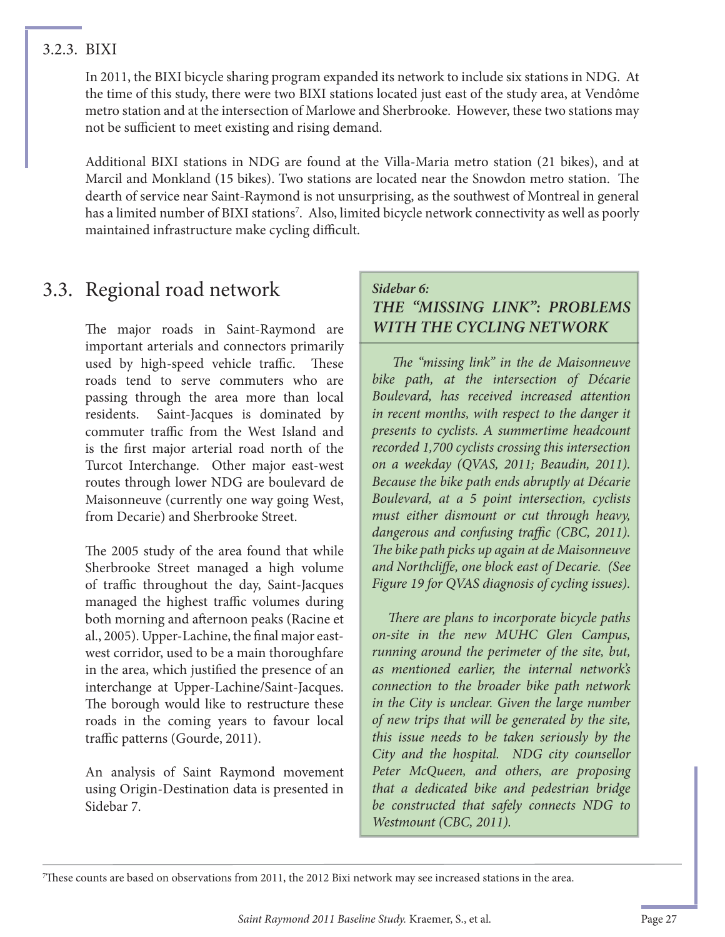#### 3.2.3. BIXI

In 2011, the BIXI bicycle sharing program expanded its network to include six stations in NDG. At the time of this study, there were two BIXI stations located just east of the study area, at Vendôme metro station and at the intersection of Marlowe and Sherbrooke. However, these two stations may not be sufficient to meet existing and rising demand.

Additional BIXI stations in NDG are found at the Villa-Maria metro station (21 bikes), and at Marcil and Monkland (15 bikes). Two stations are located near the Snowdon metro station. The dearth of service near Saint-Raymond is not unsurprising, as the southwest of Montreal in general has a limited number of BIXI stations7 . Also, limited bicycle network connectivity as well as poorly maintained infrastructure make cycling difficult.

## 3.3. Regional road network

The major roads in Saint-Raymond are important arterials and connectors primarily used by high-speed vehicle traffic. These roads tend to serve commuters who are passing through the area more than local residents. Saint-Jacques is dominated by commuter traffic from the West Island and is the first major arterial road north of the Turcot Interchange. Other major east-west routes through lower NDG are boulevard de Maisonneuve (currently one way going West, from Decarie) and Sherbrooke Street.

The 2005 study of the area found that while Sherbrooke Street managed a high volume of traffic throughout the day, Saint-Jacques managed the highest traffic volumes during both morning and afternoon peaks (Racine et al., 2005). Upper-Lachine, the final major eastwest corridor, used to be a main thoroughfare in the area, which justified the presence of an interchange at Upper-Lachine/Saint-Jacques. The borough would like to restructure these roads in the coming years to favour local traffic patterns (Gourde, 2011).

An analysis of Saint Raymond movement using Origin-Destination data is presented in Sidebar 7.

#### *Sidebar 6: THE "MISSING LINK": PROBLEMS WITH THE CYCLING NETWORK*

*The "missing link" in the de Maisonneuve bike path, at the intersection of Décarie Boulevard, has received increased attention in recent months, with respect to the danger it presents to cyclists. A summertime headcount recorded 1,700 cyclists crossing this intersection on a weekday (QVAS, 2011; Beaudin, 2011). Because the bike path ends abruptly at Décarie Boulevard, at a 5 point intersection, cyclists must either dismount or cut through heavy,*  dangerous and confusing traffic (CBC, 2011). *The bike path picks up again at de Maisonneuve and Northcliffe, one block east of Decarie. (See Figure 19 for QVAS diagnosis of cycling issues).*

*There are plans to incorporate bicycle paths on-site in the new MUHC Glen Campus, running around the perimeter of the site, but, as mentioned earlier, the internal network's connection to the broader bike path network in the City is unclear. Given the large number of new trips that will be generated by the site, this issue needs to be taken seriously by the City and the hospital. NDG city counsellor Peter McQueen, and others, are proposing that a dedicated bike and pedestrian bridge be constructed that safely connects NDG to Westmount (CBC, 2011).*

 $^7$ These counts are based on observations from 2011, the 2012 Bixi network may see increased stations in the area.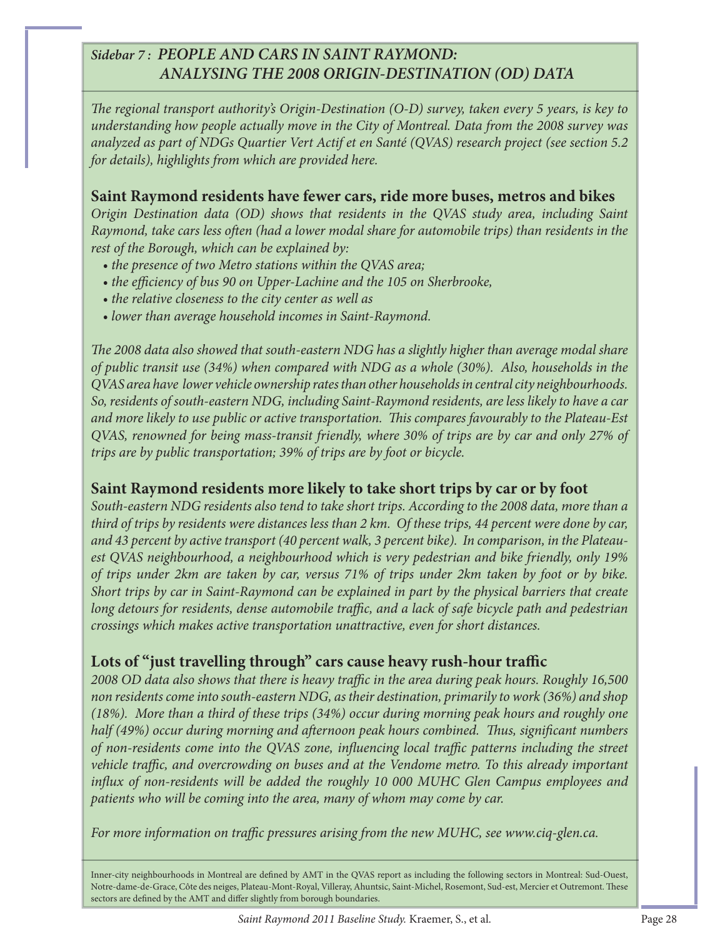#### *Sidebar 7 : PEOPLE AND CARS IN SAINT RAYMOND: ANALYSING THE 2008 ORIGIN-DESTINATION (OD) DATA*

*The regional transport authority's Origin-Destination (O-D) survey, taken every 5 years, is key to understanding how people actually move in the City of Montreal. Data from the 2008 survey was analyzed as part of NDGs Quartier Vert Actif et en Santé (QVAS) research project (see section 5.2 for details), highlights from which are provided here.*

#### **Saint Raymond residents have fewer cars, ride more buses, metros and bikes**

*Origin Destination data (OD) shows that residents in the QVAS study area, including Saint Raymond, take cars less often (had a lower modal share for automobile trips) than residents in the rest of the Borough, which can be explained by:* 

- *the presence of two Metro stations within the QVAS area;*
- the efficiency of bus 90 on Upper-Lachine and the 105 on Sherbrooke,
- *the relative closeness to the city center as well as*
- *lower than average household incomes in Saint-Raymond.*

The 2008 data also showed that south-eastern NDG has a slightly higher than average modal share *of public transit use (34%) when compared with NDG as a whole (30%). Also, households in the QVAS area have lower vehicle ownership rates than other households in central city neighbourhoods. So, residents of south-eastern NDG, including Saint-Raymond residents, are less likely to have a car and more likely to use public or active transportation. Th is compares favourably to the Plateau-Est QVAS, renowned for being mass-transit friendly, where 30% of trips are by car and only 27% of trips are by public transportation; 39% of trips are by foot or bicycle.*

#### **Saint Raymond residents more likely to take short trips by car or by foot**

*South-eastern NDG residents also tend to take short trips. According to the 2008 data, more than a third of trips by residents were distances less than 2 km. Of these trips, 44 percent were done by car, and 43 percent by active transport (40 percent walk, 3 percent bike). In comparison, in the Plateauest QVAS neighbourhood, a neighbourhood which is very pedestrian and bike friendly, only 19% of trips under 2km are taken by car, versus 71% of trips under 2km taken by foot or by bike. Short trips by car in Saint-Raymond can be explained in part by the physical barriers that create long detours for residents, dense automobile traffic, and a lack of safe bicycle path and pedestrian crossings which makes active transportation unattractive, even for short distances.*

#### Lots of "just travelling through" cars cause heavy rush-hour traffic

2008 OD data also shows that there is heavy traffic in the area during peak hours. Roughly 16,500 *non residents come into south-eastern NDG, as their destination, primarily to work (36%) and shop (18%). More than a third of these trips (34%) occur during morning peak hours and roughly one half (49%) occur during morning and afternoon peak hours combined. Thus, significant numbers of non-residents come into the QVAS zone, influencing local traffic patterns including the street vehicle traffic, and overcrowding on buses and at the Vendome metro. To this already important* influx of non-residents will be added the roughly 10 000 MUHC Glen Campus employees and *patients who will be coming into the area, many of whom may come by car.* 

*For more information on traffic pressures arising from the new MUHC, see www.ciq-glen.ca.* 

Inner-city neighbourhoods in Montreal are defined by AMT in the QVAS report as including the following sectors in Montreal: Sud-Ouest, Notre-dame-de-Grace, Côte des neiges, Plateau-Mont-Royal, Villeray, Ahuntsic, Saint-Michel, Rosemont, Sud-est, Mercier et Outremont. These sectors are defined by the AMT and differ slightly from borough boundaries.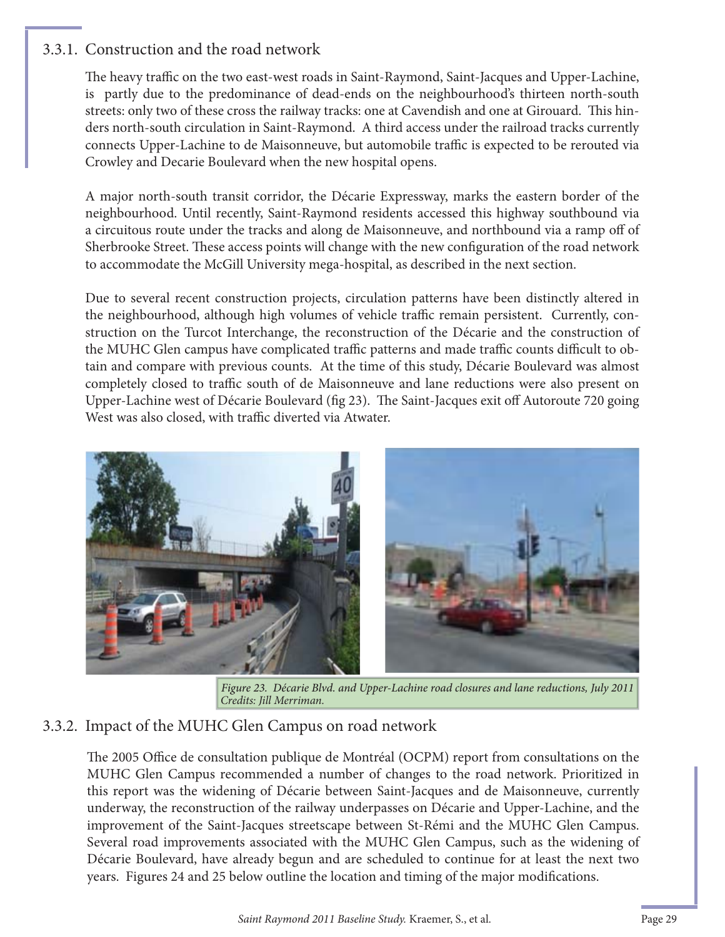#### 3.3.1. Construction and the road network

The heavy traffic on the two east-west roads in Saint-Raymond, Saint-Jacques and Upper-Lachine, is partly due to the predominance of dead-ends on the neighbourhood's thirteen north-south streets: only two of these cross the railway tracks: one at Cavendish and one at Girouard. This hinders north-south circulation in Saint-Raymond. A third access under the railroad tracks currently connects Upper-Lachine to de Maisonneuve, but automobile traffic is expected to be rerouted via Crowley and Decarie Boulevard when the new hospital opens.

A major north-south transit corridor, the Décarie Expressway, marks the eastern border of the neighbourhood. Until recently, Saint-Raymond residents accessed this highway southbound via a circuitous route under the tracks and along de Maisonneuve, and northbound via a ramp off of Sherbrooke Street. These access points will change with the new configuration of the road network to accommodate the McGill University mega-hospital, as described in the next section.

Due to several recent construction projects, circulation patterns have been distinctly altered in the neighbourhood, although high volumes of vehicle traffic remain persistent. Currently, construction on the Turcot Interchange, the reconstruction of the Décarie and the construction of the MUHC Glen campus have complicated traffic patterns and made traffic counts difficult to obtain and compare with previous counts. At the time of this study, Décarie Boulevard was almost completely closed to traffic south of de Maisonneuve and lane reductions were also present on Upper-Lachine west of Décarie Boulevard (fig 23). The Saint-Jacques exit off Autoroute 720 going West was also closed, with traffic diverted via Atwater.



Figure 23. Décarie Blvd. and Upper-Lachine road closures and lane reductions, July 2011 *Credits: Jill Merriman.*

#### 3.3.2. Impact of the MUHC Glen Campus on road network

The 2005 Office de consultation publique de Montréal (OCPM) report from consultations on the MUHC Glen Campus recommended a number of changes to the road network. Prioritized in this report was the widening of Décarie between Saint-Jacques and de Maisonneuve, currently underway, the reconstruction of the railway underpasses on Décarie and Upper-Lachine, and the improvement of the Saint-Jacques streetscape between St-Rémi and the MUHC Glen Campus. Several road improvements associated with the MUHC Glen Campus, such as the widening of Décarie Boulevard, have already begun and are scheduled to continue for at least the next two years. Figures 24 and 25 below outline the location and timing of the major modifications.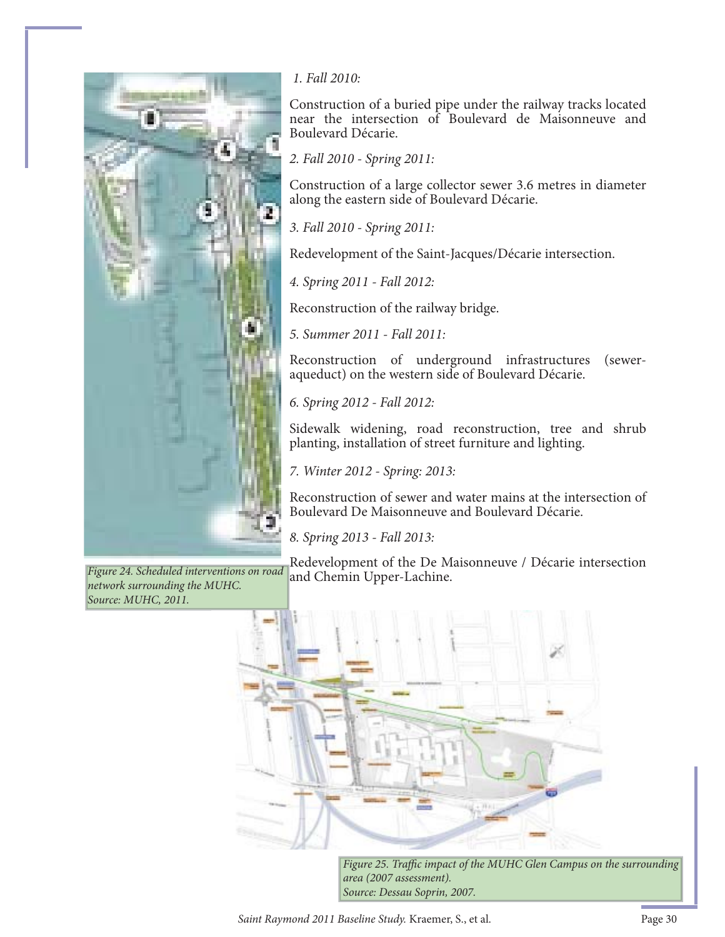

and Chemin Upper-Lachine. *Figure 24. Scheduled interventions on road network surrounding the MUHC. Source: MUHC, 2011.*

#### *1. Fall 2010:*

Construction of a buried pipe under the railway tracks located near the intersection of Boulevard de Maisonneuve and Boulevard Décarie.

*2. Fall 2010 - Spring 2011:* 

Construction of a large collector sewer 3.6 metres in diameter along the eastern side of Boulevard Décarie.

*3. Fall 2010 - Spring 2011:* 

Redevelopment of the Saint-Jacques/Décarie intersection.

*4. Spring 2011 - Fall 2012:* 

Reconstruction of the railway bridge.

*5. Summer 2011 - Fall 2011:* 

Reconstruction of underground infrastructures (seweraqueduct) on the western side of Boulevard Décarie.

*6. Spring 2012 - Fall 2012:* 

Sidewalk widening, road reconstruction, tree and shrub planting, installation of street furniture and lighting.

*7. Winter 2012 - Spring: 2013:* 

Reconstruction of sewer and water mains at the intersection of Boulevard De Maisonneuve and Boulevard Décarie.

*8. Spring 2013 - Fall 2013:* 

Redevelopment of the De Maisonneuve / Décarie intersection



*Figure 25. Traffic impact of the MUHC Glen Campus on the surrounding area (2007 assessment). Source: Dessau Soprin, 2007.* 

*Saint Raymond 2011 Baseline Study.* Kraemer, S., et al. Page 30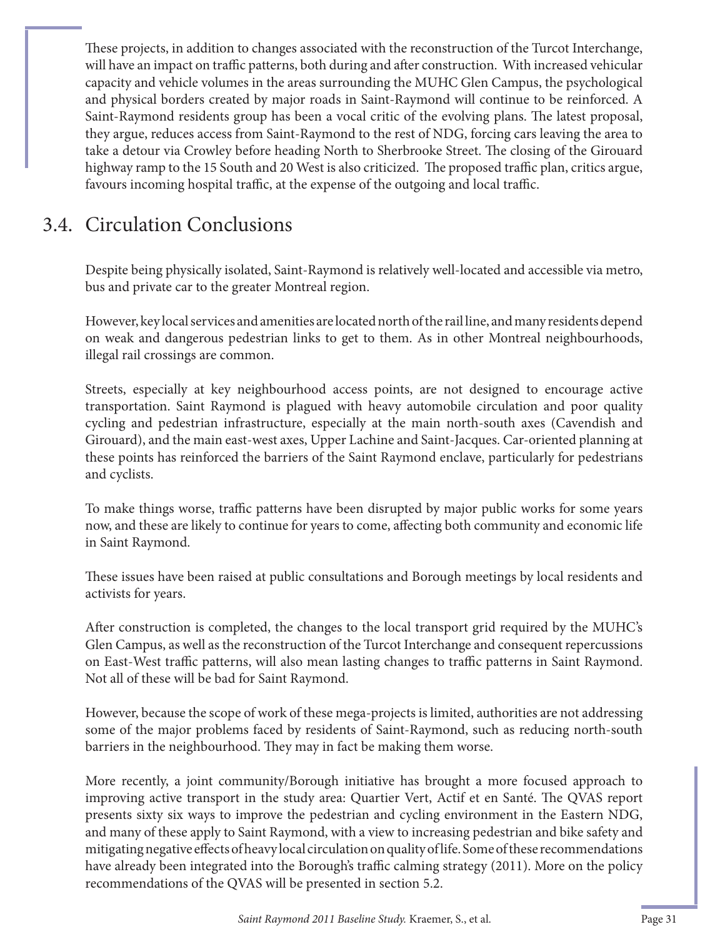These projects, in addition to changes associated with the reconstruction of the Turcot Interchange, will have an impact on traffic patterns, both during and after construction. With increased vehicular capacity and vehicle volumes in the areas surrounding the MUHC Glen Campus, the psychological and physical borders created by major roads in Saint-Raymond will continue to be reinforced. A Saint-Raymond residents group has been a vocal critic of the evolving plans. The latest proposal, they argue, reduces access from Saint-Raymond to the rest of NDG, forcing cars leaving the area to take a detour via Crowley before heading North to Sherbrooke Street. The closing of the Girouard highway ramp to the 15 South and 20 West is also criticized. The proposed traffic plan, critics argue, favours incoming hospital traffic, at the expense of the outgoing and local traffic.

## 3.4. Circulation Conclusions

Despite being physically isolated, Saint-Raymond is relatively well-located and accessible via metro, bus and private car to the greater Montreal region.

However, key local services and amenities are located north of the rail line, and many residents depend on weak and dangerous pedestrian links to get to them. As in other Montreal neighbourhoods, illegal rail crossings are common.

Streets, especially at key neighbourhood access points, are not designed to encourage active transportation. Saint Raymond is plagued with heavy automobile circulation and poor quality cycling and pedestrian infrastructure, especially at the main north-south axes (Cavendish and Girouard), and the main east-west axes, Upper Lachine and Saint-Jacques. Car-oriented planning at these points has reinforced the barriers of the Saint Raymond enclave, particularly for pedestrians and cyclists.

To make things worse, traffic patterns have been disrupted by major public works for some years now, and these are likely to continue for years to come, affecting both community and economic life in Saint Raymond.

These issues have been raised at public consultations and Borough meetings by local residents and activists for years.

After construction is completed, the changes to the local transport grid required by the MUHC's Glen Campus, as well as the reconstruction of the Turcot Interchange and consequent repercussions on East-West traffic patterns, will also mean lasting changes to traffic patterns in Saint Raymond. Not all of these will be bad for Saint Raymond.

However, because the scope of work of these mega-projects is limited, authorities are not addressing some of the major problems faced by residents of Saint-Raymond, such as reducing north-south barriers in the neighbourhood. They may in fact be making them worse.

More recently, a joint community/Borough initiative has brought a more focused approach to improving active transport in the study area: Quartier Vert, Actif et en Santé. The QVAS report presents sixty six ways to improve the pedestrian and cycling environment in the Eastern NDG, and many of these apply to Saint Raymond, with a view to increasing pedestrian and bike safety and mitigating negative effects of heavy local circulation on quality of life. Some of these recommendations have already been integrated into the Borough's traffic calming strategy (2011). More on the policy recommendations of the QVAS will be presented in section 5.2.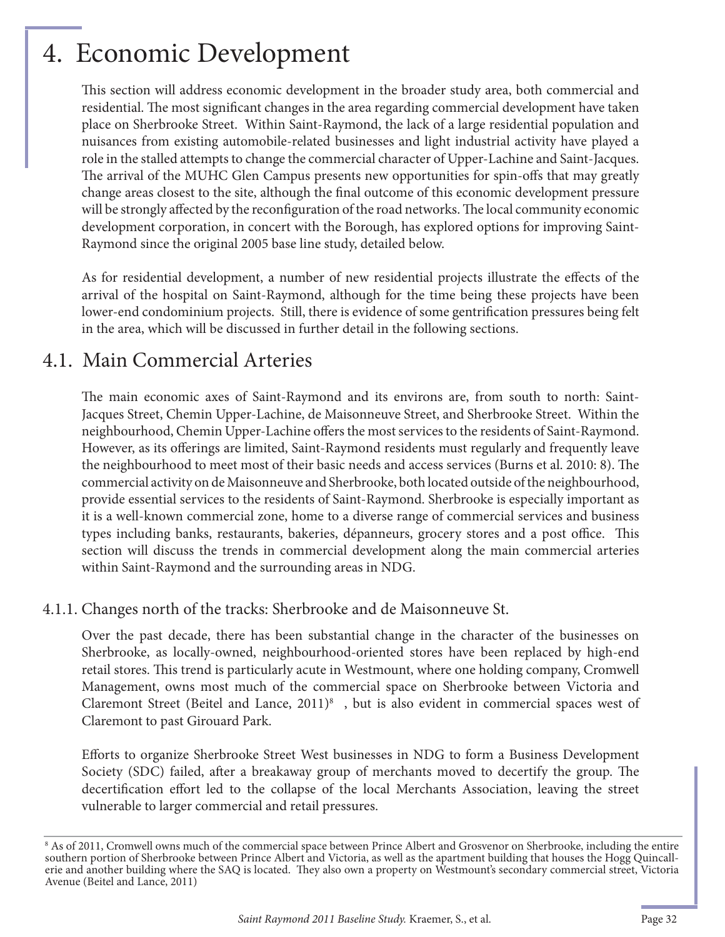## 4. Economic Development

This section will address economic development in the broader study area, both commercial and residential. The most significant changes in the area regarding commercial development have taken place on Sherbrooke Street. Within Saint-Raymond, the lack of a large residential population and nuisances from existing automobile-related businesses and light industrial activity have played a role in the stalled attempts to change the commercial character of Upper-Lachine and Saint-Jacques. The arrival of the MUHC Glen Campus presents new opportunities for spin-offs that may greatly change areas closest to the site, although the final outcome of this economic development pressure will be strongly affected by the reconfiguration of the road networks. The local community economic development corporation, in concert with the Borough, has explored options for improving Saint-Raymond since the original 2005 base line study, detailed below.

As for residential development, a number of new residential projects illustrate the effects of the arrival of the hospital on Saint-Raymond, although for the time being these projects have been lower-end condominium projects. Still, there is evidence of some gentrification pressures being felt in the area, which will be discussed in further detail in the following sections.

### 4.1. Main Commercial Arteries

The main economic axes of Saint-Raymond and its environs are, from south to north: Saint-Jacques Street, Chemin Upper-Lachine, de Maisonneuve Street, and Sherbrooke Street. Within the neighbourhood, Chemin Upper-Lachine offers the most services to the residents of Saint-Raymond. However, as its offerings are limited, Saint-Raymond residents must regularly and frequently leave the neighbourhood to meet most of their basic needs and access services (Burns et al. 2010: 8). The commercial activity on de Maisonneuve and Sherbrooke, both located outside of the neighbourhood, provide essential services to the residents of Saint-Raymond. Sherbrooke is especially important as it is a well-known commercial zone, home to a diverse range of commercial services and business types including banks, restaurants, bakeries, dépanneurs, grocery stores and a post office. This section will discuss the trends in commercial development along the main commercial arteries within Saint-Raymond and the surrounding areas in NDG.

#### 4.1.1. Changes north of the tracks: Sherbrooke and de Maisonneuve St.

Over the past decade, there has been substantial change in the character of the businesses on Sherbrooke, as locally-owned, neighbourhood-oriented stores have been replaced by high-end retail stores. This trend is particularly acute in Westmount, where one holding company, Cromwell Management, owns most much of the commercial space on Sherbrooke between Victoria and Claremont Street (Beitel and Lance, 2011)<sup>8</sup>, but is also evident in commercial spaces west of Claremont to past Girouard Park.

Efforts to organize Sherbrooke Street West businesses in NDG to form a Business Development Society (SDC) failed, after a breakaway group of merchants moved to decertify the group. The decertification effort led to the collapse of the local Merchants Association, leaving the street vulnerable to larger commercial and retail pressures.

<sup>8</sup> As of 2011, Cromwell owns much of the commercial space between Prince Albert and Grosvenor on Sherbrooke, including the entire southern portion of Sherbrooke between Prince Albert and Victoria, as well as the apartment building that houses the Hogg Quincallerie and another building where the SAQ is located. They also own a property on Westmount's secondary commercial street, Victoria Avenue (Beitel and Lance, 2011)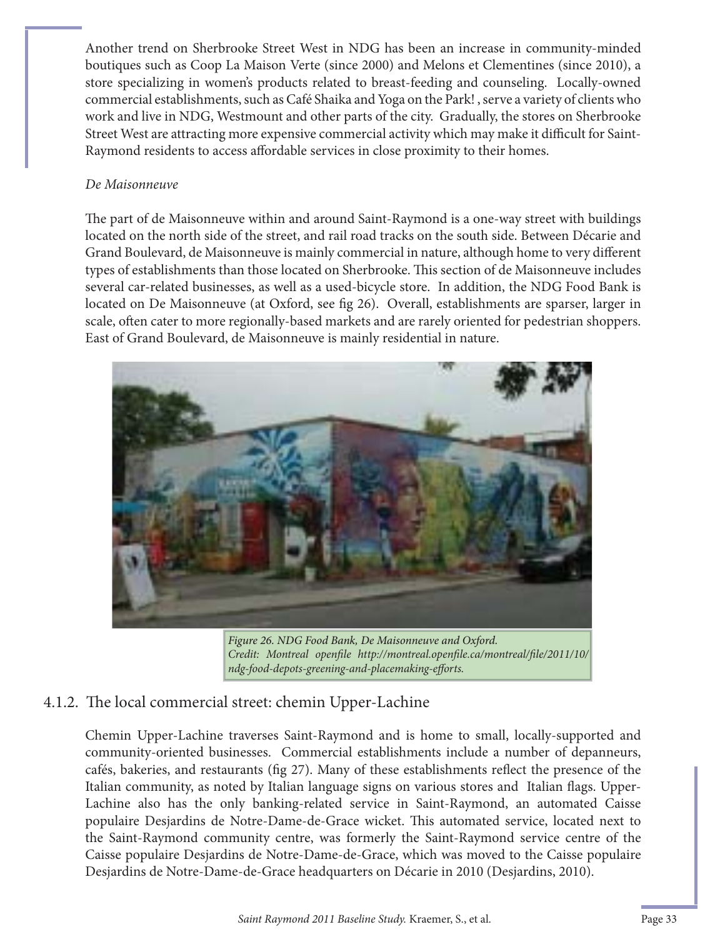Another trend on Sherbrooke Street West in NDG has been an increase in community-minded boutiques such as Coop La Maison Verte (since 2000) and Melons et Clementines (since 2010), a store specializing in women's products related to breast-feeding and counseling. Locally-owned commercial establishments, such as Café Shaika and Yoga on the Park! , serve a variety of clients who work and live in NDG, Westmount and other parts of the city. Gradually, the stores on Sherbrooke Street West are attracting more expensive commercial activity which may make it difficult for Saint-Raymond residents to access affordable services in close proximity to their homes.

#### *De Maisonneuve*

The part of de Maisonneuve within and around Saint-Raymond is a one-way street with buildings located on the north side of the street, and rail road tracks on the south side. Between Décarie and Grand Boulevard, de Maisonneuve is mainly commercial in nature, although home to very different types of establishments than those located on Sherbrooke. This section of de Maisonneuve includes several car-related businesses, as well as a used-bicycle store. In addition, the NDG Food Bank is located on De Maisonneuve (at Oxford, see fig 26). Overall, establishments are sparser, larger in scale, often cater to more regionally-based markets and are rarely oriented for pedestrian shoppers. East of Grand Boulevard, de Maisonneuve is mainly residential in nature.



Figure 26. NDG Food Bank, De Maisonneuve and Oxford. *Credit: Montreal openfile http://montreal.openfile.ca/montreal/file/2011/10/ ndg-food-depots-greening-and-placemaking-eff orts.*

#### 4.1.2. The local commercial street: chemin Upper-Lachine

Chemin Upper-Lachine traverses Saint-Raymond and is home to small, locally-supported and community-oriented businesses. Commercial establishments include a number of depanneurs, cafés, bakeries, and restaurants (fig 27). Many of these establishments reflect the presence of the Italian community, as noted by Italian language signs on various stores and Italian flags. Upper-Lachine also has the only banking-related service in Saint-Raymond, an automated Caisse populaire Desjardins de Notre-Dame-de-Grace wicket. This automated service, located next to the Saint-Raymond community centre, was formerly the Saint-Raymond service centre of the Caisse populaire Desjardins de Notre-Dame-de-Grace, which was moved to the Caisse populaire Desjardins de Notre-Dame-de-Grace headquarters on Décarie in 2010 (Desjardins, 2010).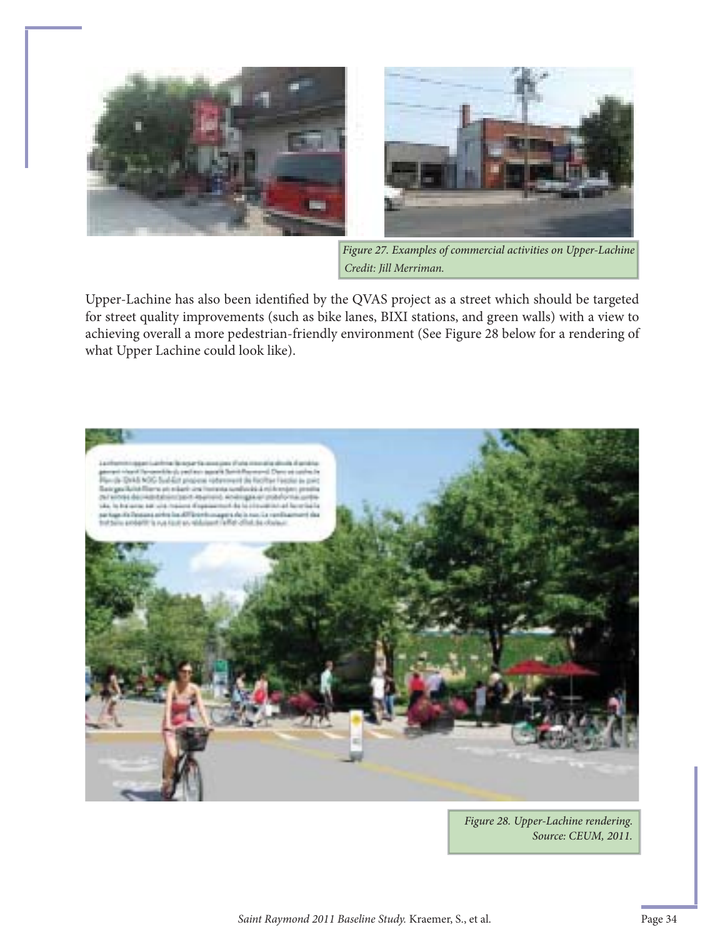



Figure 27. Examples of commercial activities on Upper-Lachine *Credit: Jill Merriman.*

Upper-Lachine has also been identified by the QVAS project as a street which should be targeted for street quality improvements (such as bike lanes, BIXI stations, and green walls) with a view to achieving overall a more pedestrian-friendly environment (See Figure 28 below for a rendering of what Upper Lachine could look like).



Source: CEUM, 2011. Figure 28. Upper-Lachine rendering.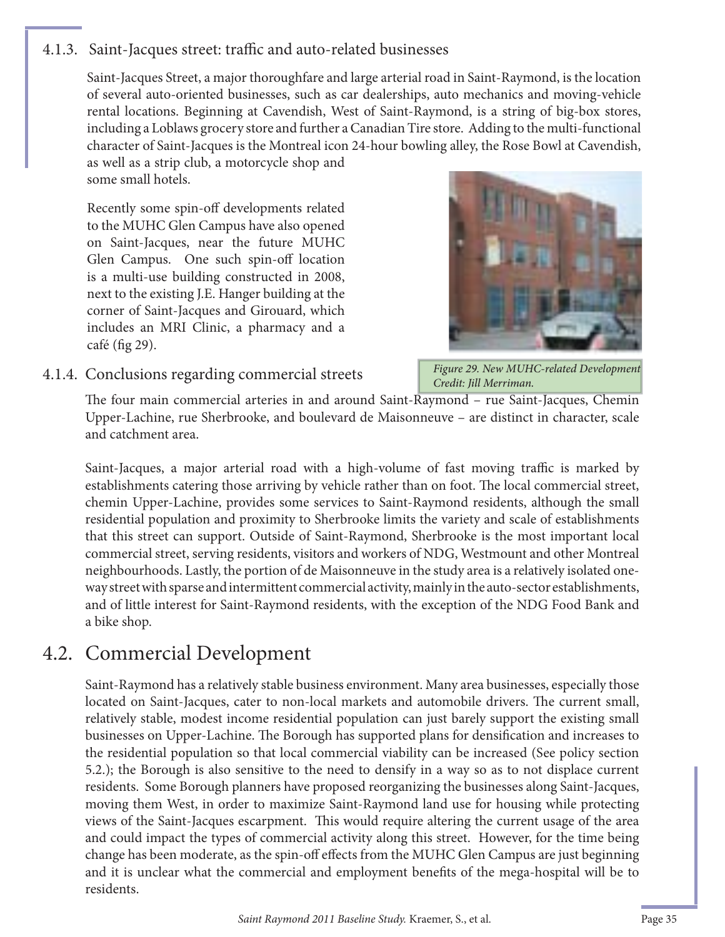#### 4.1.3. Saint-Jacques street: traffic and auto-related businesses

Saint-Jacques Street, a major thoroughfare and large arterial road in Saint-Raymond, is the location of several auto-oriented businesses, such as car dealerships, auto mechanics and moving-vehicle rental locations. Beginning at Cavendish, West of Saint-Raymond, is a string of big-box stores, including a Loblaws grocery store and further a Canadian Tire store. Adding to the multi-functional character of Saint-Jacques is the Montreal icon 24-hour bowling alley, the Rose Bowl at Cavendish,

as well as a strip club, a motorcycle shop and some small hotels.

Recently some spin-off developments related to the MUHC Glen Campus have also opened on Saint-Jacques, near the future MUHC Glen Campus. One such spin-off location is a multi-use building constructed in 2008, next to the existing J.E. Hanger building at the corner of Saint-Jacques and Girouard, which includes an MRI Clinic, a pharmacy and a café (fig  $29$ ).



#### 4.1.4. Conclusions regarding commercial streets

Figure 29. New MUHC-related Development Credit: Jill Merriman.

The four main commercial arteries in and around Saint-Raymond – rue Saint-Jacques, Chemin Upper-Lachine, rue Sherbrooke, and boulevard de Maisonneuve – are distinct in character, scale and catchment area.

Saint-Jacques, a major arterial road with a high-volume of fast moving traffic is marked by establishments catering those arriving by vehicle rather than on foot. The local commercial street, chemin Upper-Lachine, provides some services to Saint-Raymond residents, although the small residential population and proximity to Sherbrooke limits the variety and scale of establishments that this street can support. Outside of Saint-Raymond, Sherbrooke is the most important local commercial street, serving residents, visitors and workers of NDG, Westmount and other Montreal neighbourhoods. Lastly, the portion of de Maisonneuve in the study area is a relatively isolated oneway street with sparse and intermittent commercial activity, mainly in the auto-sector establishments, and of little interest for Saint-Raymond residents, with the exception of the NDG Food Bank and a bike shop.

### 4.2. Commercial Development

Saint-Raymond has a relatively stable business environment. Many area businesses, especially those located on Saint-Jacques, cater to non-local markets and automobile drivers. The current small, relatively stable, modest income residential population can just barely support the existing small businesses on Upper-Lachine. The Borough has supported plans for densification and increases to the residential population so that local commercial viability can be increased (See policy section 5.2.); the Borough is also sensitive to the need to densify in a way so as to not displace current residents. Some Borough planners have proposed reorganizing the businesses along Saint-Jacques, moving them West, in order to maximize Saint-Raymond land use for housing while protecting views of the Saint-Jacques escarpment. This would require altering the current usage of the area and could impact the types of commercial activity along this street. However, for the time being change has been moderate, as the spin-off effects from the MUHC Glen Campus are just beginning and it is unclear what the commercial and employment benefits of the mega-hospital will be to residents.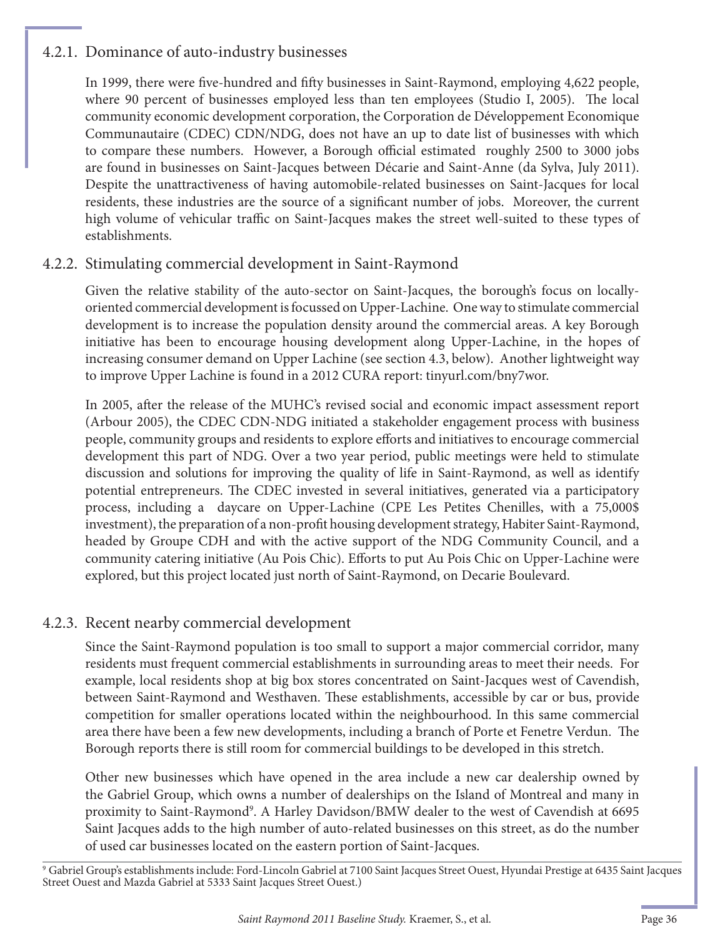#### 4.2.1. Dominance of auto-industry businesses

In 1999, there were five-hundred and fifty businesses in Saint-Raymond, employing 4,622 people, where 90 percent of businesses employed less than ten employees (Studio I, 2005). The local community economic development corporation, the Corporation de Développement Economique Communautaire (CDEC) CDN/NDG, does not have an up to date list of businesses with which to compare these numbers. However, a Borough official estimated roughly 2500 to 3000 jobs are found in businesses on Saint-Jacques between Décarie and Saint-Anne (da Sylva, July 2011). Despite the unattractiveness of having automobile-related businesses on Saint-Jacques for local residents, these industries are the source of a significant number of jobs. Moreover, the current high volume of vehicular traffic on Saint-Jacques makes the street well-suited to these types of establishments.

#### 4.2.2. Stimulating commercial development in Saint-Raymond

Given the relative stability of the auto-sector on Saint-Jacques, the borough's focus on locallyoriented commercial development is focussed on Upper-Lachine. One way to stimulate commercial development is to increase the population density around the commercial areas. A key Borough initiative has been to encourage housing development along Upper-Lachine, in the hopes of increasing consumer demand on Upper Lachine (see section 4.3, below). Another lightweight way to improve Upper Lachine is found in a 2012 CURA report: tinyurl.com/bny7wor.

In 2005, after the release of the MUHC's revised social and economic impact assessment report (Arbour 2005), the CDEC CDN-NDG initiated a stakeholder engagement process with business people, community groups and residents to explore eff orts and initiatives to encourage commercial development this part of NDG. Over a two year period, public meetings were held to stimulate discussion and solutions for improving the quality of life in Saint-Raymond, as well as identify potential entrepreneurs. The CDEC invested in several initiatives, generated via a participatory process, including a daycare on Upper-Lachine (CPE Les Petites Chenilles, with a 75,000\$ investment), the preparation of a non-profit housing development strategy, Habiter Saint-Raymond, headed by Groupe CDH and with the active support of the NDG Community Council, and a community catering initiative (Au Pois Chic). Efforts to put Au Pois Chic on Upper-Lachine were explored, but this project located just north of Saint-Raymond, on Decarie Boulevard.

#### 4.2.3. Recent nearby commercial development

Since the Saint-Raymond population is too small to support a major commercial corridor, many residents must frequent commercial establishments in surrounding areas to meet their needs. For example, local residents shop at big box stores concentrated on Saint-Jacques west of Cavendish, between Saint-Raymond and Westhaven. These establishments, accessible by car or bus, provide competition for smaller operations located within the neighbourhood. In this same commercial area there have been a few new developments, including a branch of Porte et Fenetre Verdun. The Borough reports there is still room for commercial buildings to be developed in this stretch.

Other new businesses which have opened in the area include a new car dealership owned by the Gabriel Group, which owns a number of dealerships on the Island of Montreal and many in proximity to Saint-Raymond<sup>9</sup>. A Harley Davidson/BMW dealer to the west of Cavendish at 6695 Saint Jacques adds to the high number of auto-related businesses on this street, as do the number of used car businesses located on the eastern portion of Saint-Jacques.

9 Gabriel Group's establishments include: Ford-Lincoln Gabriel at 7100 Saint Jacques Street Ouest, Hyundai Prestige at 6435 Saint Jacques Street Ouest and Mazda Gabriel at 5333 Saint Jacques Street Ouest.)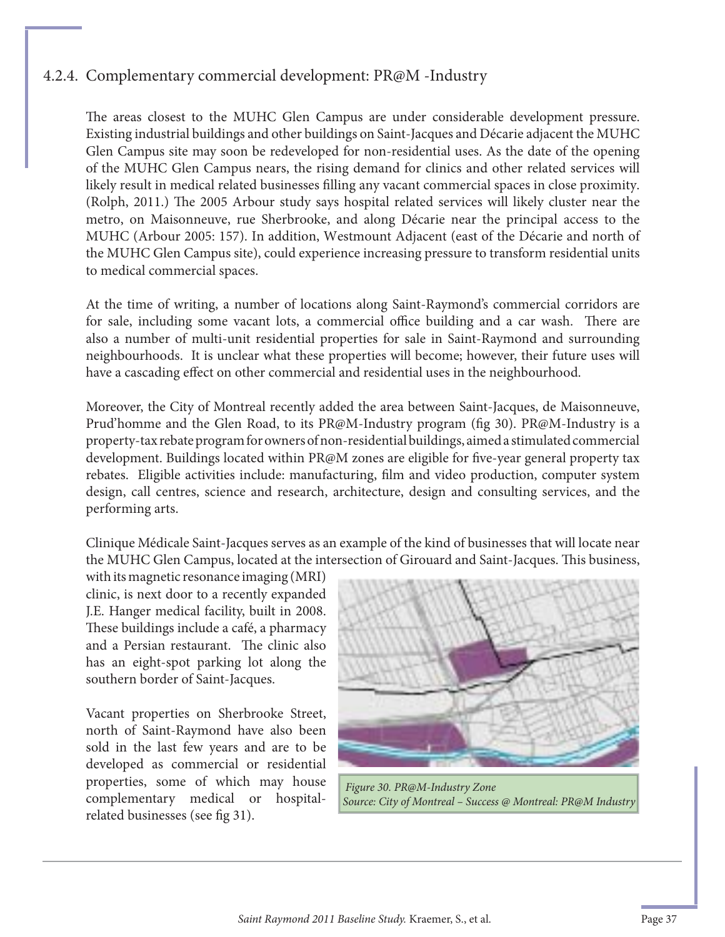#### 4.2.4. Complementary commercial development: PR@M -Industry

The areas closest to the MUHC Glen Campus are under considerable development pressure. Existing industrial buildings and other buildings on Saint-Jacques and Décarie adjacent the MUHC Glen Campus site may soon be redeveloped for non-residential uses. As the date of the opening of the MUHC Glen Campus nears, the rising demand for clinics and other related services will likely result in medical related businesses filling any vacant commercial spaces in close proximity. (Rolph, 2011.) The 2005 Arbour study says hospital related services will likely cluster near the metro, on Maisonneuve, rue Sherbrooke, and along Décarie near the principal access to the MUHC (Arbour 2005: 157). In addition, Westmount Adjacent (east of the Décarie and north of the MUHC Glen Campus site), could experience increasing pressure to transform residential units to medical commercial spaces.

At the time of writing, a number of locations along Saint-Raymond's commercial corridors are for sale, including some vacant lots, a commercial office building and a car wash. There are also a number of multi-unit residential properties for sale in Saint-Raymond and surrounding neighbourhoods. It is unclear what these properties will become; however, their future uses will have a cascading effect on other commercial and residential uses in the neighbourhood.

Moreover, the City of Montreal recently added the area between Saint-Jacques, de Maisonneuve, Prud'homme and the Glen Road, to its PR@M-Industry program (fig 30). PR@M-Industry is a property-tax rebate program for owners of non-residential buildings, aimed a stimulated commercial development. Buildings located within PR@M zones are eligible for five-year general property tax rebates. Eligible activities include: manufacturing, film and video production, computer system design, call centres, science and research, architecture, design and consulting services, and the performing arts.

Clinique Médicale Saint-Jacques serves as an example of the kind of businesses that will locate near the MUHC Glen Campus, located at the intersection of Girouard and Saint-Jacques. This business,

with its magnetic resonance imaging (MRI) clinic, is next door to a recently expanded J.E. Hanger medical facility, built in 2008. These buildings include a café, a pharmacy and a Persian restaurant. The clinic also has an eight-spot parking lot along the southern border of Saint-Jacques.

Vacant properties on Sherbrooke Street, north of Saint-Raymond have also been sold in the last few years and are to be developed as commercial or residential properties, some of which may house complementary medical or hospitalrelated businesses (see fig 31).



*Figure 30. PR@M-Industry Zone Source: City of Montreal – Success @ Montreal: PR@M Industry*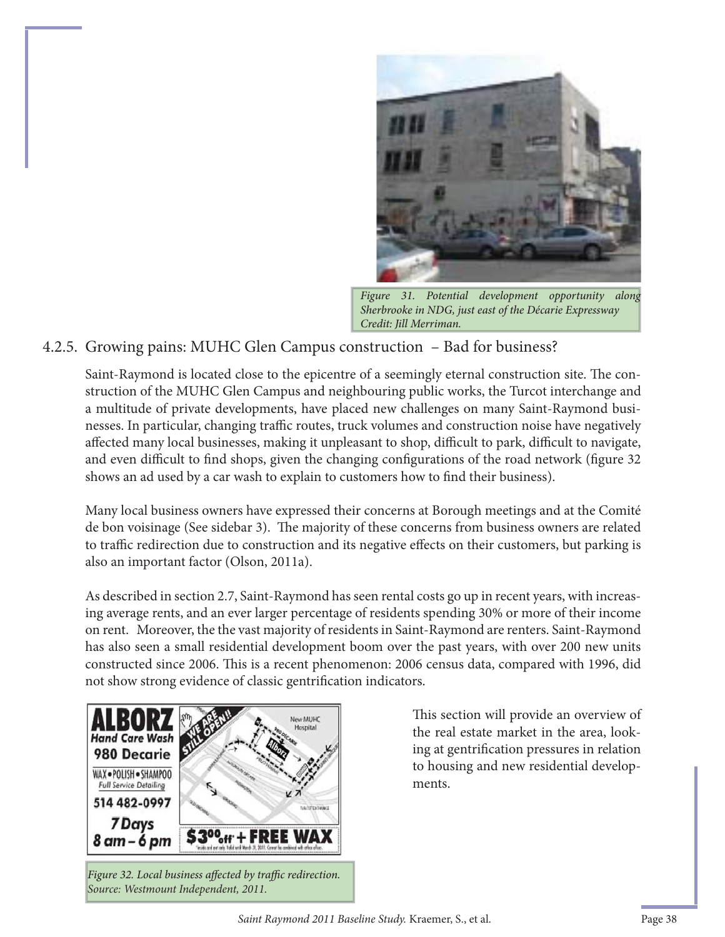

Figure 31. Potential development opportunity along Sherbrooke in NDG, just east of the Décarie Expressway Credit: Jill Merriman.

#### 4.2.5. Growing pains: MUHC Glen Campus construction – Bad for business?

Saint-Raymond is located close to the epicentre of a seemingly eternal construction site. The construction of the MUHC Glen Campus and neighbouring public works, the Turcot interchange and a multitude of private developments, have placed new challenges on many Saint-Raymond businesses. In particular, changing traffic routes, truck volumes and construction noise have negatively affected many local businesses, making it unpleasant to shop, difficult to park, difficult to navigate, and even difficult to find shops, given the changing configurations of the road network (figure 32 shows an ad used by a car wash to explain to customers how to find their business).

Many local business owners have expressed their concerns at Borough meetings and at the Comité de bon voisinage (See sidebar 3). The majority of these concerns from business owners are related to traffic redirection due to construction and its negative effects on their customers, but parking is also an important factor (Olson, 2011a).

As described in section 2.7, Saint-Raymond has seen rental costs go up in recent years, with increasing average rents, and an ever larger percentage of residents spending 30% or more of their income on rent. Moreover, the the vast majority of residents in Saint-Raymond are renters. Saint-Raymond has also seen a small residential development boom over the past years, with over 200 new units constructed since 2006. This is a recent phenomenon: 2006 census data, compared with 1996, did not show strong evidence of classic gentrification indicators.



Figure 32. Local business affected by traffic redirection. *Source: Westmount Independent, 2011.* 

This section will provide an overview of the real estate market in the area, looking at gentrification pressures in relation to housing and new residential developments.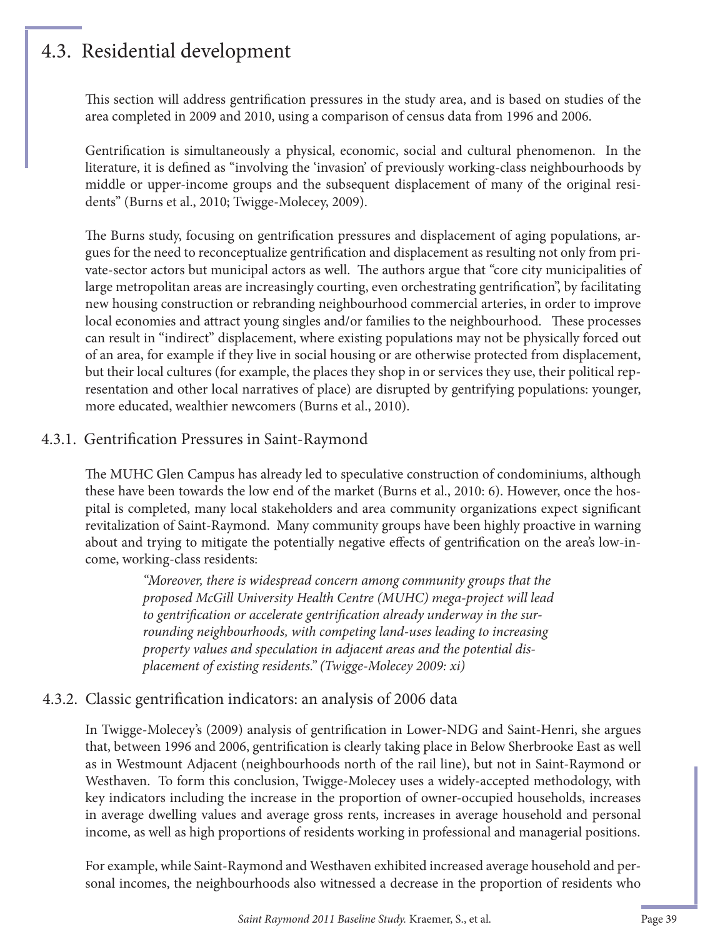## 4.3. Residential development

This section will address gentrification pressures in the study area, and is based on studies of the area completed in 2009 and 2010, using a comparison of census data from 1996 and 2006.

Gentrification is simultaneously a physical, economic, social and cultural phenomenon. In the literature, it is defined as "involving the 'invasion' of previously working-class neighbourhoods by middle or upper-income groups and the subsequent displacement of many of the original residents" (Burns et al., 2010; Twigge-Molecey, 2009).

The Burns study, focusing on gentrification pressures and displacement of aging populations, argues for the need to reconceptualize gentrification and displacement as resulting not only from private-sector actors but municipal actors as well. The authors argue that "core city municipalities of large metropolitan areas are increasingly courting, even orchestrating gentrification", by facilitating new housing construction or rebranding neighbourhood commercial arteries, in order to improve local economies and attract young singles and/or families to the neighbourhood. These processes can result in "indirect" displacement, where existing populations may not be physically forced out of an area, for example if they live in social housing or are otherwise protected from displacement, but their local cultures (for example, the places they shop in or services they use, their political representation and other local narratives of place) are disrupted by gentrifying populations: younger, more educated, wealthier newcomers (Burns et al., 2010).

#### 4.3.1. Gentrification Pressures in Saint-Raymond

The MUHC Glen Campus has already led to speculative construction of condominiums, although these have been towards the low end of the market (Burns et al., 2010: 6). However, once the hospital is completed, many local stakeholders and area community organizations expect significant revitalization of Saint-Raymond. Many community groups have been highly proactive in warning about and trying to mitigate the potentially negative effects of gentrification on the area's low-income, working-class residents:

> *"Moreover, there is widespread concern among community groups that the proposed McGill University Health Centre (MUHC) mega-project will lead*  to gentrification or accelerate gentrification already underway in the sur*rounding neighbourhoods, with competing land-uses leading to increasing property values and speculation in adjacent areas and the potential displacement of existing residents." (Twigge-Molecey 2009: xi)*

#### 4.3.2. Classic gentrification indicators: an analysis of 2006 data

In Twigge-Molecey's (2009) analysis of gentrification in Lower-NDG and Saint-Henri, she argues that, between 1996 and 2006, gentrification is clearly taking place in Below Sherbrooke East as well as in Westmount Adjacent (neighbourhoods north of the rail line), but not in Saint-Raymond or Westhaven. To form this conclusion, Twigge-Molecey uses a widely-accepted methodology, with key indicators including the increase in the proportion of owner-occupied households, increases in average dwelling values and average gross rents, increases in average household and personal income, as well as high proportions of residents working in professional and managerial positions.

For example, while Saint-Raymond and Westhaven exhibited increased average household and personal incomes, the neighbourhoods also witnessed a decrease in the proportion of residents who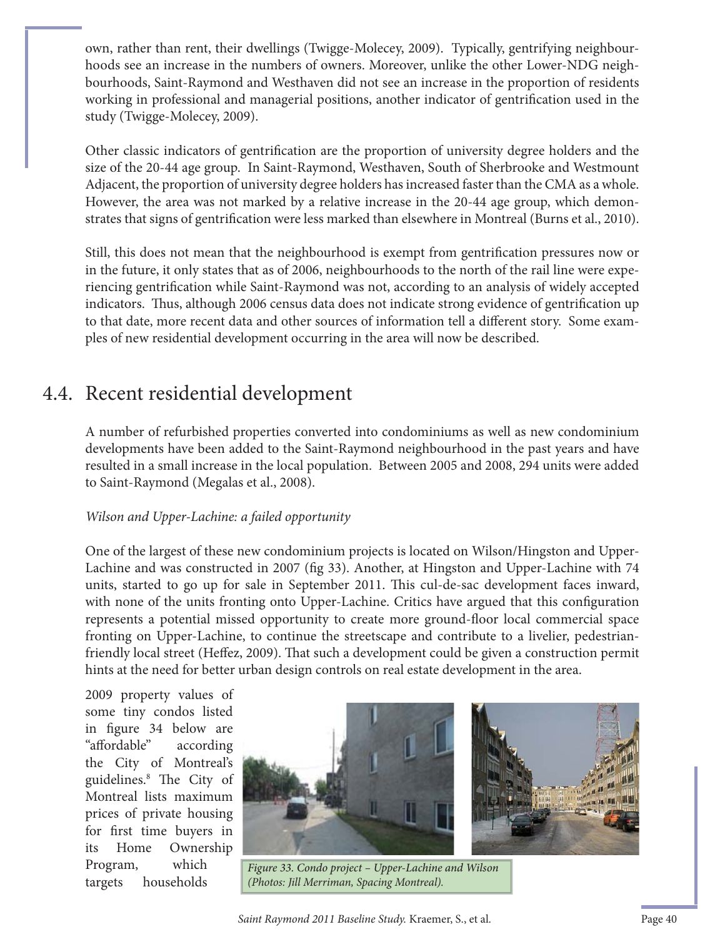own, rather than rent, their dwellings (Twigge-Molecey, 2009). Typically, gentrifying neighbourhoods see an increase in the numbers of owners. Moreover, unlike the other Lower-NDG neighbourhoods, Saint-Raymond and Westhaven did not see an increase in the proportion of residents working in professional and managerial positions, another indicator of gentrification used in the study (Twigge-Molecey, 2009).

Other classic indicators of gentrification are the proportion of university degree holders and the size of the 20-44 age group. In Saint-Raymond, Westhaven, South of Sherbrooke and Westmount Adjacent, the proportion of university degree holders has increased faster than the CMA as a whole. However, the area was not marked by a relative increase in the 20-44 age group, which demonstrates that signs of gentrification were less marked than elsewhere in Montreal (Burns et al., 2010).

Still, this does not mean that the neighbourhood is exempt from gentrification pressures now or in the future, it only states that as of 2006, neighbourhoods to the north of the rail line were experiencing gentrification while Saint-Raymond was not, according to an analysis of widely accepted indicators. Thus, although 2006 census data does not indicate strong evidence of gentrification up to that date, more recent data and other sources of information tell a different story. Some examples of new residential development occurring in the area will now be described.

## 4.4. Recent residential development

A number of refurbished properties converted into condominiums as well as new condominium developments have been added to the Saint-Raymond neighbourhood in the past years and have resulted in a small increase in the local population. Between 2005 and 2008, 294 units were added to Saint-Raymond (Megalas et al., 2008).

#### *Wilson and Upper-Lachine: a failed opportunity*

One of the largest of these new condominium projects is located on Wilson/Hingston and Upper-Lachine and was constructed in 2007 (fig 33). Another, at Hingston and Upper-Lachine with 74 units, started to go up for sale in September 2011. This cul-de-sac development faces inward, with none of the units fronting onto Upper-Lachine. Critics have argued that this configuration represents a potential missed opportunity to create more ground-floor local commercial space fronting on Upper-Lachine, to continue the streetscape and contribute to a livelier, pedestrianfriendly local street (Heffez, 2009). That such a development could be given a construction permit hints at the need for better urban design controls on real estate development in the area.

2009 property values of some tiny condos listed in figure 34 below are "aff ordable" according the City of Montreal's guidelines.<sup>8</sup> The City of Montreal lists maximum prices of private housing for first time buyers in its Home Ownership Program, which targets households



Figure 33. Condo project – Upper-Lachine and Wilson *(Photos: Jill Merriman, Spacing Montreal).*

Saint Raymond 2011 Baseline Study. Kraemer, S., et al. Page 40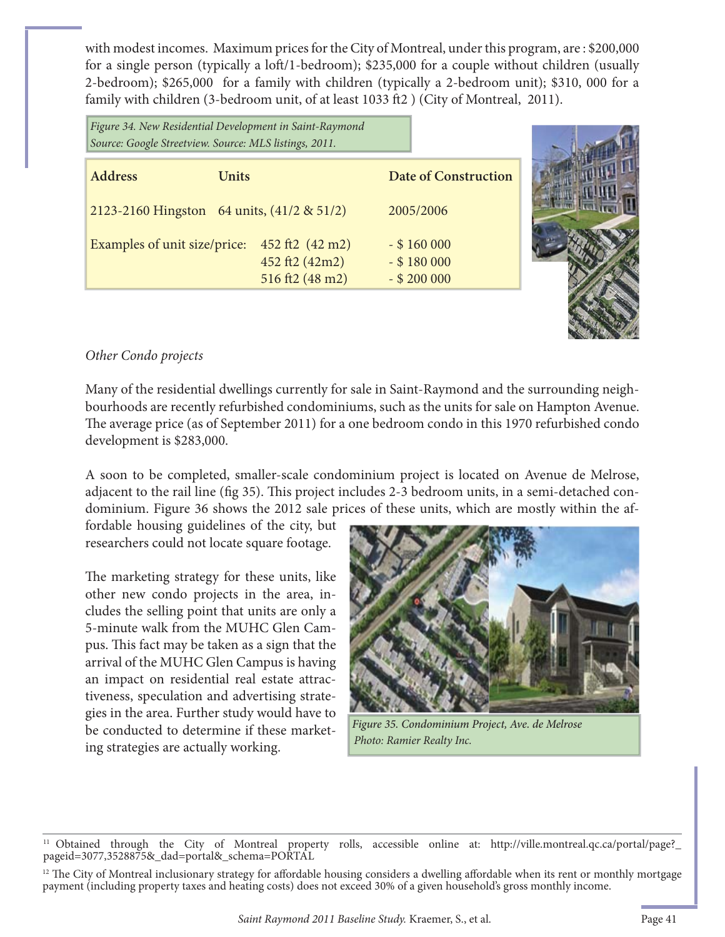with modest incomes. Maximum prices for the City of Montreal, under this program, are : \$200,000 for a single person (typically a loft/1-bedroom);  $$235,000$  for a couple without children (usually 2-bedroom); \$265,000 for a family with children (typically a 2-bedroom unit); \$310, 000 for a family with children (3-bedroom unit, of at least 1033 ft2) (City of Montreal, 2011).

| Figure 34. New Residential Development in Saint-Raymond<br>Source: Google Streetview. Source: MLS listings, 2011. |                                                      |                                                  |  |  |  |
|-------------------------------------------------------------------------------------------------------------------|------------------------------------------------------|--------------------------------------------------|--|--|--|
| <b>Address</b><br>Units                                                                                           |                                                      | <b>Date of Construction</b>                      |  |  |  |
| 2123-2160 Hingston 64 units, $(41/2 \& 51/2)$                                                                     |                                                      | 2005/2006                                        |  |  |  |
| Examples of unit size/price:                                                                                      | 452 ft2 (42 m2)<br>452 ft2 (42m2)<br>516 ft2 (48 m2) | $-$ \$160 000<br>$-$ \$180 000<br>$-$ \$ 200 000 |  |  |  |



#### *Other Condo projects*

Many of the residential dwellings currently for sale in Saint-Raymond and the surrounding neighbourhoods are recently refurbished condominiums, such as the units for sale on Hampton Avenue. The average price (as of September 2011) for a one bedroom condo in this 1970 refurbished condo development is \$283,000.

A soon to be completed, smaller-scale condominium project is located on Avenue de Melrose, adjacent to the rail line (fig 35). This project includes 2-3 bedroom units, in a semi-detached condominium. Figure 36 shows the 2012 sale prices of these units, which are mostly within the af-

fordable housing guidelines of the city, but researchers could not locate square footage.

The marketing strategy for these units, like other new condo projects in the area, includes the selling point that units are only a 5-minute walk from the MUHC Glen Campus. This fact may be taken as a sign that the arrival of the MUHC Glen Campus is having an impact on residential real estate attractiveness, speculation and advertising strategies in the area. Further study would have to be conducted to determine if these marketing strategies are actually working.



Figure 35. Condominium Project, Ave. de Melrose *Photo: Ramier Realty Inc.*

<sup>11</sup> Obtained through the City of Montreal property rolls, accessible online at: http://ville.montreal.qc.ca/portal/page?\_ pageid=3077,3528875&\_dad=portal&\_schema=PORTAL

<sup>&</sup>lt;sup>12</sup> The City of Montreal inclusionary strategy for affordable housing considers a dwelling affordable when its rent or monthly mortgage payment (including property taxes and heating costs) does not exceed 30% of a given household's gross monthly income.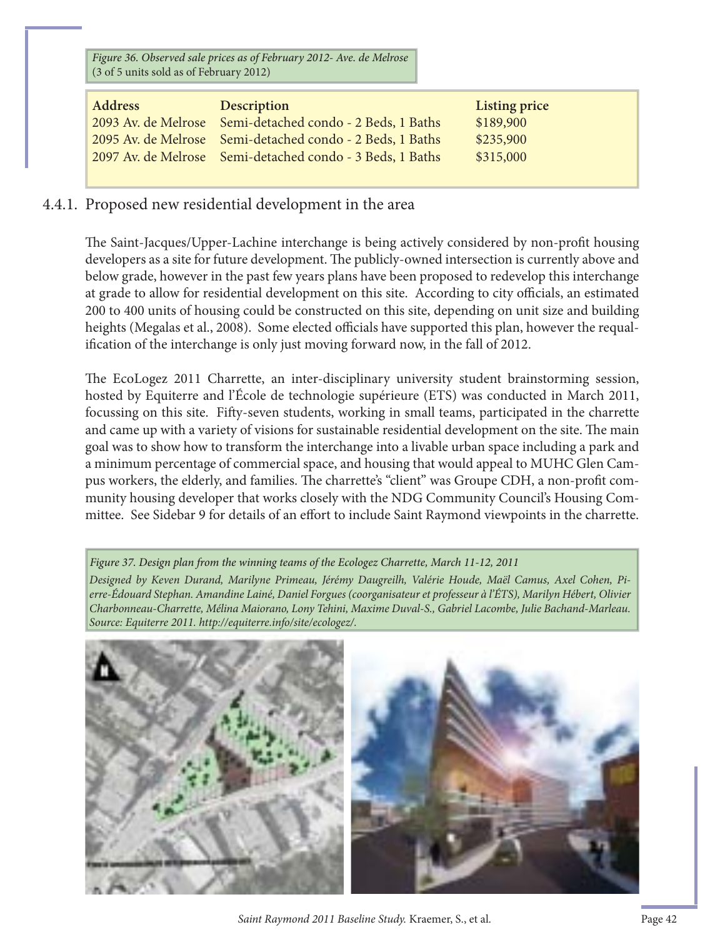Figure 36. Observed sale prices as of February 2012- Ave. de Melrose (3 of 5 units sold as of February 2012)

| Address | Description                                               | Listing price |
|---------|-----------------------------------------------------------|---------------|
|         | 2093 Av. de Melrose Semi-detached condo - 2 Beds, 1 Baths | \$189,900     |
|         | 2095 Av. de Melrose Semi-detached condo - 2 Beds, 1 Baths | \$235,900     |
|         | 2097 Av. de Melrose Semi-detached condo - 3 Beds, 1 Baths | \$315,000     |
|         |                                                           |               |

#### 4.4.1. Proposed new residential development in the area

The Saint-Jacques/Upper-Lachine interchange is being actively considered by non-profit housing developers as a site for future development. The publicly-owned intersection is currently above and below grade, however in the past few years plans have been proposed to redevelop this interchange at grade to allow for residential development on this site. According to city officials, an estimated 200 to 400 units of housing could be constructed on this site, depending on unit size and building heights (Megalas et al., 2008). Some elected officials have supported this plan, however the requalification of the interchange is only just moving forward now, in the fall of 2012.

The EcoLogez 2011 Charrette, an inter-disciplinary university student brainstorming session, hosted by Equiterre and l'École de technologie supérieure (ETS) was conducted in March 2011, focussing on this site. Fifty-seven students, working in small teams, participated in the charrette and came up with a variety of visions for sustainable residential development on the site. The main goal was to show how to transform the interchange into a livable urban space including a park and a minimum percentage of commercial space, and housing that would appeal to MUHC Glen Campus workers, the elderly, and families. The charrette's "client" was Groupe CDH, a non-profit community housing developer that works closely with the NDG Community Council's Housing Committee. See Sidebar 9 for details of an effort to include Saint Raymond viewpoints in the charrette.

Figure 37. Design plan from the winning teams of the Ecologez Charrette, March 11-12, 2011 *Designed by Keven Durand, Marilyne Primeau, Jérémy Daugreilh, Valérie Houde, Maël Camus, Axel Cohen, Pierre-Édouard Stephan. Amandine Lainé, Daniel Forgues (coorganisateur et professeur à l'ÉTS), Marilyn Hébert, Olivier Charbonneau-Charrette, Mélina Maiorano, Lony Tehini, Maxime Duval-S., Gabriel Lacombe, Julie Bachand-Marleau. Source: Equiterre 2011. http://equiterre.info/site/ecologez/.*



*Saint Raymond 2011 Baseline Study.* Kraemer, S., et al. Page 42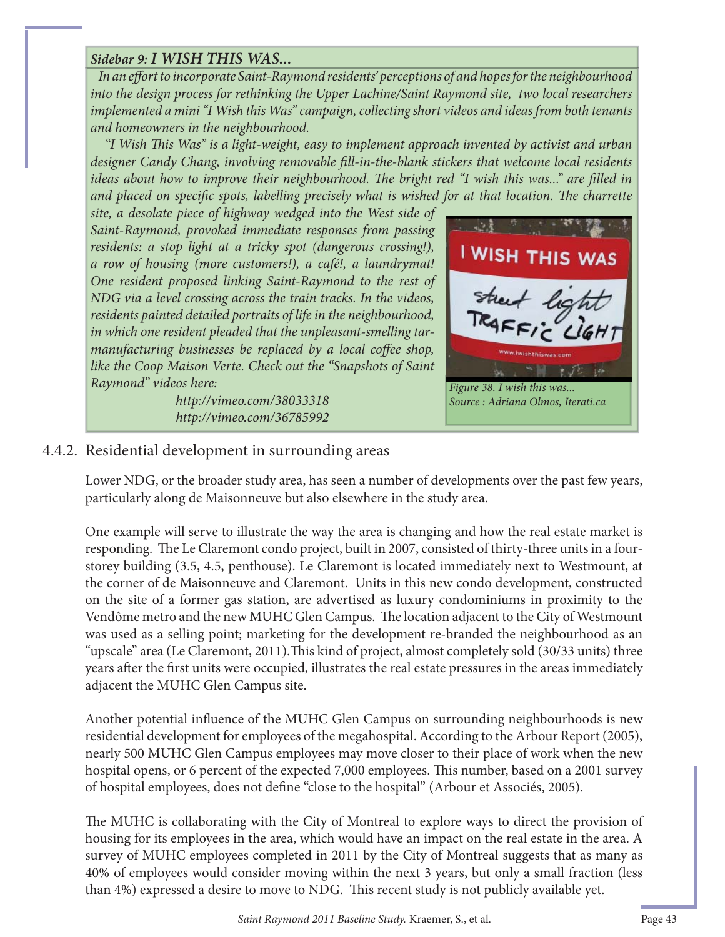#### *Sidebar 9: I WISH THIS WAS...*

In an effort to incorporate Saint-Raymond residents' perceptions of and hopes for the neighbourhood *into the design process for rethinking the Upper Lachine/Saint Raymond site, two local researchers implemented a mini "I Wish this Was" campaign, collecting short videos and ideas from both tenants and homeowners in the neighbourhood.* 

*"I Wish This Was" is a light-weight, easy to implement approach invented by activist and urban designer Candy Chang, involving removable fill-in-the-blank stickers that welcome local residents ideas about how to improve their neighbourhood. The bright red "I wish this was..." are filled in and placed on specific spots, labelling precisely what is wished for at that location. The charrette* 

*site, a desolate piece of highway wedged into the West side of Saint-Raymond, provoked immediate responses from passing residents: a stop light at a tricky spot (dangerous crossing!), a row of housing (more customers!), a café!, a laundrymat! One resident proposed linking Saint-Raymond to the rest of NDG via a level crossing across the train tracks. In the videos, residents painted detailed portraits of life in the neighbourhood, in which one resident pleaded that the unpleasant-smelling tarmanufacturing businesses be replaced by a local coffee shop, like the Coop Maison Verte. Check out the "Snapshots of Saint Raymond" videos here:* 

> *http://vimeo.com/38033318 http://vimeo.com/36785992*



#### 4.4.2. Residential development in surrounding areas

Lower NDG, or the broader study area, has seen a number of developments over the past few years, particularly along de Maisonneuve but also elsewhere in the study area.

One example will serve to illustrate the way the area is changing and how the real estate market is responding. The Le Claremont condo project, built in 2007, consisted of thirty-three units in a fourstorey building (3.5, 4.5, penthouse). Le Claremont is located immediately next to Westmount, at the corner of de Maisonneuve and Claremont. Units in this new condo development, constructed on the site of a former gas station, are advertised as luxury condominiums in proximity to the Vendôme metro and the new MUHC Glen Campus. The location adjacent to the City of Westmount was used as a selling point; marketing for the development re-branded the neighbourhood as an "upscale" area (Le Claremont, 2011). This kind of project, almost completely sold (30/33 units) three years after the first units were occupied, illustrates the real estate pressures in the areas immediately adjacent the MUHC Glen Campus site.

Another potential influence of the MUHC Glen Campus on surrounding neighbourhoods is new residential development for employees of the megahospital. According to the Arbour Report (2005), nearly 500 MUHC Glen Campus employees may move closer to their place of work when the new hospital opens, or 6 percent of the expected 7,000 employees. This number, based on a 2001 survey of hospital employees, does not define "close to the hospital" (Arbour et Associés, 2005).

The MUHC is collaborating with the City of Montreal to explore ways to direct the provision of housing for its employees in the area, which would have an impact on the real estate in the area. A survey of MUHC employees completed in 2011 by the City of Montreal suggests that as many as 40% of employees would consider moving within the next 3 years, but only a small fraction (less than 4%) expressed a desire to move to NDG. This recent study is not publicly available yet.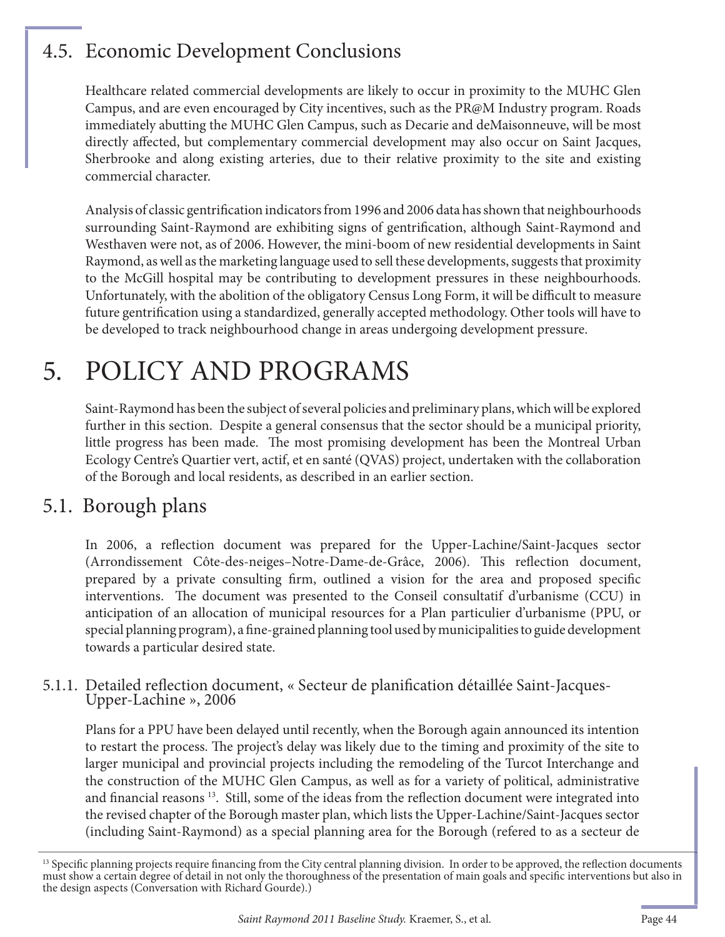## 4.5. Economic Development Conclusions

Healthcare related commercial developments are likely to occur in proximity to the MUHC Glen Campus, and are even encouraged by City incentives, such as the PR@M Industry program. Roads immediately abutting the MUHC Glen Campus, such as Decarie and deMaisonneuve, will be most directly affected, but complementary commercial development may also occur on Saint Jacques, Sherbrooke and along existing arteries, due to their relative proximity to the site and existing commercial character.

Analysis of classic gentrification indicators from 1996 and 2006 data has shown that neighbourhoods surrounding Saint-Raymond are exhibiting signs of gentrification, although Saint-Raymond and Westhaven were not, as of 2006. However, the mini-boom of new residential developments in Saint Raymond, as well as the marketing language used to sell these developments, suggests that proximity to the McGill hospital may be contributing to development pressures in these neighbourhoods. Unfortunately, with the abolition of the obligatory Census Long Form, it will be difficult to measure future gentrification using a standardized, generally accepted methodology. Other tools will have to be developed to track neighbourhood change in areas undergoing development pressure.

## 5. POLICY AND PROGRAMS

Saint-Raymond has been the subject of several policies and preliminary plans, which will be explored further in this section. Despite a general consensus that the sector should be a municipal priority, little progress has been made. The most promising development has been the Montreal Urban Ecology Centre's Quartier vert, actif, et en santé (QVAS) project, undertaken with the collaboration of the Borough and local residents, as described in an earlier section.

## 5.1. Borough plans

In 2006, a reflection document was prepared for the Upper-Lachine/Saint-Jacques sector (Arrondissement Côte-des-neiges–Notre-Dame-de-Grâce, 2006). This reflection document, prepared by a private consulting firm, outlined a vision for the area and proposed specific interventions. The document was presented to the Conseil consultatif d'urbanisme (CCU) in anticipation of an allocation of municipal resources for a Plan particulier d'urbanisme (PPU, or special planning program), a fine-grained planning tool used by municipalities to guide development towards a particular desired state.

## 5.1.1. Detailed reflection document, « Secteur de planification détaillée Saint-Jacques-<br>Upper-Lachine », 2006

Plans for a PPU have been delayed until recently, when the Borough again announced its intention to restart the process. The project's delay was likely due to the timing and proximity of the site to larger municipal and provincial projects including the remodeling of the Turcot Interchange and the construction of the MUHC Glen Campus, as well as for a variety of political, administrative and financial reasons  $13$ . Still, some of the ideas from the reflection document were integrated into the revised chapter of the Borough master plan, which lists the Upper-Lachine/Saint-Jacques sector (including Saint-Raymond) as a special planning area for the Borough (refered to as a secteur de

<sup>&</sup>lt;sup>13</sup> Specific planning projects require financing from the City central planning division. In order to be approved, the reflection documents must show a certain degree of detail in not only the thoroughness of the presentation of main goals and specifi c interventions but also in the design aspects (Conversation with Richard Gourde).)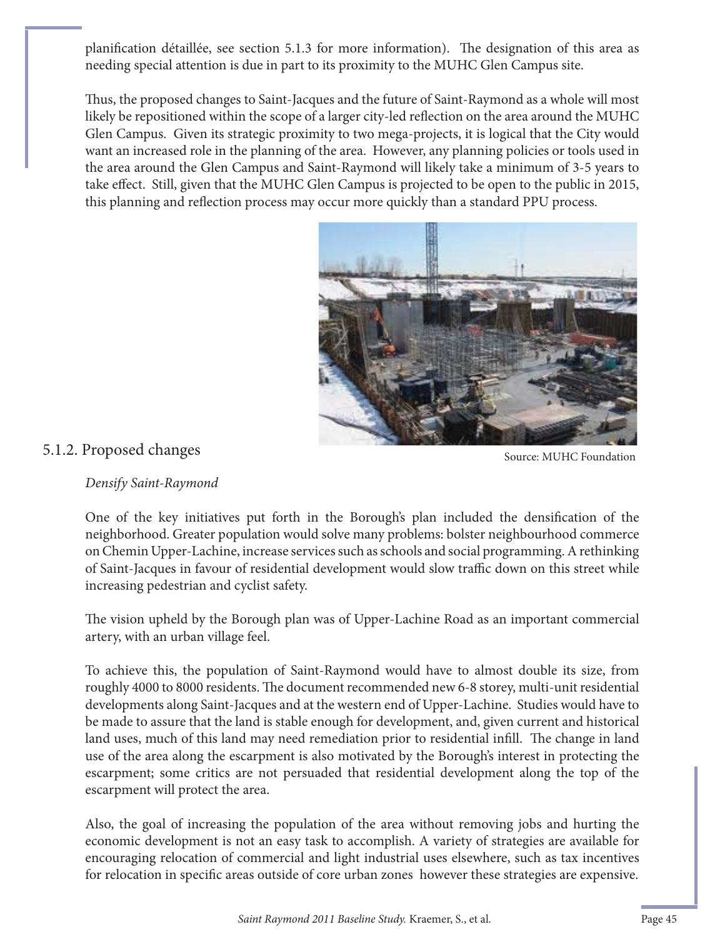planification détaillée, see section 5.1.3 for more information). The designation of this area as needing special attention is due in part to its proximity to the MUHC Glen Campus site.

Thus, the proposed changes to Saint-Jacques and the future of Saint-Raymond as a whole will most likely be repositioned within the scope of a larger city-led reflection on the area around the MUHC Glen Campus. Given its strategic proximity to two mega-projects, it is logical that the City would want an increased role in the planning of the area. However, any planning policies or tools used in the area around the Glen Campus and Saint-Raymond will likely take a minimum of 3-5 years to take effect. Still, given that the MUHC Glen Campus is projected to be open to the public in 2015, this planning and reflection process may occur more quickly than a standard PPU process.



#### *Densify Saint-Raymond*

One of the key initiatives put forth in the Borough's plan included the densification of the neighborhood. Greater population would solve many problems: bolster neighbourhood commerce on Chemin Upper-Lachine, increase services such as schools and social programming. A rethinking of Saint-Jacques in favour of residential development would slow traffic down on this street while increasing pedestrian and cyclist safety.

The vision upheld by the Borough plan was of Upper-Lachine Road as an important commercial artery, with an urban village feel.

To achieve this, the population of Saint-Raymond would have to almost double its size, from roughly 4000 to 8000 residents. The document recommended new 6-8 storey, multi-unit residential developments along Saint-Jacques and at the western end of Upper-Lachine. Studies would have to be made to assure that the land is stable enough for development, and, given current and historical land uses, much of this land may need remediation prior to residential infill. The change in land use of the area along the escarpment is also motivated by the Borough's interest in protecting the escarpment; some critics are not persuaded that residential development along the top of the escarpment will protect the area.

Also, the goal of increasing the population of the area without removing jobs and hurting the economic development is not an easy task to accomplish. A variety of strategies are available for encouraging relocation of commercial and light industrial uses elsewhere, such as tax incentives for relocation in specific areas outside of core urban zones however these strategies are expensive.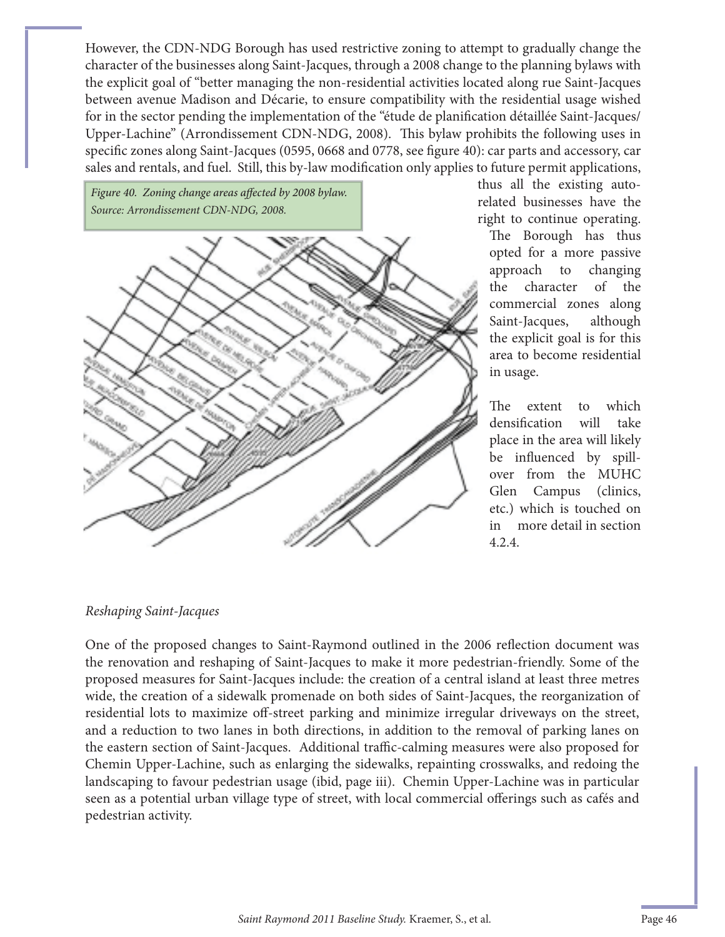However, the CDN-NDG Borough has used restrictive zoning to attempt to gradually change the character of the businesses along Saint-Jacques, through a 2008 change to the planning bylaws with the explicit goal of "better managing the non-residential activities located along rue Saint-Jacques between avenue Madison and Décarie, to ensure compatibility with the residential usage wished for in the sector pending the implementation of the "étude de planification détaillée Saint-Jacques/ Upper-Lachine" (Arrondissement CDN-NDG, 2008). This bylaw prohibits the following uses in specific zones along Saint-Jacques (0595, 0668 and 0778, see figure 40): car parts and accessory, car sales and rentals, and fuel. Still, this by-law modification only applies to future permit applications,

Figure 40. Zoning change areas affected by 2008 bylaw. *Source: Arrondissement CDN-NDG, 2008.*



thus all the existing autorelated businesses have the right to continue operating.

The Borough has thus opted for a more passive approach to changing the character of the commercial zones along Saint-Jacques, although the explicit goal is for this area to become residential in usage.

The extent to which densification will take place in the area will likely be influenced by spillover from the MUHC Glen Campus (clinics, etc.) which is touched on in more detail in section 4.2.4.

#### *Reshaping Saint-Jacques*

One of the proposed changes to Saint-Raymond outlined in the 2006 reflection document was the renovation and reshaping of Saint-Jacques to make it more pedestrian-friendly. Some of the proposed measures for Saint-Jacques include: the creation of a central island at least three metres wide, the creation of a sidewalk promenade on both sides of Saint-Jacques, the reorganization of residential lots to maximize off-street parking and minimize irregular driveways on the street, and a reduction to two lanes in both directions, in addition to the removal of parking lanes on the eastern section of Saint-Jacques. Additional traffic-calming measures were also proposed for Chemin Upper-Lachine, such as enlarging the sidewalks, repainting crosswalks, and redoing the landscaping to favour pedestrian usage (ibid, page iii). Chemin Upper-Lachine was in particular seen as a potential urban village type of street, with local commercial offerings such as cafés and pedestrian activity.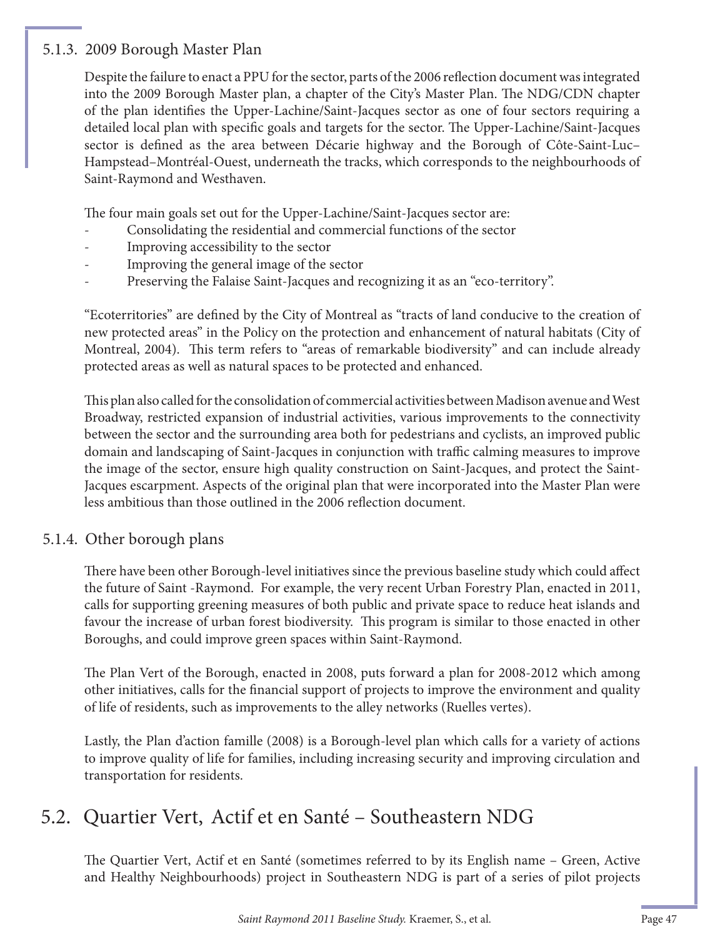#### 5.1.3. 2009 Borough Master Plan

Despite the failure to enact a PPU for the sector, parts of the 2006 reflection document was integrated into the 2009 Borough Master plan, a chapter of the City's Master Plan. The NDG/CDN chapter of the plan identifies the Upper-Lachine/Saint-Jacques sector as one of four sectors requiring a detailed local plan with specific goals and targets for the sector. The Upper-Lachine/Saint-Jacques sector is defined as the area between Décarie highway and the Borough of Côte-Saint-Luc– Hampstead–Montréal-Ouest, underneath the tracks, which corresponds to the neighbourhoods of Saint-Raymond and Westhaven.

The four main goals set out for the Upper-Lachine/Saint-Jacques sector are:

- Consolidating the residential and commercial functions of the sector
- Improving accessibility to the sector
- Improving the general image of the sector
- Preserving the Falaise Saint-Jacques and recognizing it as an "eco-territory".

"Ecoterritories" are defined by the City of Montreal as "tracts of land conducive to the creation of new protected areas" in the Policy on the protection and enhancement of natural habitats (City of Montreal, 2004). This term refers to "areas of remarkable biodiversity" and can include already protected areas as well as natural spaces to be protected and enhanced.

This plan also called for the consolidation of commercial activities between Madison avenue and West Broadway, restricted expansion of industrial activities, various improvements to the connectivity between the sector and the surrounding area both for pedestrians and cyclists, an improved public domain and landscaping of Saint-Jacques in conjunction with traffic calming measures to improve the image of the sector, ensure high quality construction on Saint-Jacques, and protect the Saint-Jacques escarpment. Aspects of the original plan that were incorporated into the Master Plan were less ambitious than those outlined in the 2006 reflection document.

#### 5.1.4. Other borough plans

There have been other Borough-level initiatives since the previous baseline study which could affect the future of Saint -Raymond. For example, the very recent Urban Forestry Plan, enacted in 2011, calls for supporting greening measures of both public and private space to reduce heat islands and favour the increase of urban forest biodiversity. This program is similar to those enacted in other Boroughs, and could improve green spaces within Saint-Raymond.

The Plan Vert of the Borough, enacted in 2008, puts forward a plan for 2008-2012 which among other initiatives, calls for the financial support of projects to improve the environment and quality of life of residents, such as improvements to the alley networks (Ruelles vertes).

Lastly, the Plan d'action famille (2008) is a Borough-level plan which calls for a variety of actions to improve quality of life for families, including increasing security and improving circulation and transportation for residents.

### 5.2. Quartier Vert, Actif et en Santé – Southeastern NDG

The Quartier Vert, Actif et en Santé (sometimes referred to by its English name - Green, Active and Healthy Neighbourhoods) project in Southeastern NDG is part of a series of pilot projects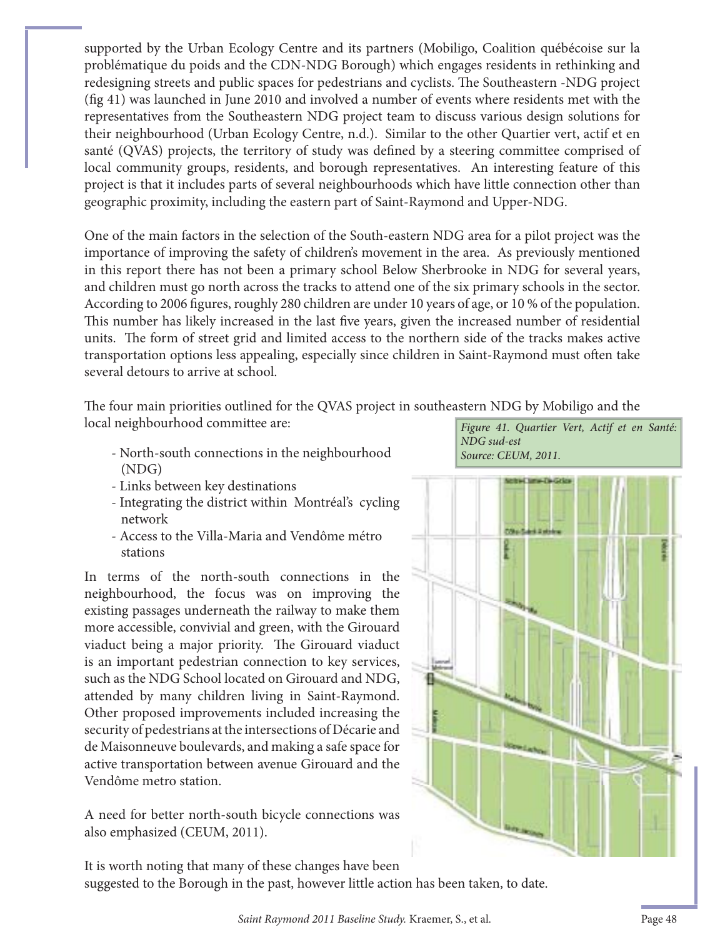supported by the Urban Ecology Centre and its partners (Mobiligo, Coalition québécoise sur la problématique du poids and the CDN-NDG Borough) which engages residents in rethinking and redesigning streets and public spaces for pedestrians and cyclists. The Southeastern -NDG project  $(f\, g\, 41)$  was launched in June 2010 and involved a number of events where residents met with the representatives from the Southeastern NDG project team to discuss various design solutions for their neighbourhood (Urban Ecology Centre, n.d.). Similar to the other Quartier vert, actif et en santé (QVAS) projects, the territory of study was defined by a steering committee comprised of local community groups, residents, and borough representatives. An interesting feature of this project is that it includes parts of several neighbourhoods which have little connection other than geographic proximity, including the eastern part of Saint-Raymond and Upper-NDG.

One of the main factors in the selection of the South-eastern NDG area for a pilot project was the importance of improving the safety of children's movement in the area. As previously mentioned in this report there has not been a primary school Below Sherbrooke in NDG for several years, and children must go north across the tracks to attend one of the six primary schools in the sector. According to 2006 figures, roughly 280 children are under 10 years of age, or 10 % of the population. This number has likely increased in the last five years, given the increased number of residential units. The form of street grid and limited access to the northern side of the tracks makes active transportation options less appealing, especially since children in Saint-Raymond must often take several detours to arrive at school.

The four main priorities outlined for the QVAS project in southeastern NDG by Mobiligo and the local neighbourhood committee are:

- North-south connections in the neighbourhood Source: CEUM, 2011. (NDG)
- Links between key destinations
- Integrating the district within Montréal's cycling network
- Access to the Villa-Maria and Vendôme métro stations

In terms of the north-south connections in the neighbourhood, the focus was on improving the existing passages underneath the railway to make them more accessible, convivial and green, with the Girouard viaduct being a major priority. The Girouard viaduct is an important pedestrian connection to key services, such as the NDG School located on Girouard and NDG, attended by many children living in Saint-Raymond. Other proposed improvements included increasing the security of pedestrians at the intersections of Décarie and de Maisonneuve boulevards, and making a safe space for active transportation between avenue Girouard and the Vendôme metro station.

A need for better north-south bicycle connections was also emphasized (CEUM, 2011).

Figure 41. Quartier Vert, Actif et en Santé: NDG sud-est



It is worth noting that many of these changes have been

suggested to the Borough in the past, however little action has been taken, to date.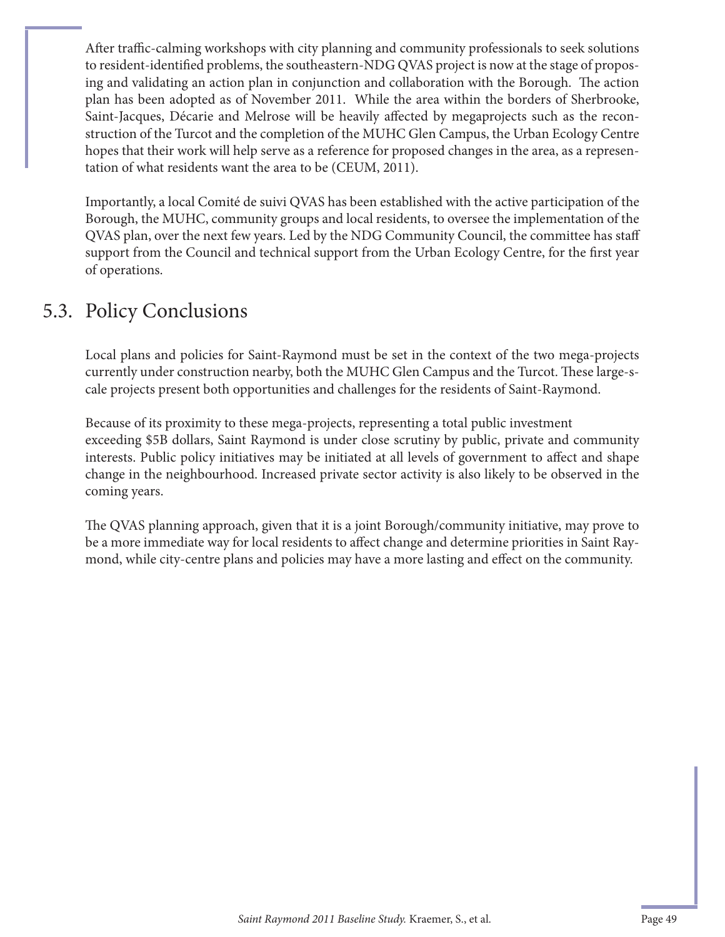After traffic-calming workshops with city planning and community professionals to seek solutions to resident-identified problems, the southeastern-NDG QVAS project is now at the stage of proposing and validating an action plan in conjunction and collaboration with the Borough. The action plan has been adopted as of November 2011. While the area within the borders of Sherbrooke, Saint-Jacques, Décarie and Melrose will be heavily affected by megaprojects such as the reconstruction of the Turcot and the completion of the MUHC Glen Campus, the Urban Ecology Centre hopes that their work will help serve as a reference for proposed changes in the area, as a representation of what residents want the area to be (CEUM, 2011).

Importantly, a local Comité de suivi QVAS has been established with the active participation of the Borough, the MUHC, community groups and local residents, to oversee the implementation of the QVAS plan, over the next few years. Led by the NDG Community Council, the committee has staff support from the Council and technical support from the Urban Ecology Centre, for the first year of operations.

### 5.3. Policy Conclusions

Local plans and policies for Saint-Raymond must be set in the context of the two mega-projects currently under construction nearby, both the MUHC Glen Campus and the Turcot. These large-scale projects present both opportunities and challenges for the residents of Saint-Raymond.

Because of its proximity to these mega-projects, representing a total public investment exceeding \$5B dollars, Saint Raymond is under close scrutiny by public, private and community interests. Public policy initiatives may be initiated at all levels of government to affect and shape change in the neighbourhood. Increased private sector activity is also likely to be observed in the coming years.

The QVAS planning approach, given that it is a joint Borough/community initiative, may prove to be a more immediate way for local residents to affect change and determine priorities in Saint Raymond, while city-centre plans and policies may have a more lasting and effect on the community.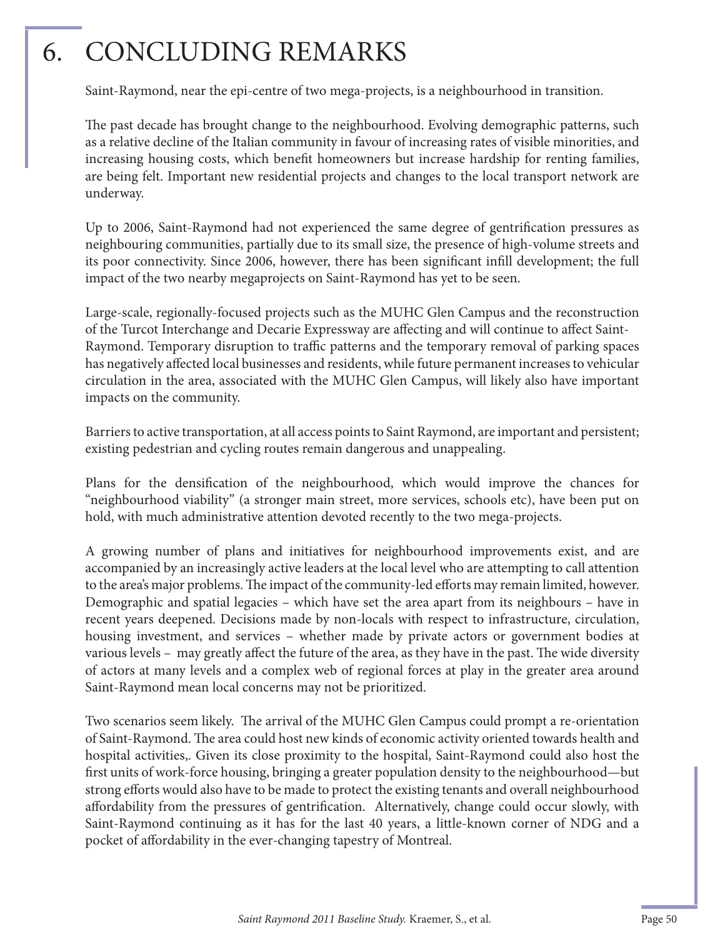## 6. CONCLUDING REMARKS

Saint-Raymond, near the epi-centre of two mega-projects, is a neighbourhood in transition.

The past decade has brought change to the neighbourhood. Evolving demographic patterns, such as a relative decline of the Italian community in favour of increasing rates of visible minorities, and increasing housing costs, which benefit homeowners but increase hardship for renting families, are being felt. Important new residential projects and changes to the local transport network are underway.

Up to 2006, Saint-Raymond had not experienced the same degree of gentrification pressures as neighbouring communities, partially due to its small size, the presence of high-volume streets and its poor connectivity. Since 2006, however, there has been significant infill development; the full impact of the two nearby megaprojects on Saint-Raymond has yet to be seen.

Large-scale, regionally-focused projects such as the MUHC Glen Campus and the reconstruction of the Turcot Interchange and Decarie Expressway are affecting and will continue to affect Saint-Raymond. Temporary disruption to traffic patterns and the temporary removal of parking spaces has negatively affected local businesses and residents, while future permanent increases to vehicular circulation in the area, associated with the MUHC Glen Campus, will likely also have important impacts on the community.

Barriers to active transportation, at all access points to Saint Raymond, are important and persistent; existing pedestrian and cycling routes remain dangerous and unappealing.

Plans for the densification of the neighbourhood, which would improve the chances for "neighbourhood viability" (a stronger main street, more services, schools etc), have been put on hold, with much administrative attention devoted recently to the two mega-projects.

A growing number of plans and initiatives for neighbourhood improvements exist, and are accompanied by an increasingly active leaders at the local level who are attempting to call attention to the area's major problems. The impact of the community-led efforts may remain limited, however. Demographic and spatial legacies – which have set the area apart from its neighbours – have in recent years deepened. Decisions made by non-locals with respect to infrastructure, circulation, housing investment, and services – whether made by private actors or government bodies at various levels – may greatly affect the future of the area, as they have in the past. The wide diversity of actors at many levels and a complex web of regional forces at play in the greater area around Saint-Raymond mean local concerns may not be prioritized.

Two scenarios seem likely. The arrival of the MUHC Glen Campus could prompt a re-orientation of Saint-Raymond. The area could host new kinds of economic activity oriented towards health and hospital activities,. Given its close proximity to the hospital, Saint-Raymond could also host the first units of work-force housing, bringing a greater population density to the neighbourhood—but strong efforts would also have to be made to protect the existing tenants and overall neighbourhood affordability from the pressures of gentrification. Alternatively, change could occur slowly, with Saint-Raymond continuing as it has for the last 40 years, a little-known corner of NDG and a pocket of affordability in the ever-changing tapestry of Montreal.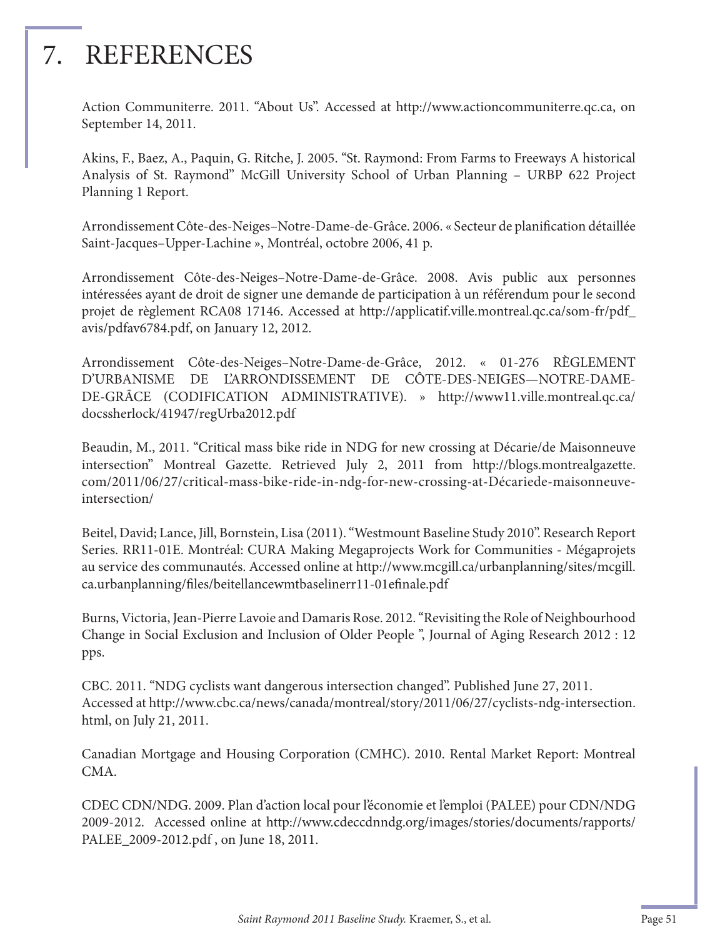## 7. REFERENCES

Action Communiterre. 2011. "About Us". Accessed at http://www.actioncommuniterre.qc.ca, on September 14, 2011.

Akins, F., Baez, A., Paquin, G. Ritche, J. 2005. "St. Raymond: From Farms to Freeways A historical Analysis of St. Raymond" McGill University School of Urban Planning – URBP 622 Project Planning 1 Report.

Arrondissement Côte-des-Neiges-Notre-Dame-de-Grâce. 2006. « Secteur de planification détaillée Saint-Jacques–Upper-Lachine », Montréal, octobre 2006, 41 p.

Arrondissement Côte-des-Neiges–Notre-Dame-de-Grâce. 2008. Avis public aux personnes intéressées ayant de droit de signer une demande de participation à un référendum pour le second projet de règlement RCA08 17146. Accessed at http://applicatif.ville.montreal.qc.ca/som-fr/pdf\_ avis/pdfav6784.pdf, on January 12, 2012.

Arrondissement Côte-des-Neiges–Notre-Dame-de-Grâce, 2012. « 01-276 RÈGLEMENT D'URBANISME DE L'ARRONDISSEMENT DE CÔTE-DES-NEIGES—NOTRE-DAME-DE-GRÂCE (CODIFICATION ADMINISTRATIVE). » http://www11.ville.montreal.qc.ca/ docssherlock/41947/regUrba2012.pdf

Beaudin, M., 2011. "Critical mass bike ride in NDG for new crossing at Décarie/de Maisonneuve intersection" Montreal Gazette. Retrieved July 2, 2011 from http://blogs.montrealgazette. com/2011/06/27/critical-mass-bike-ride-in-ndg-for-new-crossing-at-Décariede-maisonneuveintersection/

Beitel, David; Lance, Jill, Bornstein, Lisa (2011). "Westmount Baseline Study 2010". Research Report Series. RR11-01E. Montréal: CURA Making Megaprojects Work for Communities - Mégaprojets au service des communautés. Accessed online at http://www.mcgill.ca/urbanplanning/sites/mcgill. ca.urbanplanning/files/beitellancewmtbaselinerr11-01efinale.pdf

Burns, Victoria, Jean-Pierre Lavoie and Damaris Rose. 2012. "Revisiting the Role of Neighbourhood Change in Social Exclusion and Inclusion of Older People ", Journal of Aging Research 2012 : 12 pps.

CBC. 2011. "NDG cyclists want dangerous intersection changed". Published June 27, 2011. Accessed at http://www.cbc.ca/news/canada/montreal/story/2011/06/27/cyclists-ndg-intersection. html, on July 21, 2011.

Canadian Mortgage and Housing Corporation (CMHC). 2010. Rental Market Report: Montreal CMA.

CDEC CDN/NDG. 2009. Plan d'action local pour l'économie et l'emploi (PALEE) pour CDN/NDG 2009-2012. Accessed online at http://www.cdeccdnndg.org/images/stories/documents/rapports/ PALEE\_2009-2012.pdf , on June 18, 2011.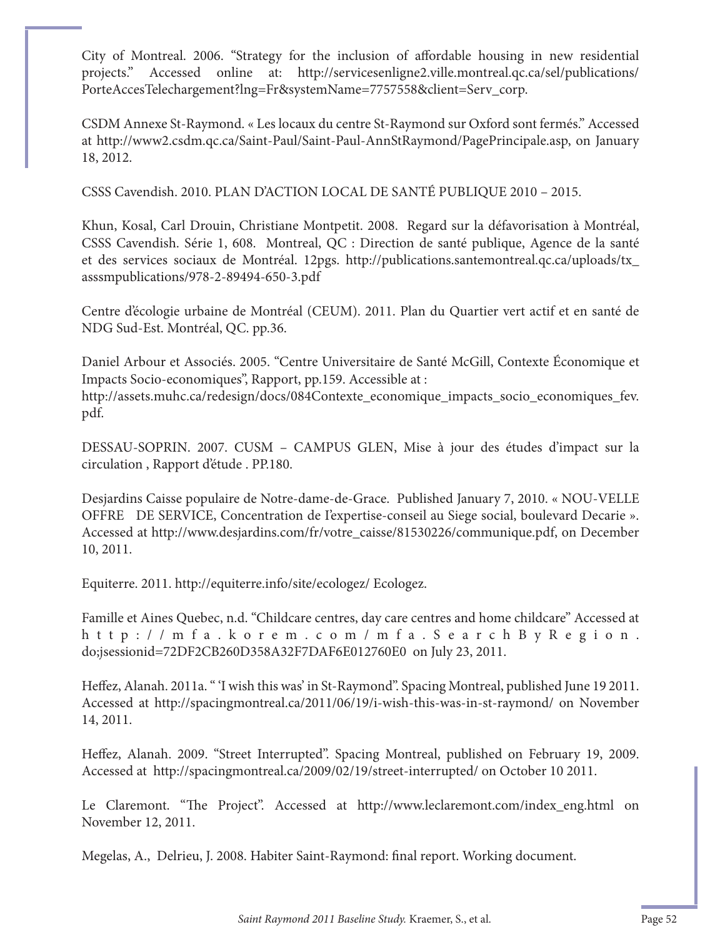City of Montreal. 2006. "Strategy for the inclusion of affordable housing in new residential projects." Accessed online at: http://servicesenligne2.ville.montreal.qc.ca/sel/publications/ PorteAccesTelechargement?lng=Fr&systemName=7757558&client=Serv\_corp.

CSDM Annexe St-Raymond. « Les locaux du centre St-Raymond sur Oxford sont fermés." Accessed at http://www2.csdm.qc.ca/Saint-Paul/Saint-Paul-AnnStRaymond/PagePrincipale.asp, on January 18, 2012.

CSSS Cavendish. 2010. PLAN D'ACTION LOCAL DE SANTÉ PUBLIQUE 2010 – 2015.

Khun, Kosal, Carl Drouin, Christiane Montpetit. 2008. Regard sur la défavorisation à Montréal, CSSS Cavendish. Série 1, 608. Montreal, QC : Direction de santé publique, Agence de la santé et des services sociaux de Montréal. 12pgs. http://publications.santemontreal.qc.ca/uploads/tx\_ asssmpublications/978-2-89494-650-3.pdf

Centre d'écologie urbaine de Montréal (CEUM). 2011. Plan du Quartier vert actif et en santé de NDG Sud-Est. Montréal, QC. pp.36.

Daniel Arbour et Associés. 2005. "Centre Universitaire de Santé McGill, Contexte Économique et Impacts Socio-economiques", Rapport, pp.159. Accessible at :

http://assets.muhc.ca/redesign/docs/084Contexte\_economique\_impacts\_socio\_economiques\_fev. pdf.

DESSAU-SOPRIN. 2007. CUSM – CAMPUS GLEN, Mise à jour des études d'impact sur la circulation , Rapport d'étude . PP.180.

Desjardins Caisse populaire de Notre-dame-de-Grace. Published January 7, 2010. « NOU-VELLE OFFRE DE SERVICE, Concentration de I'expertise-conseil au Siege social, boulevard Decarie ». Accessed at http://www.desjardins.com/fr/votre\_caisse/81530226/communique.pdf, on December 10, 2011.

Equiterre. 2011. http://equiterre.info/site/ecologez/ Ecologez.

Famille et Aines Quebec, n.d. "Childcare centres, day care centres and home childcare" Accessed at http://mfa.korem.com/mfa.SearchByRegion. do;jsessionid=72DF2CB260D358A32F7DAF6E012760E0 on July 23, 2011.

Heffez, Alanah. 2011a. " 'I wish this was' in St-Raymond". Spacing Montreal, published June 19 2011. Accessed at http://spacingmontreal.ca/2011/06/19/i-wish-this-was-in-st-raymond/ on November 14, 2011.

Heffez, Alanah. 2009. "Street Interrupted". Spacing Montreal, published on February 19, 2009. Accessed at http://spacingmontreal.ca/2009/02/19/street-interrupted/ on October 10 2011.

Le Claremont. "The Project". Accessed at http://www.leclaremont.com/index\_eng.html on November 12, 2011.

Megelas, A., Delrieu, J. 2008. Habiter Saint-Raymond: final report. Working document.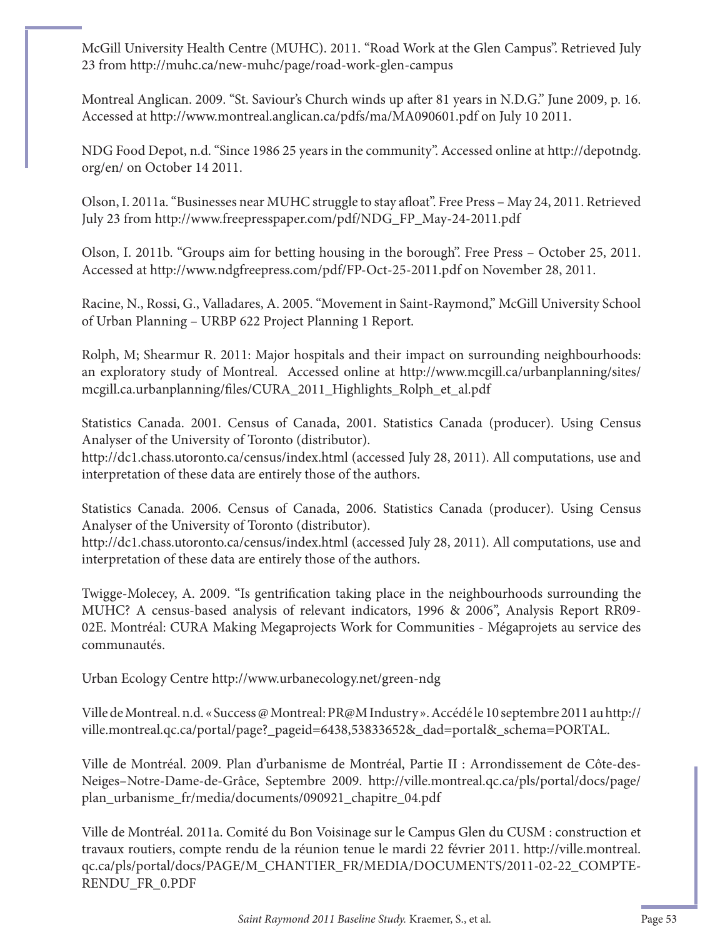McGill University Health Centre (MUHC). 2011. "Road Work at the Glen Campus". Retrieved July 23 from http://muhc.ca/new-muhc/page/road-work-glen-campus

Montreal Anglican. 2009. "St. Saviour's Church winds up after 81 years in N.D.G." June 2009, p. 16. Accessed at http://www.montreal.anglican.ca/pdfs/ma/MA090601.pdf on July 10 2011.

NDG Food Depot, n.d. "Since 1986 25 years in the community". Accessed online at http://depotndg. org/en/ on October 14 2011.

Olson, I. 2011a. "Businesses near MUHC struggle to stay afloat". Free Press - May 24, 2011. Retrieved July 23 from http://www.freepresspaper.com/pdf/NDG\_FP\_May-24-2011.pdf

Olson, I. 2011b. "Groups aim for betting housing in the borough". Free Press – October 25, 2011. Accessed at http://www.ndgfreepress.com/pdf/FP-Oct-25-2011.pdf on November 28, 2011.

Racine, N., Rossi, G., Valladares, A. 2005. "Movement in Saint-Raymond," McGill University School of Urban Planning – URBP 622 Project Planning 1 Report.

Rolph, M; Shearmur R. 2011: Major hospitals and their impact on surrounding neighbourhoods: an exploratory study of Montreal. Accessed online at http://www.mcgill.ca/urbanplanning/sites/ mcgill.ca.urbanplanning/files/CURA\_2011\_Highlights\_Rolph\_et\_al.pdf

Statistics Canada. 2001. Census of Canada, 2001. Statistics Canada (producer). Using Census Analyser of the University of Toronto (distributor).

http://dc1.chass.utoronto.ca/census/index.html (accessed July 28, 2011). All computations, use and interpretation of these data are entirely those of the authors.

Statistics Canada. 2006. Census of Canada, 2006. Statistics Canada (producer). Using Census Analyser of the University of Toronto (distributor).

http://dc1.chass.utoronto.ca/census/index.html (accessed July 28, 2011). All computations, use and interpretation of these data are entirely those of the authors.

Twigge-Molecey, A. 2009. "Is gentrification taking place in the neighbourhoods surrounding the MUHC? A census-based analysis of relevant indicators, 1996 & 2006", Analysis Report RR09- 02E. Montréal: CURA Making Megaprojects Work for Communities - Mégaprojets au service des communautés.

Urban Ecology Centre http://www.urbanecology.net/green-ndg

Ville de Montreal. n.d. « Success @ Montreal: PR@M Industry ». Accédé le 10 septembre 2011 au http:// ville.montreal.qc.ca/portal/page?\_pageid=6438,53833652&\_dad=portal&\_schema=PORTAL.

Ville de Montréal. 2009. Plan d'urbanisme de Montréal, Partie II : Arrondissement de Côte-des-Neiges–Notre-Dame-de-Grâce, Septembre 2009. http://ville.montreal.qc.ca/pls/portal/docs/page/ plan\_urbanisme\_fr/media/documents/090921\_chapitre\_04.pdf

Ville de Montréal. 2011a. Comité du Bon Voisinage sur le Campus Glen du CUSM : construction et travaux routiers, compte rendu de la réunion tenue le mardi 22 février 2011. http://ville.montreal. qc.ca/pls/portal/docs/PAGE/M\_CHANTIER\_FR/MEDIA/DOCUMENTS/2011-02-22\_COMPTE-RENDU\_FR\_0.PDF